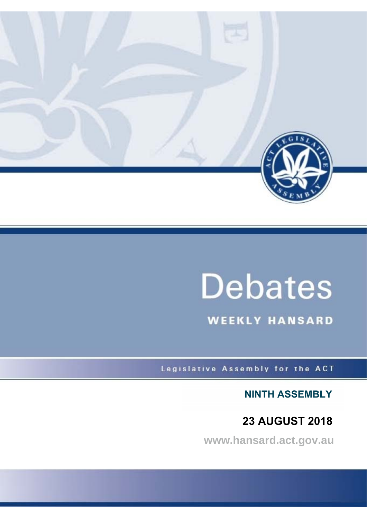

# **Debates**

**WEEKLY HANSARD** 

Legislative Assembly for the ACT

**NINTH ASSEMBLY**

**23 AUGUST 2018**

**www.hansard.act.gov.au**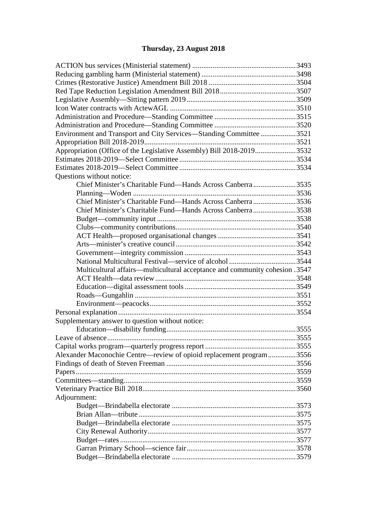# **[Thursday, 23 August 2018](#page-4-0)**

| Environment and Transport and City Services—Standing Committee 3521         |  |
|-----------------------------------------------------------------------------|--|
|                                                                             |  |
| Appropriation (Office of the Legislative Assembly) Bill 2018-20193532       |  |
|                                                                             |  |
|                                                                             |  |
| Questions without notice:                                                   |  |
| Chief Minister's Charitable Fund—Hands Across Canberra3535                  |  |
|                                                                             |  |
| Chief Minister's Charitable Fund—Hands Across Canberra3536                  |  |
| Chief Minister's Charitable Fund—Hands Across Canberra3538                  |  |
|                                                                             |  |
|                                                                             |  |
|                                                                             |  |
|                                                                             |  |
|                                                                             |  |
|                                                                             |  |
| Multicultural affairs—multicultural acceptance and community cohesion .3547 |  |
|                                                                             |  |
|                                                                             |  |
|                                                                             |  |
|                                                                             |  |
|                                                                             |  |
| Supplementary answer to question without notice:                            |  |
|                                                                             |  |
|                                                                             |  |
|                                                                             |  |
| Alexander Maconochie Centre—review of opioid replacement program3556        |  |
|                                                                             |  |
|                                                                             |  |
|                                                                             |  |
|                                                                             |  |
| Adjournment:                                                                |  |
|                                                                             |  |
|                                                                             |  |
|                                                                             |  |
|                                                                             |  |
|                                                                             |  |
|                                                                             |  |
|                                                                             |  |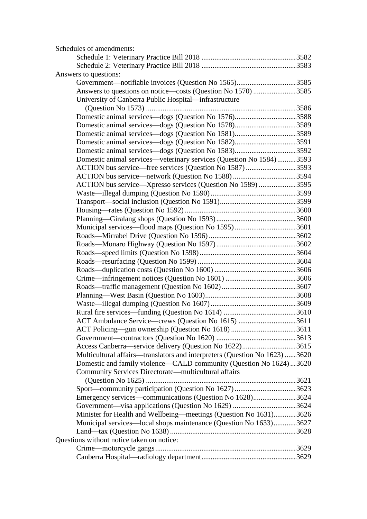| Schedules of amendments:                                                   |  |
|----------------------------------------------------------------------------|--|
|                                                                            |  |
|                                                                            |  |
| Answers to questions:                                                      |  |
| Government-notifiable invoices (Question No 1565)3585                      |  |
| Answers to questions on notice—costs (Question No 1570) 3585               |  |
| University of Canberra Public Hospital—infrastructure                      |  |
|                                                                            |  |
|                                                                            |  |
|                                                                            |  |
| Domestic animal services—dogs (Question No 1581)3589                       |  |
| Domestic animal services—dogs (Question No 1582)3591                       |  |
|                                                                            |  |
| Domestic animal services—veterinary services (Question No 1584)3593        |  |
| ACTION bus service—free services (Question No 1587) 3593                   |  |
|                                                                            |  |
| ACTION bus service-Xpresso services (Question No 1589) 3595                |  |
|                                                                            |  |
|                                                                            |  |
|                                                                            |  |
|                                                                            |  |
|                                                                            |  |
|                                                                            |  |
|                                                                            |  |
|                                                                            |  |
|                                                                            |  |
|                                                                            |  |
|                                                                            |  |
|                                                                            |  |
|                                                                            |  |
|                                                                            |  |
|                                                                            |  |
|                                                                            |  |
|                                                                            |  |
|                                                                            |  |
| Access Canberra—service delivery (Question No 1622)3615                    |  |
| Multicultural affairs—translators and interpreters (Question No 1623) 3620 |  |
| Domestic and family violence—CALD community (Question No 1624)3620         |  |
| Community Services Directorate—multicultural affairs                       |  |
| Sport-community participation (Question No 1627) 3623                      |  |
| Emergency services—communications (Question No 1628)3624                   |  |
|                                                                            |  |
| Minister for Health and Wellbeing-meetings (Question No 1631)3626          |  |
| Municipal services—local shops maintenance (Question No 1633)3627          |  |
|                                                                            |  |
| Questions without notice taken on notice:                                  |  |
|                                                                            |  |
|                                                                            |  |
|                                                                            |  |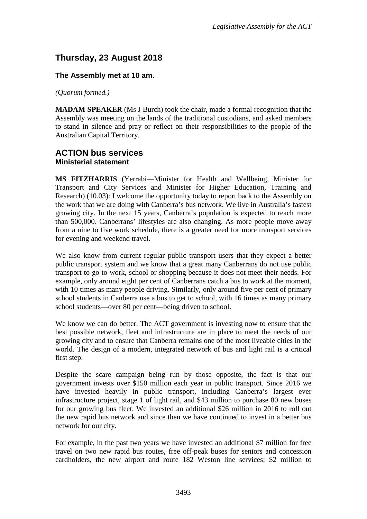# <span id="page-4-0"></span>**Thursday, 23 August 2018**

## **The Assembly met at 10 am.**

*(Quorum formed.)*

**MADAM SPEAKER** (Ms J Burch) took the chair, made a formal recognition that the Assembly was meeting on the lands of the traditional custodians, and asked members to stand in silence and pray or reflect on their responsibilities to the people of the Australian Capital Territory.

## <span id="page-4-2"></span><span id="page-4-1"></span>**ACTION bus services Ministerial statement**

**MS FITZHARRIS** (Yerrabi—Minister for Health and Wellbeing, Minister for Transport and City Services and Minister for Higher Education, Training and Research) (10.03): I welcome the opportunity today to report back to the Assembly on the work that we are doing with Canberra's bus network. We live in Australia's fastest growing city. In the next 15 years, Canberra's population is expected to reach more than 500,000. Canberrans' lifestyles are also changing. As more people move away from a nine to five work schedule, there is a greater need for more transport services for evening and weekend travel.

We also know from current regular public transport users that they expect a better public transport system and we know that a great many Canberrans do not use public transport to go to work, school or shopping because it does not meet their needs. For example, only around eight per cent of Canberrans catch a bus to work at the moment, with 10 times as many people driving. Similarly, only around five per cent of primary school students in Canberra use a bus to get to school, with 16 times as many primary school students—over 80 per cent—being driven to school.

We know we can do better. The ACT government is investing now to ensure that the best possible network, fleet and infrastructure are in place to meet the needs of our growing city and to ensure that Canberra remains one of the most liveable cities in the world. The design of a modern, integrated network of bus and light rail is a critical first step.

Despite the scare campaign being run by those opposite, the fact is that our government invests over \$150 million each year in public transport. Since 2016 we have invested heavily in public transport, including Canberra's largest ever infrastructure project, stage 1 of light rail, and \$43 million to purchase 80 new buses for our growing bus fleet. We invested an additional \$26 million in 2016 to roll out the new rapid bus network and since then we have continued to invest in a better bus network for our city.

For example, in the past two years we have invested an additional \$7 million for free travel on two new rapid bus routes, free off-peak buses for seniors and concession cardholders, the new airport and route 182 Weston line services; \$2 million to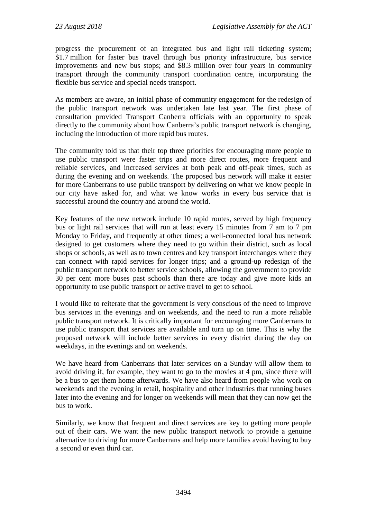progress the procurement of an integrated bus and light rail ticketing system; \$1.7 million for faster bus travel through bus priority infrastructure, bus service improvements and new bus stops; and \$8.3 million over four years in community transport through the community transport coordination centre, incorporating the flexible bus service and special needs transport.

As members are aware, an initial phase of community engagement for the redesign of the public transport network was undertaken late last year. The first phase of consultation provided Transport Canberra officials with an opportunity to speak directly to the community about how Canberra's public transport network is changing, including the introduction of more rapid bus routes.

The community told us that their top three priorities for encouraging more people to use public transport were faster trips and more direct routes, more frequent and reliable services, and increased services at both peak and off-peak times, such as during the evening and on weekends. The proposed bus network will make it easier for more Canberrans to use public transport by delivering on what we know people in our city have asked for, and what we know works in every bus service that is successful around the country and around the world.

Key features of the new network include 10 rapid routes, served by high frequency bus or light rail services that will run at least every 15 minutes from 7 am to 7 pm Monday to Friday, and frequently at other times; a well-connected local bus network designed to get customers where they need to go within their district, such as local shops or schools, as well as to town centres and key transport interchanges where they can connect with rapid services for longer trips; and a ground-up redesign of the public transport network to better service schools, allowing the government to provide 30 per cent more buses past schools than there are today and give more kids an opportunity to use public transport or active travel to get to school.

I would like to reiterate that the government is very conscious of the need to improve bus services in the evenings and on weekends, and the need to run a more reliable public transport network. It is critically important for encouraging more Canberrans to use public transport that services are available and turn up on time. This is why the proposed network will include better services in every district during the day on weekdays, in the evenings and on weekends.

We have heard from Canberrans that later services on a Sunday will allow them to avoid driving if, for example, they want to go to the movies at 4 pm, since there will be a bus to get them home afterwards. We have also heard from people who work on weekends and the evening in retail, hospitality and other industries that running buses later into the evening and for longer on weekends will mean that they can now get the bus to work.

Similarly, we know that frequent and direct services are key to getting more people out of their cars. We want the new public transport network to provide a genuine alternative to driving for more Canberrans and help more families avoid having to buy a second or even third car.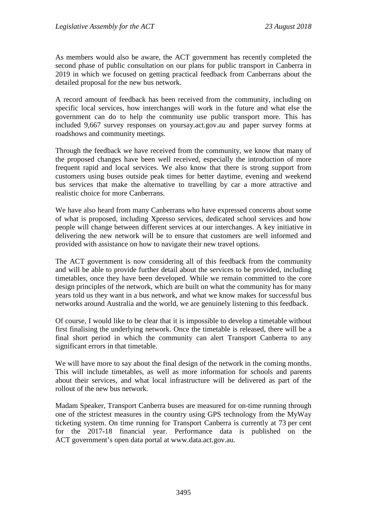As members would also be aware, the ACT government has recently completed the second phase of public consultation on our plans for public transport in Canberra in 2019 in which we focused on getting practical feedback from Canberrans about the detailed proposal for the new bus network.

A record amount of feedback has been received from the community, including on specific local services, how interchanges will work in the future and what else the government can do to help the community use public transport more. This has included 9,667 survey responses on yoursay.act.gov.au and paper survey forms at roadshows and community meetings.

Through the feedback we have received from the community, we know that many of the proposed changes have been well received, especially the introduction of more frequent rapid and local services. We also know that there is strong support from customers using buses outside peak times for better daytime, evening and weekend bus services that make the alternative to travelling by car a more attractive and realistic choice for more Canberrans.

We have also heard from many Canberrans who have expressed concerns about some of what is proposed, including Xpresso services, dedicated school services and how people will change between different services at our interchanges. A key initiative in delivering the new network will be to ensure that customers are well informed and provided with assistance on how to navigate their new travel options.

The ACT government is now considering all of this feedback from the community and will be able to provide further detail about the services to be provided, including timetables, once they have been developed. While we remain committed to the core design principles of the network, which are built on what the community has for many years told us they want in a bus network, and what we know makes for successful bus networks around Australia and the world, we are genuinely listening to this feedback.

Of course, I would like to be clear that it is impossible to develop a timetable without first finalising the underlying network. Once the timetable is released, there will be a final short period in which the community can alert Transport Canberra to any significant errors in that timetable.

We will have more to say about the final design of the network in the coming months. This will include timetables, as well as more information for schools and parents about their services, and what local infrastructure will be delivered as part of the rollout of the new bus network.

Madam Speaker, Transport Canberra buses are measured for on-time running through one of the strictest measures in the country using GPS technology from the MyWay ticketing system. On time running for Transport Canberra is currently at 73 per cent for the 2017-18 financial year. Performance data is published on the ACT government's open data portal at www.data.act.gov.au.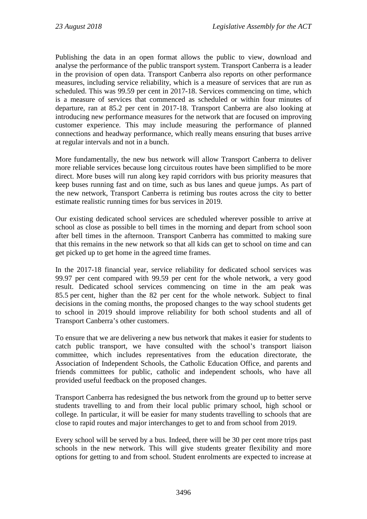Publishing the data in an open format allows the public to view, download and analyse the performance of the public transport system. Transport Canberra is a leader in the provision of open data. Transport Canberra also reports on other performance measures, including service reliability, which is a measure of services that are run as scheduled. This was 99.59 per cent in 2017-18. Services commencing on time, which is a measure of services that commenced as scheduled or within four minutes of departure, ran at 85.2 per cent in 2017-18. Transport Canberra are also looking at introducing new performance measures for the network that are focused on improving customer experience. This may include measuring the performance of planned connections and headway performance, which really means ensuring that buses arrive at regular intervals and not in a bunch.

More fundamentally, the new bus network will allow Transport Canberra to deliver more reliable services because long circuitous routes have been simplified to be more direct. More buses will run along key rapid corridors with bus priority measures that keep buses running fast and on time, such as bus lanes and queue jumps. As part of the new network, Transport Canberra is retiming bus routes across the city to better estimate realistic running times for bus services in 2019.

Our existing dedicated school services are scheduled wherever possible to arrive at school as close as possible to bell times in the morning and depart from school soon after bell times in the afternoon. Transport Canberra has committed to making sure that this remains in the new network so that all kids can get to school on time and can get picked up to get home in the agreed time frames.

In the 2017-18 financial year, service reliability for dedicated school services was 99.97 per cent compared with 99.59 per cent for the whole network, a very good result. Dedicated school services commencing on time in the am peak was 85.5 per cent, higher than the 82 per cent for the whole network. Subject to final decisions in the coming months, the proposed changes to the way school students get to school in 2019 should improve reliability for both school students and all of Transport Canberra's other customers.

To ensure that we are delivering a new bus network that makes it easier for students to catch public transport, we have consulted with the school's transport liaison committee, which includes representatives from the education directorate, the Association of Independent Schools, the Catholic Education Office, and parents and friends committees for public, catholic and independent schools, who have all provided useful feedback on the proposed changes.

Transport Canberra has redesigned the bus network from the ground up to better serve students travelling to and from their local public primary school, high school or college. In particular, it will be easier for many students travelling to schools that are close to rapid routes and major interchanges to get to and from school from 2019.

Every school will be served by a bus. Indeed, there will be 30 per cent more trips past schools in the new network. This will give students greater flexibility and more options for getting to and from school. Student enrolments are expected to increase at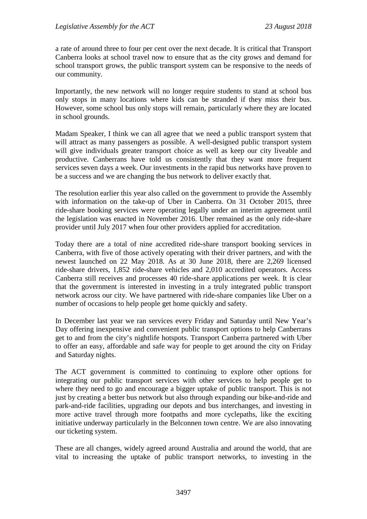a rate of around three to four per cent over the next decade. It is critical that Transport Canberra looks at school travel now to ensure that as the city grows and demand for school transport grows, the public transport system can be responsive to the needs of our community.

Importantly, the new network will no longer require students to stand at school bus only stops in many locations where kids can be stranded if they miss their bus. However, some school bus only stops will remain, particularly where they are located in school grounds.

Madam Speaker, I think we can all agree that we need a public transport system that will attract as many passengers as possible. A well-designed public transport system will give individuals greater transport choice as well as keep our city liveable and productive. Canberrans have told us consistently that they want more frequent services seven days a week. Our investments in the rapid bus networks have proven to be a success and we are changing the bus network to deliver exactly that.

The resolution earlier this year also called on the government to provide the Assembly with information on the take-up of Uber in Canberra. On 31 October 2015, three ride-share booking services were operating legally under an interim agreement until the legislation was enacted in November 2016. Uber remained as the only ride-share provider until July 2017 when four other providers applied for accreditation.

Today there are a total of nine accredited ride-share transport booking services in Canberra, with five of those actively operating with their driver partners, and with the newest launched on 22 May 2018. As at 30 June 2018, there are 2,269 licensed ride-share drivers, 1,852 ride-share vehicles and 2,010 accredited operators. Access Canberra still receives and processes 40 ride-share applications per week. It is clear that the government is interested in investing in a truly integrated public transport network across our city. We have partnered with ride-share companies like Uber on a number of occasions to help people get home quickly and safety.

In December last year we ran services every Friday and Saturday until New Year's Day offering inexpensive and convenient public transport options to help Canberrans get to and from the city's nightlife hotspots. Transport Canberra partnered with Uber to offer an easy, affordable and safe way for people to get around the city on Friday and Saturday nights.

The ACT government is committed to continuing to explore other options for integrating our public transport services with other services to help people get to where they need to go and encourage a bigger uptake of public transport. This is not just by creating a better bus network but also through expanding our bike-and-ride and park-and-ride facilities, upgrading our depots and bus interchanges, and investing in more active travel through more footpaths and more cyclepaths, like the exciting initiative underway particularly in the Belconnen town centre. We are also innovating our ticketing system.

These are all changes, widely agreed around Australia and around the world, that are vital to increasing the uptake of public transport networks, to investing in the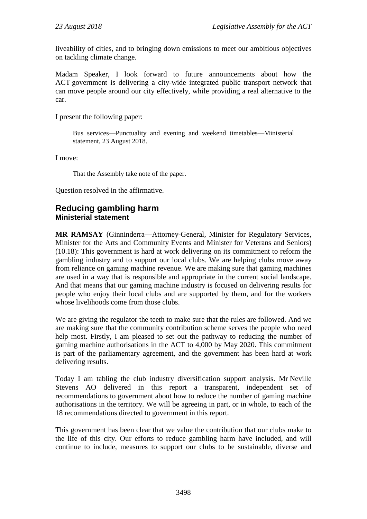liveability of cities, and to bringing down emissions to meet our ambitious objectives on tackling climate change.

Madam Speaker, I look forward to future announcements about how the ACT government is delivering a city-wide integrated public transport network that can move people around our city effectively, while providing a real alternative to the car.

I present the following paper:

Bus services—Punctuality and evening and weekend timetables—Ministerial statement, 23 August 2018.

I move:

That the Assembly take note of the paper.

Question resolved in the affirmative.

## <span id="page-9-1"></span><span id="page-9-0"></span>**Reducing gambling harm Ministerial statement**

**MR RAMSAY** (Ginninderra—Attorney-General, Minister for Regulatory Services, Minister for the Arts and Community Events and Minister for Veterans and Seniors) (10.18): This government is hard at work delivering on its commitment to reform the gambling industry and to support our local clubs. We are helping clubs move away from reliance on gaming machine revenue. We are making sure that gaming machines are used in a way that is responsible and appropriate in the current social landscape. And that means that our gaming machine industry is focused on delivering results for people who enjoy their local clubs and are supported by them, and for the workers whose livelihoods come from those clubs.

We are giving the regulator the teeth to make sure that the rules are followed. And we are making sure that the community contribution scheme serves the people who need help most. Firstly, I am pleased to set out the pathway to reducing the number of gaming machine authorisations in the ACT to 4,000 by May 2020. This commitment is part of the parliamentary agreement, and the government has been hard at work delivering results.

Today I am tabling the club industry diversification support analysis. Mr Neville Stevens AO delivered in this report a transparent, independent set of recommendations to government about how to reduce the number of gaming machine authorisations in the territory. We will be agreeing in part, or in whole, to each of the 18 recommendations directed to government in this report.

This government has been clear that we value the contribution that our clubs make to the life of this city. Our efforts to reduce gambling harm have included, and will continue to include, measures to support our clubs to be sustainable, diverse and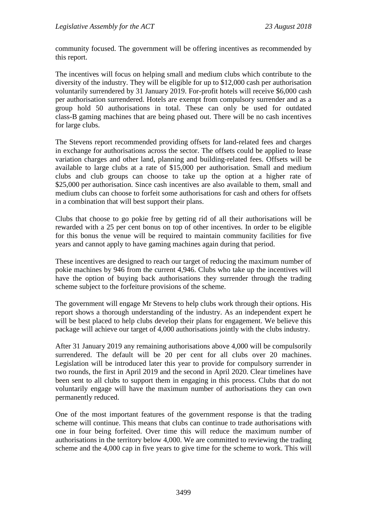community focused. The government will be offering incentives as recommended by this report.

The incentives will focus on helping small and medium clubs which contribute to the diversity of the industry. They will be eligible for up to \$12,000 cash per authorisation voluntarily surrendered by 31 January 2019. For-profit hotels will receive \$6,000 cash per authorisation surrendered. Hotels are exempt from compulsory surrender and as a group hold 50 authorisations in total. These can only be used for outdated class-B gaming machines that are being phased out. There will be no cash incentives for large clubs.

The Stevens report recommended providing offsets for land-related fees and charges in exchange for authorisations across the sector. The offsets could be applied to lease variation charges and other land, planning and building-related fees. Offsets will be available to large clubs at a rate of \$15,000 per authorisation. Small and medium clubs and club groups can choose to take up the option at a higher rate of \$25,000 per authorisation. Since cash incentives are also available to them, small and medium clubs can choose to forfeit some authorisations for cash and others for offsets in a combination that will best support their plans.

Clubs that choose to go pokie free by getting rid of all their authorisations will be rewarded with a 25 per cent bonus on top of other incentives. In order to be eligible for this bonus the venue will be required to maintain community facilities for five years and cannot apply to have gaming machines again during that period.

These incentives are designed to reach our target of reducing the maximum number of pokie machines by 946 from the current 4,946. Clubs who take up the incentives will have the option of buying back authorisations they surrender through the trading scheme subject to the forfeiture provisions of the scheme.

The government will engage Mr Stevens to help clubs work through their options. His report shows a thorough understanding of the industry. As an independent expert he will be best placed to help clubs develop their plans for engagement. We believe this package will achieve our target of 4,000 authorisations jointly with the clubs industry.

After 31 January 2019 any remaining authorisations above 4,000 will be compulsorily surrendered. The default will be 20 per cent for all clubs over 20 machines. Legislation will be introduced later this year to provide for compulsory surrender in two rounds, the first in April 2019 and the second in April 2020. Clear timelines have been sent to all clubs to support them in engaging in this process. Clubs that do not voluntarily engage will have the maximum number of authorisations they can own permanently reduced.

One of the most important features of the government response is that the trading scheme will continue. This means that clubs can continue to trade authorisations with one in four being forfeited. Over time this will reduce the maximum number of authorisations in the territory below 4,000. We are committed to reviewing the trading scheme and the 4,000 cap in five years to give time for the scheme to work. This will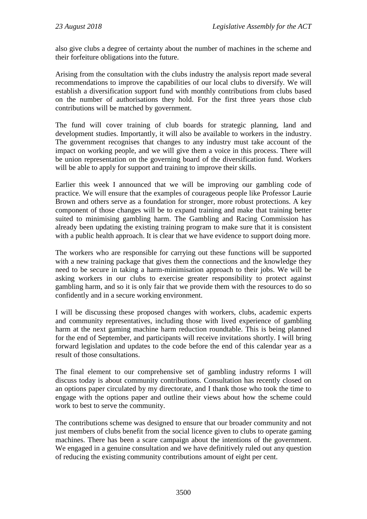also give clubs a degree of certainty about the number of machines in the scheme and their forfeiture obligations into the future.

Arising from the consultation with the clubs industry the analysis report made several recommendations to improve the capabilities of our local clubs to diversify. We will establish a diversification support fund with monthly contributions from clubs based on the number of authorisations they hold. For the first three years those club contributions will be matched by government.

The fund will cover training of club boards for strategic planning, land and development studies. Importantly, it will also be available to workers in the industry. The government recognises that changes to any industry must take account of the impact on working people, and we will give them a voice in this process. There will be union representation on the governing board of the diversification fund. Workers will be able to apply for support and training to improve their skills.

Earlier this week I announced that we will be improving our gambling code of practice. We will ensure that the examples of courageous people like Professor Laurie Brown and others serve as a foundation for stronger, more robust protections. A key component of those changes will be to expand training and make that training better suited to minimising gambling harm. The Gambling and Racing Commission has already been updating the existing training program to make sure that it is consistent with a public health approach. It is clear that we have evidence to support doing more.

The workers who are responsible for carrying out these functions will be supported with a new training package that gives them the connections and the knowledge they need to be secure in taking a harm-minimisation approach to their jobs. We will be asking workers in our clubs to exercise greater responsibility to protect against gambling harm, and so it is only fair that we provide them with the resources to do so confidently and in a secure working environment.

I will be discussing these proposed changes with workers, clubs, academic experts and community representatives, including those with lived experience of gambling harm at the next gaming machine harm reduction roundtable. This is being planned for the end of September, and participants will receive invitations shortly. I will bring forward legislation and updates to the code before the end of this calendar year as a result of those consultations.

The final element to our comprehensive set of gambling industry reforms I will discuss today is about community contributions. Consultation has recently closed on an options paper circulated by my directorate, and I thank those who took the time to engage with the options paper and outline their views about how the scheme could work to best to serve the community.

The contributions scheme was designed to ensure that our broader community and not just members of clubs benefit from the social licence given to clubs to operate gaming machines. There has been a scare campaign about the intentions of the government. We engaged in a genuine consultation and we have definitively ruled out any question of reducing the existing community contributions amount of eight per cent.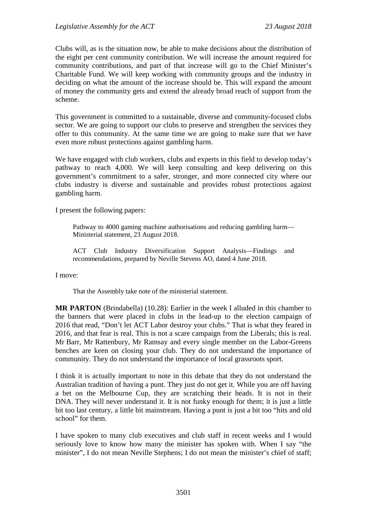Clubs will, as is the situation now, be able to make decisions about the distribution of the eight per cent community contribution. We will increase the amount required for community contributions, and part of that increase will go to the Chief Minister's Charitable Fund. We will keep working with community groups and the industry in deciding on what the amount of the increase should be. This will expand the amount of money the community gets and extend the already broad reach of support from the scheme.

This government is committed to a sustainable, diverse and community-focused clubs sector. We are going to support our clubs to preserve and strengthen the services they offer to this community. At the same time we are going to make sure that we have even more robust protections against gambling harm.

We have engaged with club workers, clubs and experts in this field to develop today's pathway to reach 4,000. We will keep consulting and keep delivering on this government's commitment to a safer, stronger, and more connected city where our clubs industry is diverse and sustainable and provides robust protections against gambling harm.

I present the following papers:

Pathway to 4000 gaming machine authorisations and reducing gambling harm— Ministerial statement, 23 August 2018.

ACT Club Industry Diversification Support Analysis—Findings and recommendations, prepared by Neville Stevens AO, dated 4 June 2018.

I move:

That the Assembly take note of the ministerial statement.

**MR PARTON** (Brindabella) (10.28): Earlier in the week I alluded in this chamber to the banners that were placed in clubs in the lead-up to the election campaign of 2016 that read, "Don't let ACT Labor destroy your clubs." That is what they feared in 2016, and that fear is real. This is not a scare campaign from the Liberals; this is real. Mr Barr, Mr Rattenbury, Mr Ramsay and every single member on the Labor-Greens benches are keen on closing your club. They do not understand the importance of community. They do not understand the importance of local grassroots sport.

I think it is actually important to note in this debate that they do not understand the Australian tradition of having a punt. They just do not get it. While you are off having a bet on the Melbourne Cup, they are scratching their heads. It is not in their DNA. They will never understand it. It is not funky enough for them; it is just a little bit too last century, a little bit mainstream. Having a punt is just a bit too "hits and old school" for them.

I have spoken to many club executives and club staff in recent weeks and I would seriously love to know how many the minister has spoken with. When I say "the minister", I do not mean Neville Stephens; I do not mean the minister's chief of staff;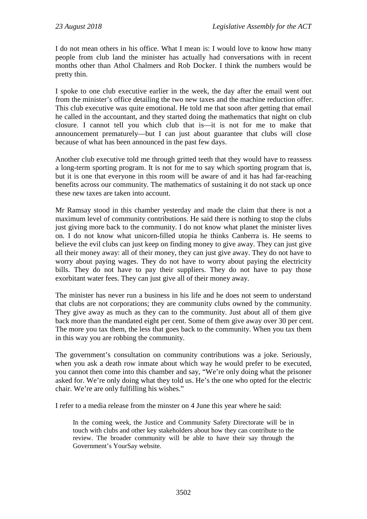I do not mean others in his office. What I mean is: I would love to know how many people from club land the minister has actually had conversations with in recent months other than Athol Chalmers and Rob Docker. I think the numbers would be pretty thin.

I spoke to one club executive earlier in the week, the day after the email went out from the minister's office detailing the two new taxes and the machine reduction offer. This club executive was quite emotional. He told me that soon after getting that email he called in the accountant, and they started doing the mathematics that night on club closure. I cannot tell you which club that is—it is not for me to make that announcement prematurely—but I can just about guarantee that clubs will close because of what has been announced in the past few days.

Another club executive told me through gritted teeth that they would have to reassess a long-term sporting program. It is not for me to say which sporting program that is, but it is one that everyone in this room will be aware of and it has had far-reaching benefits across our community. The mathematics of sustaining it do not stack up once these new taxes are taken into account.

Mr Ramsay stood in this chamber yesterday and made the claim that there is not a maximum level of community contributions. He said there is nothing to stop the clubs just giving more back to the community. I do not know what planet the minister lives on. I do not know what unicorn-filled utopia he thinks Canberra is. He seems to believe the evil clubs can just keep on finding money to give away. They can just give all their money away: all of their money, they can just give away. They do not have to worry about paying wages. They do not have to worry about paying the electricity bills. They do not have to pay their suppliers. They do not have to pay those exorbitant water fees. They can just give all of their money away.

The minister has never run a business in his life and he does not seem to understand that clubs are not corporations; they are community clubs owned by the community. They give away as much as they can to the community. Just about all of them give back more than the mandated eight per cent. Some of them give away over 30 per cent. The more you tax them, the less that goes back to the community. When you tax them in this way you are robbing the community.

The government's consultation on community contributions was a joke. Seriously, when you ask a death row inmate about which way he would prefer to be executed, you cannot then come into this chamber and say, "We're only doing what the prisoner asked for. We're only doing what they told us. He's the one who opted for the electric chair. We're are only fulfilling his wishes."

I refer to a media release from the minster on 4 June this year where he said:

In the coming week, the Justice and Community Safety Directorate will be in touch with clubs and other key stakeholders about how they can contribute to the review. The broader community will be able to have their say through the Government's [YourSay website.](https://yoursay.act.gov.au/)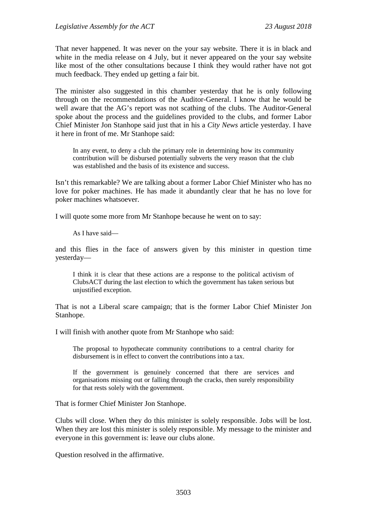That never happened. It was never on the your say website. There it is in black and white in the media release on 4 July, but it never appeared on the your say website like most of the other consultations because I think they would rather have not got much feedback. They ended up getting a fair bit.

The minister also suggested in this chamber yesterday that he is only following through on the recommendations of the Auditor-General. I know that he would be well aware that the AG's report was not scathing of the clubs. The Auditor-General spoke about the process and the guidelines provided to the clubs, and former Labor Chief Minister Jon Stanhope said just that in his a *City News* article yesterday. I have it here in front of me. Mr Stanhope said:

In any event, to deny a club the primary role in determining how its community contribution will be disbursed potentially subverts the very reason that the club was established and the basis of its existence and success.

Isn't this remarkable? We are talking about a former Labor Chief Minister who has no love for poker machines. He has made it abundantly clear that he has no love for poker machines whatsoever.

I will quote some more from Mr Stanhope because he went on to say:

As I have said—

and this flies in the face of answers given by this minister in question time yesterday—

I think it is clear that these actions are a response to the political activism of ClubsACT during the last election to which the government has taken serious but unjustified exception.

That is not a Liberal scare campaign; that is the former Labor Chief Minister Jon Stanhope.

I will finish with another quote from Mr Stanhope who said:

The proposal to hypothecate community contributions to a central charity for disbursement is in effect to convert the contributions into a tax.

If the government is genuinely concerned that there are services and organisations missing out or falling through the cracks, then surely responsibility for that rests solely with the government.

That is former Chief Minister Jon Stanhope.

Clubs will close. When they do this minister is solely responsible. Jobs will be lost. When they are lost this minister is solely responsible. My message to the minister and everyone in this government is: leave our clubs alone.

Question resolved in the affirmative.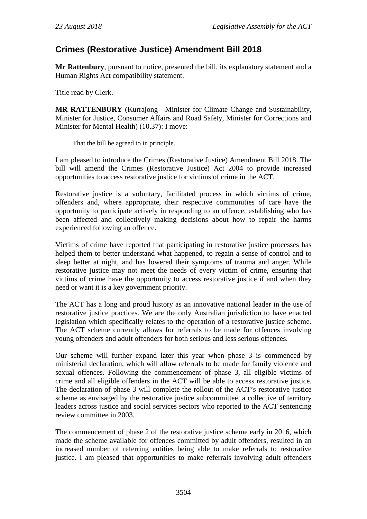## <span id="page-15-0"></span>**Crimes (Restorative Justice) Amendment Bill 2018**

**Mr Rattenbury**, pursuant to notice, presented the bill, its explanatory statement and a Human Rights Act compatibility statement.

Title read by Clerk.

**MR RATTENBURY** (Kurrajong—Minister for Climate Change and Sustainability, Minister for Justice, Consumer Affairs and Road Safety, Minister for Corrections and Minister for Mental Health) (10.37): I move:

That the bill be agreed to in principle.

I am pleased to introduce the Crimes (Restorative Justice) Amendment Bill 2018. The bill will amend the Crimes (Restorative Justice) Act 2004 to provide increased opportunities to access restorative justice for victims of crime in the ACT.

Restorative justice is a voluntary, facilitated process in which victims of crime, offenders and, where appropriate, their respective communities of care have the opportunity to participate actively in responding to an offence, establishing who has been affected and collectively making decisions about how to repair the harms experienced following an offence.

Victims of crime have reported that participating in restorative justice processes has helped them to better understand what happened, to regain a sense of control and to sleep better at night, and has lowered their symptoms of trauma and anger. While restorative justice may not meet the needs of every victim of crime, ensuring that victims of crime have the opportunity to access restorative justice if and when they need or want it is a key government priority.

The ACT has a long and proud history as an innovative national leader in the use of restorative justice practices. We are the only Australian jurisdiction to have enacted legislation which specifically relates to the operation of a restorative justice scheme. The ACT scheme currently allows for referrals to be made for offences involving young offenders and adult offenders for both serious and less serious offences.

Our scheme will further expand later this year when phase 3 is commenced by ministerial declaration, which will allow referrals to be made for family violence and sexual offences. Following the commencement of phase 3, all eligible victims of crime and all eligible offenders in the ACT will be able to access restorative justice. The declaration of phase 3 will complete the rollout of the ACT's restorative justice scheme as envisaged by the restorative justice subcommittee, a collective of territory leaders across justice and social services sectors who reported to the ACT sentencing review committee in 2003.

The commencement of phase 2 of the restorative justice scheme early in 2016, which made the scheme available for offences committed by adult offenders, resulted in an increased number of referring entities being able to make referrals to restorative justice. I am pleased that opportunities to make referrals involving adult offenders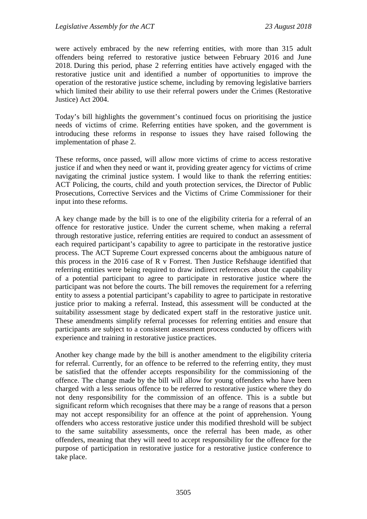were actively embraced by the new referring entities, with more than 315 adult offenders being referred to restorative justice between February 2016 and June 2018. During this period, phase 2 referring entities have actively engaged with the restorative justice unit and identified a number of opportunities to improve the operation of the restorative justice scheme, including by removing legislative barriers which limited their ability to use their referral powers under the Crimes (Restorative Justice) Act 2004.

Today's bill highlights the government's continued focus on prioritising the justice needs of victims of crime. Referring entities have spoken, and the government is introducing these reforms in response to issues they have raised following the implementation of phase 2.

These reforms, once passed, will allow more victims of crime to access restorative justice if and when they need or want it, providing greater agency for victims of crime navigating the criminal justice system. I would like to thank the referring entities: ACT Policing, the courts, child and youth protection services, the Director of Public Prosecutions, Corrective Services and the Victims of Crime Commissioner for their input into these reforms.

A key change made by the bill is to one of the eligibility criteria for a referral of an offence for restorative justice. Under the current scheme, when making a referral through restorative justice, referring entities are required to conduct an assessment of each required participant's capability to agree to participate in the restorative justice process. The ACT Supreme Court expressed concerns about the ambiguous nature of this process in the 2016 case of R v Forrest. Then Justice Refshauge identified that referring entities were being required to draw indirect references about the capability of a potential participant to agree to participate in restorative justice where the participant was not before the courts. The bill removes the requirement for a referring entity to assess a potential participant's capability to agree to participate in restorative justice prior to making a referral. Instead, this assessment will be conducted at the suitability assessment stage by dedicated expert staff in the restorative justice unit. These amendments simplify referral processes for referring entities and ensure that participants are subject to a consistent assessment process conducted by officers with experience and training in restorative justice practices.

Another key change made by the bill is another amendment to the eligibility criteria for referral. Currently, for an offence to be referred to the referring entity, they must be satisfied that the offender accepts responsibility for the commissioning of the offence. The change made by the bill will allow for young offenders who have been charged with a less serious offence to be referred to restorative justice where they do not deny responsibility for the commission of an offence. This is a subtle but significant reform which recognises that there may be a range of reasons that a person may not accept responsibility for an offence at the point of apprehension. Young offenders who access restorative justice under this modified threshold will be subject to the same suitability assessments, once the referral has been made, as other offenders, meaning that they will need to accept responsibility for the offence for the purpose of participation in restorative justice for a restorative justice conference to take place.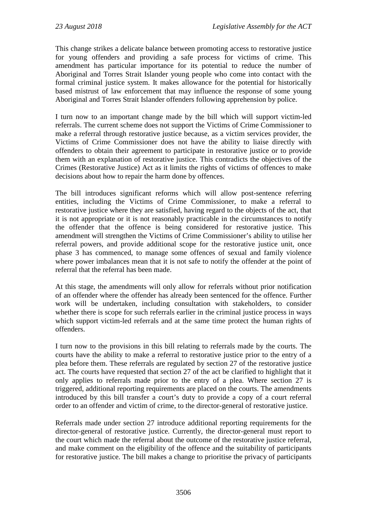This change strikes a delicate balance between promoting access to restorative justice for young offenders and providing a safe process for victims of crime. This amendment has particular importance for its potential to reduce the number of Aboriginal and Torres Strait Islander young people who come into contact with the formal criminal justice system. It makes allowance for the potential for historically based mistrust of law enforcement that may influence the response of some young Aboriginal and Torres Strait Islander offenders following apprehension by police.

I turn now to an important change made by the bill which will support victim-led referrals. The current scheme does not support the Victims of Crime Commissioner to make a referral through restorative justice because, as a victim services provider, the Victims of Crime Commissioner does not have the ability to liaise directly with offenders to obtain their agreement to participate in restorative justice or to provide them with an explanation of restorative justice. This contradicts the objectives of the Crimes (Restorative Justice) Act as it limits the rights of victims of offences to make decisions about how to repair the harm done by offences.

The bill introduces significant reforms which will allow post-sentence referring entities, including the Victims of Crime Commissioner, to make a referral to restorative justice where they are satisfied, having regard to the objects of the act, that it is not appropriate or it is not reasonably practicable in the circumstances to notify the offender that the offence is being considered for restorative justice. This amendment will strengthen the Victims of Crime Commissioner's ability to utilise her referral powers, and provide additional scope for the restorative justice unit, once phase 3 has commenced, to manage some offences of sexual and family violence where power imbalances mean that it is not safe to notify the offender at the point of referral that the referral has been made.

At this stage, the amendments will only allow for referrals without prior notification of an offender where the offender has already been sentenced for the offence. Further work will be undertaken, including consultation with stakeholders, to consider whether there is scope for such referrals earlier in the criminal justice process in ways which support victim-led referrals and at the same time protect the human rights of offenders.

I turn now to the provisions in this bill relating to referrals made by the courts. The courts have the ability to make a referral to restorative justice prior to the entry of a plea before them. These referrals are regulated by section 27 of the restorative justice act. The courts have requested that section 27 of the act be clarified to highlight that it only applies to referrals made prior to the entry of a plea. Where section 27 is triggered, additional reporting requirements are placed on the courts. The amendments introduced by this bill transfer a court's duty to provide a copy of a court referral order to an offender and victim of crime, to the director-general of restorative justice.

Referrals made under section 27 introduce additional reporting requirements for the director-general of restorative justice. Currently, the director-general must report to the court which made the referral about the outcome of the restorative justice referral, and make comment on the eligibility of the offence and the suitability of participants for restorative justice. The bill makes a change to prioritise the privacy of participants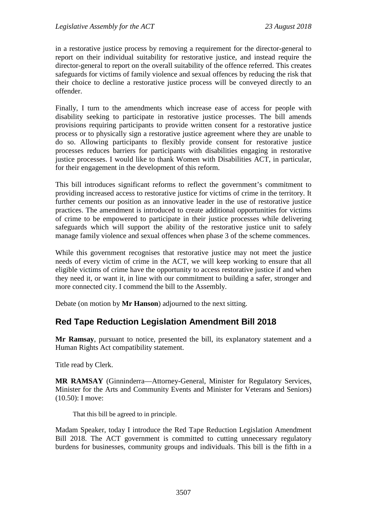in a restorative justice process by removing a requirement for the director-general to report on their individual suitability for restorative justice, and instead require the director-general to report on the overall suitability of the offence referred. This creates safeguards for victims of family violence and sexual offences by reducing the risk that their choice to decline a restorative justice process will be conveyed directly to an offender.

Finally, I turn to the amendments which increase ease of access for people with disability seeking to participate in restorative justice processes. The bill amends provisions requiring participants to provide written consent for a restorative justice process or to physically sign a restorative justice agreement where they are unable to do so. Allowing participants to flexibly provide consent for restorative justice processes reduces barriers for participants with disabilities engaging in restorative justice processes. I would like to thank Women with Disabilities ACT, in particular, for their engagement in the development of this reform.

This bill introduces significant reforms to reflect the government's commitment to providing increased access to restorative justice for victims of crime in the territory. It further cements our position as an innovative leader in the use of restorative justice practices. The amendment is introduced to create additional opportunities for victims of crime to be empowered to participate in their justice processes while delivering safeguards which will support the ability of the restorative justice unit to safely manage family violence and sexual offences when phase 3 of the scheme commences.

While this government recognises that restorative justice may not meet the justice needs of every victim of crime in the ACT, we will keep working to ensure that all eligible victims of crime have the opportunity to access restorative justice if and when they need it, or want it, in line with our commitment to building a safer, stronger and more connected city. I commend the bill to the Assembly.

Debate (on motion by **Mr Hanson**) adjourned to the next sitting.

## <span id="page-18-0"></span>**Red Tape Reduction Legislation Amendment Bill 2018**

**Mr Ramsay**, pursuant to notice, presented the bill, its explanatory statement and a Human Rights Act compatibility statement.

Title read by Clerk.

**MR RAMSAY** (Ginninderra—Attorney-General, Minister for Regulatory Services, Minister for the Arts and Community Events and Minister for Veterans and Seniors) (10.50): I move:

That this bill be agreed to in principle.

Madam Speaker, today I introduce the Red Tape Reduction Legislation Amendment Bill 2018. The ACT government is committed to cutting unnecessary regulatory burdens for businesses, community groups and individuals. This bill is the fifth in a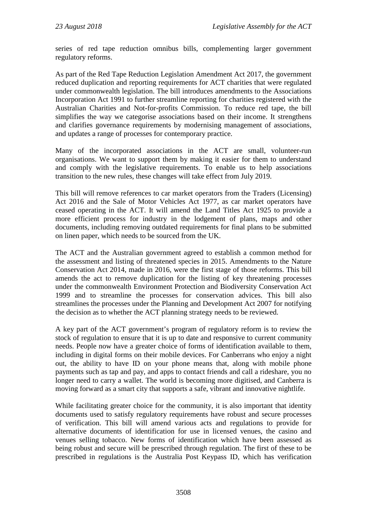series of red tape reduction omnibus bills, complementing larger government regulatory reforms.

As part of the Red Tape Reduction Legislation Amendment Act 2017, the government reduced duplication and reporting requirements for ACT charities that were regulated under commonwealth legislation. The bill introduces amendments to the Associations Incorporation Act 1991 to further streamline reporting for charities registered with the Australian Charities and Not-for-profits Commission. To reduce red tape, the bill simplifies the way we categorise associations based on their income. It strengthens and clarifies governance requirements by modernising management of associations, and updates a range of processes for contemporary practice.

Many of the incorporated associations in the ACT are small, volunteer-run organisations. We want to support them by making it easier for them to understand and comply with the legislative requirements. To enable us to help associations transition to the new rules, these changes will take effect from July 2019.

This bill will remove references to car market operators from the Traders (Licensing) Act 2016 and the Sale of Motor Vehicles Act 1977, as car market operators have ceased operating in the ACT. It will amend the Land Titles Act 1925 to provide a more efficient process for industry in the lodgement of plans, maps and other documents, including removing outdated requirements for final plans to be submitted on linen paper, which needs to be sourced from the UK.

The ACT and the Australian government agreed to establish a common method for the assessment and listing of threatened species in 2015. Amendments to the Nature Conservation Act 2014, made in 2016, were the first stage of those reforms. This bill amends the act to remove duplication for the listing of key threatening processes under the commonwealth Environment Protection and Biodiversity Conservation Act 1999 and to streamline the processes for conservation advices. This bill also streamlines the processes under the Planning and Development Act 2007 for notifying the decision as to whether the ACT planning strategy needs to be reviewed.

A key part of the ACT government's program of regulatory reform is to review the stock of regulation to ensure that it is up to date and responsive to current community needs. People now have a greater choice of forms of identification available to them, including in digital forms on their mobile devices. For Canberrans who enjoy a night out, the ability to have ID on your phone means that, along with mobile phone payments such as tap and pay, and apps to contact friends and call a rideshare, you no longer need to carry a wallet. The world is becoming more digitised, and Canberra is moving forward as a smart city that supports a safe, vibrant and innovative nightlife.

While facilitating greater choice for the community, it is also important that identity documents used to satisfy regulatory requirements have robust and secure processes of verification. This bill will amend various acts and regulations to provide for alternative documents of identification for use in licensed venues, the casino and venues selling tobacco. New forms of identification which have been assessed as being robust and secure will be prescribed through regulation. The first of these to be prescribed in regulations is the Australia Post Keypass ID, which has verification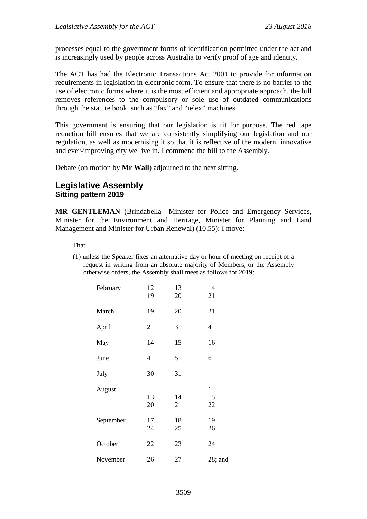processes equal to the government forms of identification permitted under the act and is increasingly used by people across Australia to verify proof of age and identity.

The ACT has had the Electronic Transactions Act 2001 to provide for information requirements in legislation in electronic form. To ensure that there is no barrier to the use of electronic forms where it is the most efficient and appropriate approach, the bill removes references to the compulsory or sole use of outdated communications through the statute book, such as "fax" and "telex" machines.

This government is ensuring that our legislation is fit for purpose. The red tape reduction bill ensures that we are consistently simplifying our legislation and our regulation, as well as modernising it so that it is reflective of the modern, innovative and ever-improving city we live in. I commend the bill to the Assembly.

Debate (on motion by **Mr Wall**) adjourned to the next sitting.

## <span id="page-20-1"></span><span id="page-20-0"></span>**Legislative Assembly Sitting pattern 2019**

**MR GENTLEMAN** (Brindabella—Minister for Police and Emergency Services, Minister for the Environment and Heritage, Minister for Planning and Land Management and Minister for Urban Renewal) (10.55): I move:

That:

(1) unless the Speaker fixes an alternative day or hour of meeting on receipt of a request in writing from an absolute majority of Members, or the Assembly otherwise orders, the Assembly shall meet as follows for 2019:

| February  | 12<br>19       | 13<br>20 | 14<br>21                 |
|-----------|----------------|----------|--------------------------|
| March     | 19             | 20       | 21                       |
| April     | $\overline{2}$ | 3        | $\overline{4}$           |
| May       | 14             | 15       | 16                       |
| June      | $\overline{4}$ | 5        | 6                        |
| July      | 30             | 31       |                          |
| August    | 13<br>20       | 14<br>21 | $\mathbf{1}$<br>15<br>22 |
| September | 17<br>24       | 18<br>25 | 19<br>26                 |
| October   | 22             | 23       | 24                       |
| November  | 26             | 27       | $28$ ; and               |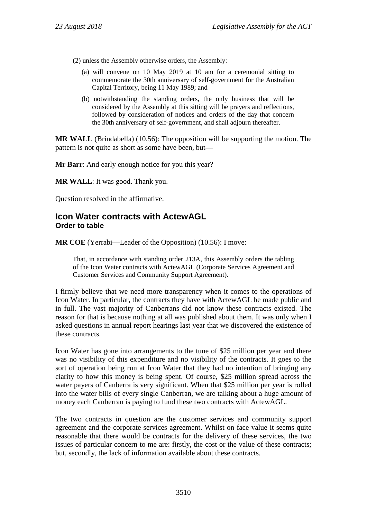- (2) unless the Assembly otherwise orders, the Assembly:
	- (a) will convene on 10 May 2019 at 10 am for a ceremonial sitting to commemorate the 30th anniversary of self-government for the Australian Capital Territory, being 11 May 1989; and
	- (b) notwithstanding the standing orders, the only business that will be considered by the Assembly at this sitting will be prayers and reflections, followed by consideration of notices and orders of the day that concern the 30th anniversary of self-government, and shall adjourn thereafter.

**MR WALL** (Brindabella) (10.56): The opposition will be supporting the motion. The pattern is not quite as short as some have been, but—

**Mr Barr**: And early enough notice for you this year?

**MR WALL**: It was good. Thank you.

Question resolved in the affirmative.

## <span id="page-21-0"></span>**Icon Water contracts with ActewAGL Order to table**

**MR COE** (Yerrabi—Leader of the Opposition) (10.56): I move:

That, in accordance with standing order 213A, this Assembly orders the tabling of the Icon Water contracts with ActewAGL (Corporate Services Agreement and Customer Services and Community Support Agreement).

I firmly believe that we need more transparency when it comes to the operations of Icon Water. In particular, the contracts they have with ActewAGL be made public and in full. The vast majority of Canberrans did not know these contracts existed. The reason for that is because nothing at all was published about them. It was only when I asked questions in annual report hearings last year that we discovered the existence of these contracts.

Icon Water has gone into arrangements to the tune of \$25 million per year and there was no visibility of this expenditure and no visibility of the contracts. It goes to the sort of operation being run at Icon Water that they had no intention of bringing any clarity to how this money is being spent. Of course, \$25 million spread across the water payers of Canberra is very significant. When that \$25 million per year is rolled into the water bills of every single Canberran, we are talking about a huge amount of money each Canberran is paying to fund these two contracts with ActewAGL.

The two contracts in question are the customer services and community support agreement and the corporate services agreement. Whilst on face value it seems quite reasonable that there would be contracts for the delivery of these services, the two issues of particular concern to me are: firstly, the cost or the value of these contracts; but, secondly, the lack of information available about these contracts.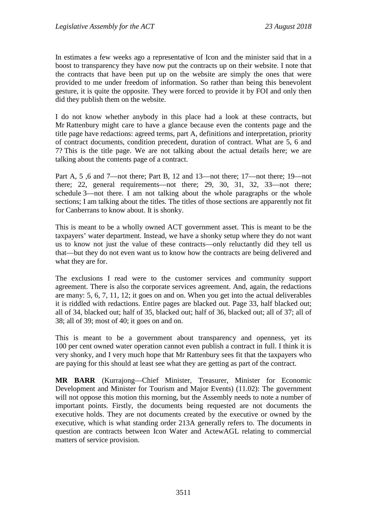In estimates a few weeks ago a representative of Icon and the minister said that in a boost to transparency they have now put the contracts up on their website. I note that the contracts that have been put up on the website are simply the ones that were provided to me under freedom of information. So rather than being this benevolent gesture, it is quite the opposite. They were forced to provide it by FOI and only then did they publish them on the website.

I do not know whether anybody in this place had a look at these contracts, but Mr Rattenbury might care to have a glance because even the contents page and the title page have redactions: agreed terms, part A, definitions and interpretation, priority of contract documents, condition precedent, duration of contract. What are 5, 6 and 7? This is the title page. We are not talking about the actual details here; we are talking about the contents page of a contract.

Part A, 5,6 and 7—not there; Part B, 12 and 13—not there; 17—not there; 19—not there; 22, general requirements—not there; 29, 30, 31, 32, 33—not there; schedule 3—not there. I am not talking about the whole paragraphs or the whole sections; I am talking about the titles. The titles of those sections are apparently not fit for Canberrans to know about. It is shonky.

This is meant to be a wholly owned ACT government asset. This is meant to be the taxpayers' water department. Instead, we have a shonky setup where they do not want us to know not just the value of these contracts—only reluctantly did they tell us that—but they do not even want us to know how the contracts are being delivered and what they are for.

The exclusions I read were to the customer services and community support agreement. There is also the corporate services agreement. And, again, the redactions are many: 5, 6, 7, 11, 12; it goes on and on. When you get into the actual deliverables it is riddled with redactions. Entire pages are blacked out. Page 33, half blacked out; all of 34, blacked out; half of 35, blacked out; half of 36, blacked out; all of 37; all of 38; all of 39; most of 40; it goes on and on.

This is meant to be a government about transparency and openness, yet its 100 per cent owned water operation cannot even publish a contract in full. I think it is very shonky, and I very much hope that Mr Rattenbury sees fit that the taxpayers who are paying for this should at least see what they are getting as part of the contract.

**MR BARR** (Kurrajong—Chief Minister, Treasurer, Minister for Economic Development and Minister for Tourism and Major Events) (11.02): The government will not oppose this motion this morning, but the Assembly needs to note a number of important points. Firstly, the documents being requested are not documents the executive holds. They are not documents created by the executive or owned by the executive, which is what standing order 213A generally refers to. The documents in question are contracts between Icon Water and ActewAGL relating to commercial matters of service provision.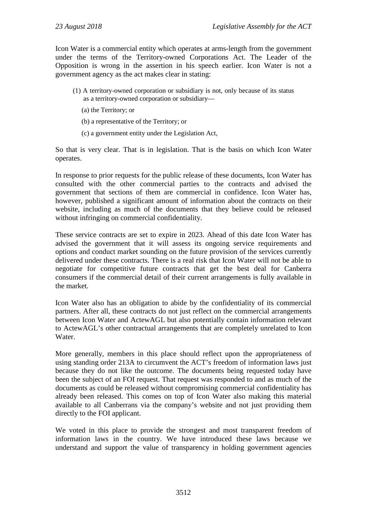Icon Water is a commercial entity which operates at arms-length from the government under the terms of the Territory-owned Corporations Act. The Leader of the Opposition is wrong in the assertion in his speech earlier. Icon Water is not a government agency as the act makes clear in stating:

- (1) A territory-owned corporation or subsidiary is not, only because of its status as a territory-owned corporation or subsidiary—
	- (a) the Territory; or
	- (b) a representative of the Territory; or
	- (c) a government entity under the Legislation Act,

So that is very clear. That is in legislation. That is the basis on which Icon Water operates.

In response to prior requests for the public release of these documents, Icon Water has consulted with the other commercial parties to the contracts and advised the government that sections of them are commercial in confidence. Icon Water has, however, published a significant amount of information about the contracts on their website, including as much of the documents that they believe could be released without infringing on commercial confidentiality.

These service contracts are set to expire in 2023. Ahead of this date Icon Water has advised the government that it will assess its ongoing service requirements and options and conduct market sounding on the future provision of the services currently delivered under these contracts. There is a real risk that Icon Water will not be able to negotiate for competitive future contracts that get the best deal for Canberra consumers if the commercial detail of their current arrangements is fully available in the market.

Icon Water also has an obligation to abide by the confidentiality of its commercial partners. After all, these contracts do not just reflect on the commercial arrangements between Icon Water and ActewAGL but also potentially contain information relevant to ActewAGL's other contractual arrangements that are completely unrelated to Icon Water.

More generally, members in this place should reflect upon the appropriateness of using standing order 213A to circumvent the ACT's freedom of information laws just because they do not like the outcome. The documents being requested today have been the subject of an FOI request. That request was responded to and as much of the documents as could be released without compromising commercial confidentiality has already been released. This comes on top of Icon Water also making this material available to all Canberrans via the company's website and not just providing them directly to the FOI applicant.

We voted in this place to provide the strongest and most transparent freedom of information laws in the country. We have introduced these laws because we understand and support the value of transparency in holding government agencies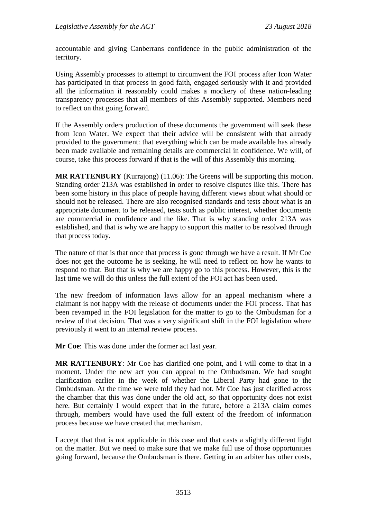accountable and giving Canberrans confidence in the public administration of the territory.

Using Assembly processes to attempt to circumvent the FOI process after Icon Water has participated in that process in good faith, engaged seriously with it and provided all the information it reasonably could makes a mockery of these nation-leading transparency processes that all members of this Assembly supported. Members need to reflect on that going forward.

If the Assembly orders production of these documents the government will seek these from Icon Water. We expect that their advice will be consistent with that already provided to the government: that everything which can be made available has already been made available and remaining details are commercial in confidence. We will, of course, take this process forward if that is the will of this Assembly this morning.

**MR RATTENBURY** (Kurrajong) (11.06): The Greens will be supporting this motion. Standing order 213A was established in order to resolve disputes like this. There has been some history in this place of people having different views about what should or should not be released. There are also recognised standards and tests about what is an appropriate document to be released, tests such as public interest, whether documents are commercial in confidence and the like. That is why standing order 213A was established, and that is why we are happy to support this matter to be resolved through that process today.

The nature of that is that once that process is gone through we have a result. If Mr Coe does not get the outcome he is seeking, he will need to reflect on how he wants to respond to that. But that is why we are happy go to this process. However, this is the last time we will do this unless the full extent of the FOI act has been used.

The new freedom of information laws allow for an appeal mechanism where a claimant is not happy with the release of documents under the FOI process. That has been revamped in the FOI legislation for the matter to go to the Ombudsman for a review of that decision. That was a very significant shift in the FOI legislation where previously it went to an internal review process.

**Mr Coe**: This was done under the former act last year.

**MR RATTENBURY**: Mr Coe has clarified one point, and I will come to that in a moment. Under the new act you can appeal to the Ombudsman. We had sought clarification earlier in the week of whether the Liberal Party had gone to the Ombudsman. At the time we were told they had not. Mr Coe has just clarified across the chamber that this was done under the old act, so that opportunity does not exist here. But certainly I would expect that in the future, before a 213A claim comes through, members would have used the full extent of the freedom of information process because we have created that mechanism.

I accept that that is not applicable in this case and that casts a slightly different light on the matter. But we need to make sure that we make full use of those opportunities going forward, because the Ombudsman is there. Getting in an arbiter has other costs,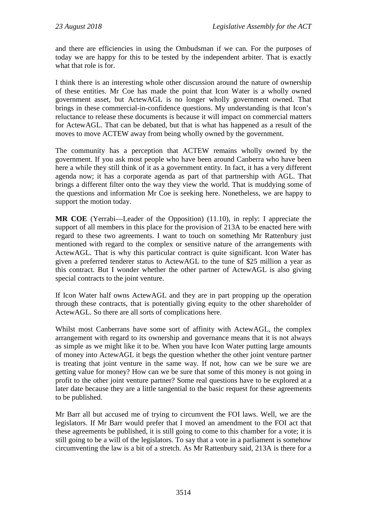and there are efficiencies in using the Ombudsman if we can. For the purposes of today we are happy for this to be tested by the independent arbiter. That is exactly what that role is for.

I think there is an interesting whole other discussion around the nature of ownership of these entities. Mr Coe has made the point that Icon Water is a wholly owned government asset, but ActewAGL is no longer wholly government owned. That brings in these commercial-in-confidence questions. My understanding is that Icon's reluctance to release these documents is because it will impact on commercial matters for ActewAGL. That can be debated, but that is what has happened as a result of the moves to move ACTEW away from being wholly owned by the government.

The community has a perception that ACTEW remains wholly owned by the government. If you ask most people who have been around Canberra who have been here a while they still think of it as a government entity. In fact, it has a very different agenda now; it has a corporate agenda as part of that partnership with AGL. That brings a different filter onto the way they view the world. That is muddying some of the questions and information Mr Coe is seeking here. Nonetheless, we are happy to support the motion today.

**MR COE** (Yerrabi—Leader of the Opposition) (11.10), in reply: I appreciate the support of all members in this place for the provision of 213A to be enacted here with regard to these two agreements. I want to touch on something Mr Rattenbury just mentioned with regard to the complex or sensitive nature of the arrangements with ActewAGL. That is why this particular contract is quite significant. Icon Water has given a preferred tenderer status to ActewAGL to the tune of \$25 million a year as this contract. But I wonder whether the other partner of ActewAGL is also giving special contracts to the joint venture.

If Icon Water half owns ActewAGL and they are in part propping up the operation through these contracts, that is potentially giving equity to the other shareholder of ActewAGL. So there are all sorts of complications here.

Whilst most Canberrans have some sort of affinity with ActewAGL, the complex arrangement with regard to its ownership and governance means that it is not always as simple as we might like it to be. When you have Icon Water putting large amounts of money into ActewAGL it begs the question whether the other joint venture partner is treating that joint venture in the same way. If not, how can we be sure we are getting value for money? How can we be sure that some of this money is not going in profit to the other joint venture partner? Some real questions have to be explored at a later date because they are a little tangential to the basic request for these agreements to be published.

Mr Barr all but accused me of trying to circumvent the FOI laws. Well, we are the legislators. If Mr Barr would prefer that I moved an amendment to the FOI act that these agreements be published, it is still going to come to this chamber for a vote; it is still going to be a will of the legislators. To say that a vote in a parliament is somehow circumventing the law is a bit of a stretch. As Mr Rattenbury said, 213A is there for a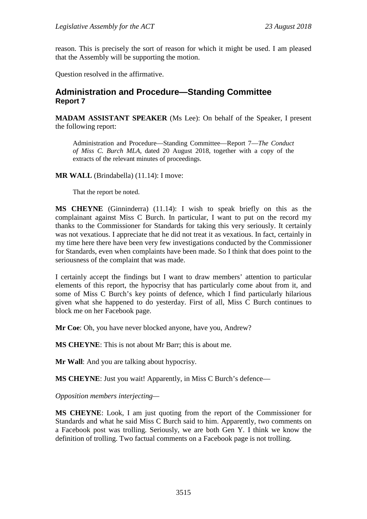reason. This is precisely the sort of reason for which it might be used. I am pleased that the Assembly will be supporting the motion.

Question resolved in the affirmative.

## <span id="page-26-0"></span>**Administration and Procedure—Standing Committee Report 7**

**MADAM ASSISTANT SPEAKER** (Ms Lee): On behalf of the Speaker, I present the following report:

Administration and Procedure—Standing Committee—Report 7—*The Conduct of Miss C. Burch MLA,* dated 20 August 2018, together with a copy of the extracts of the relevant minutes of proceedings.

**MR WALL** (Brindabella) (11.14): I move:

That the report be noted.

**MS CHEYNE** (Ginninderra) (11.14): I wish to speak briefly on this as the complainant against Miss C Burch. In particular, I want to put on the record my thanks to the Commissioner for Standards for taking this very seriously. It certainly was not vexatious. I appreciate that he did not treat it as vexatious. In fact, certainly in my time here there have been very few investigations conducted by the Commissioner for Standards, even when complaints have been made. So I think that does point to the seriousness of the complaint that was made.

I certainly accept the findings but I want to draw members' attention to particular elements of this report, the hypocrisy that has particularly come about from it, and some of Miss C Burch's key points of defence, which I find particularly hilarious given what she happened to do yesterday. First of all, Miss C Burch continues to block me on her Facebook page.

**Mr Coe**: Oh, you have never blocked anyone, have you, Andrew?

**MS CHEYNE**: This is not about Mr Barr; this is about me.

**Mr Wall**: And you are talking about hypocrisy.

**MS CHEYNE**: Just you wait! Apparently, in Miss C Burch's defence—

*Opposition members interjecting—*

**MS CHEYNE**: Look, I am just quoting from the report of the Commissioner for Standards and what he said Miss C Burch said to him. Apparently, two comments on a Facebook post was trolling. Seriously, we are both Gen Y. I think we know the definition of trolling. Two factual comments on a Facebook page is not trolling.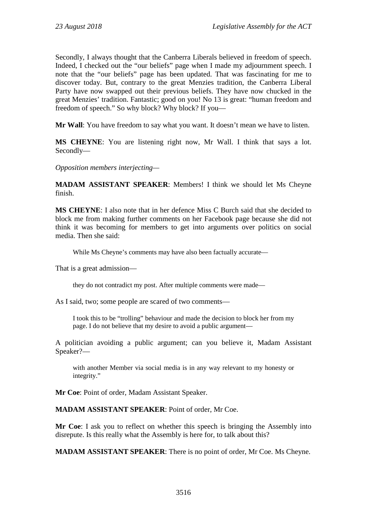Secondly, I always thought that the Canberra Liberals believed in freedom of speech. Indeed, I checked out the "our beliefs" page when I made my adjournment speech. I note that the "our beliefs" page has been updated. That was fascinating for me to discover today. But, contrary to the great Menzies tradition, the Canberra Liberal Party have now swapped out their previous beliefs. They have now chucked in the great Menzies' tradition. Fantastic; good on you! No 13 is great: "human freedom and freedom of speech." So why block? Why block? If you—

**Mr Wall**: You have freedom to say what you want. It doesn't mean we have to listen.

**MS CHEYNE**: You are listening right now, Mr Wall. I think that says a lot. Secondly—

*Opposition members interjecting—*

**MADAM ASSISTANT SPEAKER**: Members! I think we should let Ms Cheyne finish.

**MS CHEYNE**: I also note that in her defence Miss C Burch said that she decided to block me from making further comments on her Facebook page because she did not think it was becoming for members to get into arguments over politics on social media. Then she said:

While Ms Cheyne's comments may have also been factually accurate—

That is a great admission—

they do not contradict my post. After multiple comments were made—

As I said, two; some people are scared of two comments—

I took this to be "trolling" behaviour and made the decision to block her from my page. I do not believe that my desire to avoid a public argument—

A politician avoiding a public argument; can you believe it, Madam Assistant Speaker?—

with another Member via social media is in any way relevant to my honesty or integrity."

**Mr Coe**: Point of order, Madam Assistant Speaker.

**MADAM ASSISTANT SPEAKER**: Point of order, Mr Coe.

**Mr Coe**: I ask you to reflect on whether this speech is bringing the Assembly into disrepute. Is this really what the Assembly is here for, to talk about this?

**MADAM ASSISTANT SPEAKER**: There is no point of order, Mr Coe. Ms Cheyne.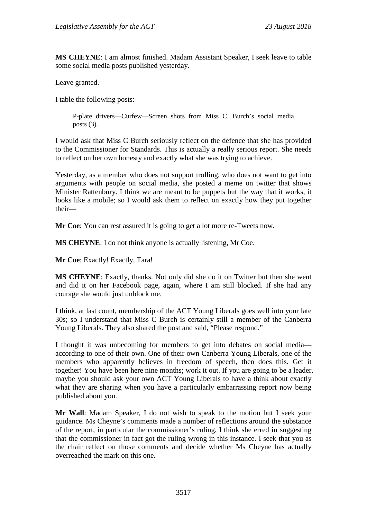**MS CHEYNE**: I am almost finished. Madam Assistant Speaker, I seek leave to table some social media posts published yesterday.

Leave granted.

I table the following posts:

P-plate drivers—Curfew—Screen shots from Miss C. Burch's social media posts (3).

I would ask that Miss C Burch seriously reflect on the defence that she has provided to the Commissioner for Standards. This is actually a really serious report. She needs to reflect on her own honesty and exactly what she was trying to achieve.

Yesterday, as a member who does not support trolling, who does not want to get into arguments with people on social media, she posted a meme on twitter that shows Minister Rattenbury. I think we are meant to be puppets but the way that it works, it looks like a mobile; so I would ask them to reflect on exactly how they put together their—

**Mr Coe**: You can rest assured it is going to get a lot more re-Tweets now.

**MS CHEYNE**: I do not think anyone is actually listening, Mr Coe.

**Mr Coe**: Exactly! Exactly, Tara!

**MS CHEYNE**: Exactly, thanks. Not only did she do it on Twitter but then she went and did it on her Facebook page, again, where I am still blocked. If she had any courage she would just unblock me.

I think, at last count, membership of the ACT Young Liberals goes well into your late 30s; so I understand that Miss C Burch is certainly still a member of the Canberra Young Liberals. They also shared the post and said, "Please respond."

I thought it was unbecoming for members to get into debates on social media according to one of their own. One of their own Canberra Young Liberals, one of the members who apparently believes in freedom of speech, then does this. Get it together! You have been here nine months; work it out. If you are going to be a leader, maybe you should ask your own ACT Young Liberals to have a think about exactly what they are sharing when you have a particularly embarrassing report now being published about you.

**Mr Wall**: Madam Speaker, I do not wish to speak to the motion but I seek your guidance. Ms Cheyne's comments made a number of reflections around the substance of the report, in particular the commissioner's ruling. I think she erred in suggesting that the commissioner in fact got the ruling wrong in this instance. I seek that you as the chair reflect on those comments and decide whether Ms Cheyne has actually overreached the mark on this one.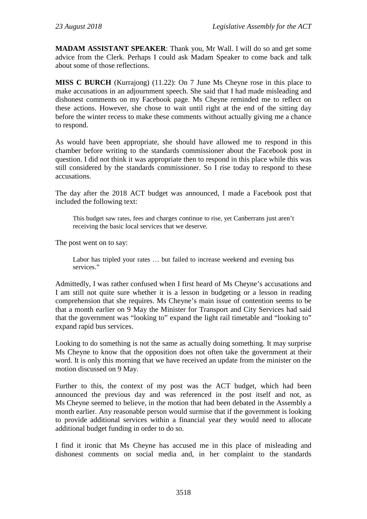**MADAM ASSISTANT SPEAKER**: Thank you, Mr Wall. I will do so and get some advice from the Clerk. Perhaps I could ask Madam Speaker to come back and talk about some of those reflections.

**MISS C BURCH** (Kurrajong) (11.22): On 7 June Ms Cheyne rose in this place to make accusations in an adjournment speech. She said that I had made misleading and dishonest comments on my Facebook page. Ms Cheyne reminded me to reflect on these actions. However, she chose to wait until right at the end of the sitting day before the winter recess to make these comments without actually giving me a chance to respond.

As would have been appropriate, she should have allowed me to respond in this chamber before writing to the standards commissioner about the Facebook post in question. I did not think it was appropriate then to respond in this place while this was still considered by the standards commissioner. So I rise today to respond to these accusations.

The day after the 2018 ACT budget was announced, I made a Facebook post that included the following text:

This budget saw rates, fees and charges continue to rise, yet Canberrans just aren't receiving the basic local services that we deserve.

The post went on to say:

Labor has tripled your rates … but failed to increase weekend and evening bus services."

Admittedly, I was rather confused when I first heard of Ms Cheyne's accusations and I am still not quite sure whether it is a lesson in budgeting or a lesson in reading comprehension that she requires. Ms Cheyne's main issue of contention seems to be that a month earlier on 9 May the Minister for Transport and City Services had said that the government was "looking to" expand the light rail timetable and "looking to" expand rapid bus services.

Looking to do something is not the same as actually doing something. It may surprise Ms Cheyne to know that the opposition does not often take the government at their word. It is only this morning that we have received an update from the minister on the motion discussed on 9 May.

Further to this, the context of my post was the ACT budget, which had been announced the previous day and was referenced in the post itself and not, as Ms Cheyne seemed to believe, in the motion that had been debated in the Assembly a month earlier. Any reasonable person would surmise that if the government is looking to provide additional services within a financial year they would need to allocate additional budget funding in order to do so.

I find it ironic that Ms Cheyne has accused me in this place of misleading and dishonest comments on social media and, in her complaint to the standards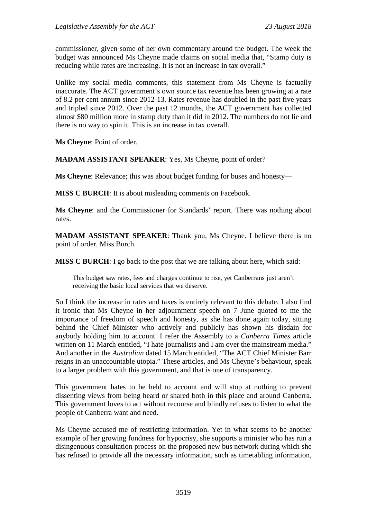commissioner, given some of her own commentary around the budget. The week the budget was announced Ms Cheyne made claims on social media that, "Stamp duty is reducing while rates are increasing. It is not an increase in tax overall."

Unlike my social media comments, this statement from Ms Cheyne is factually inaccurate. The ACT government's own source tax revenue has been growing at a rate of 8.2 per cent annum since 2012-13. Rates revenue has doubled in the past five years and tripled since 2012. Over the past 12 months, the ACT government has collected almost \$80 million more in stamp duty than it did in 2012. The numbers do not lie and there is no way to spin it. This is an increase in tax overall.

**Ms Cheyne**: Point of order.

**MADAM ASSISTANT SPEAKER**: Yes, Ms Cheyne, point of order?

**Ms Cheyne**: Relevance; this was about budget funding for buses and honesty—

**MISS C BURCH:** It is about misleading comments on Facebook.

**Ms Cheyne**: and the Commissioner for Standards' report. There was nothing about rates.

**MADAM ASSISTANT SPEAKER**: Thank you, Ms Cheyne. I believe there is no point of order. Miss Burch.

**MISS C BURCH**: I go back to the post that we are talking about here, which said:

This budget saw rates, fees and charges continue to rise, yet Canberrans just aren't receiving the basic local services that we deserve.

So I think the increase in rates and taxes is entirely relevant to this debate. I also find it ironic that Ms Cheyne in her adjournment speech on 7 June quoted to me the importance of freedom of speech and honesty, as she has done again today, sitting behind the Chief Minister who actively and publicly has shown his disdain for anybody holding him to account. I refer the Assembly to a *Canberra Times* article written on 11 March entitled, "I hate journalists and I am over the mainstream media." And another in the *Australian* dated 15 March entitled, "The ACT Chief Minister Barr reigns in an unaccountable utopia." These articles, and Ms Cheyne's behaviour, speak to a larger problem with this government, and that is one of transparency.

This government hates to be held to account and will stop at nothing to prevent dissenting views from being heard or shared both in this place and around Canberra. This government loves to act without recourse and blindly refuses to listen to what the people of Canberra want and need.

Ms Cheyne accused me of restricting information. Yet in what seems to be another example of her growing fondness for hypocrisy, she supports a minister who has run a disingenuous consultation process on the proposed new bus network during which she has refused to provide all the necessary information, such as timetabling information,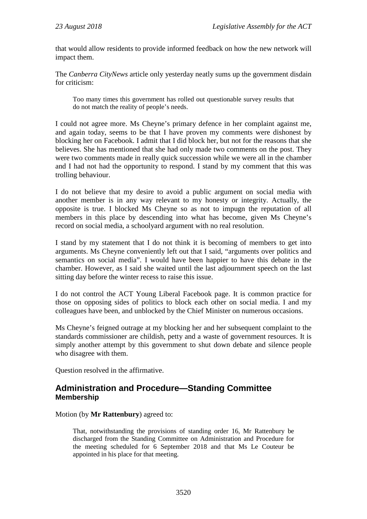that would allow residents to provide informed feedback on how the new network will impact them.

The *Canberra CityNews* article only yesterday neatly sums up the government disdain for criticism:

Too many times this government has rolled out questionable survey results that do not match the reality of people's needs.

I could not agree more. Ms Cheyne's primary defence in her complaint against me, and again today, seems to be that I have proven my comments were dishonest by blocking her on Facebook. I admit that I did block her, but not for the reasons that she believes. She has mentioned that she had only made two comments on the post. They were two comments made in really quick succession while we were all in the chamber and I had not had the opportunity to respond. I stand by my comment that this was trolling behaviour.

I do not believe that my desire to avoid a public argument on social media with another member is in any way relevant to my honesty or integrity. Actually, the opposite is true. I blocked Ms Cheyne so as not to impugn the reputation of all members in this place by descending into what has become, given Ms Cheyne's record on social media, a schoolyard argument with no real resolution.

I stand by my statement that I do not think it is becoming of members to get into arguments. Ms Cheyne conveniently left out that I said, "arguments over politics and semantics on social media". I would have been happier to have this debate in the chamber. However, as I said she waited until the last adjournment speech on the last sitting day before the winter recess to raise this issue.

I do not control the ACT Young Liberal Facebook page. It is common practice for those on opposing sides of politics to block each other on social media. I and my colleagues have been, and unblocked by the Chief Minister on numerous occasions.

Ms Cheyne's feigned outrage at my blocking her and her subsequent complaint to the standards commissioner are childish, petty and a waste of government resources. It is simply another attempt by this government to shut down debate and silence people who disagree with them.

Question resolved in the affirmative.

## <span id="page-31-0"></span>**Administration and Procedure—Standing Committee Membership**

#### Motion (by **Mr Rattenbury**) agreed to:

That, notwithstanding the provisions of standing order 16, Mr Rattenbury be discharged from the Standing Committee on Administration and Procedure for the meeting scheduled for 6 September 2018 and that Ms Le Couteur be appointed in his place for that meeting.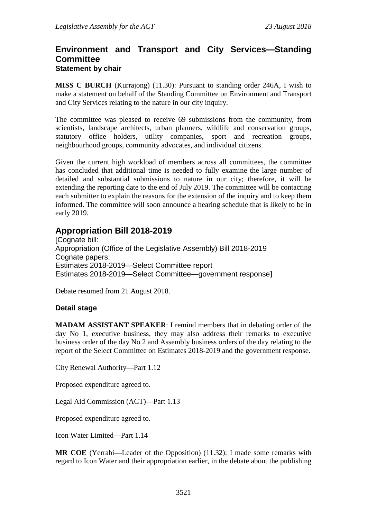## <span id="page-32-0"></span>**Environment and Transport and City Services—Standing Committee Statement by chair**

**MISS C BURCH** (Kurrajong) (11.30): Pursuant to standing order 246A, I wish to make a statement on behalf of the Standing Committee on Environment and Transport and City Services relating to the nature in our city inquiry.

The committee was pleased to receive 69 submissions from the community, from scientists, landscape architects, urban planners, wildlife and conservation groups, statutory office holders, utility companies, sport and recreation groups, neighbourhood groups, community advocates, and individual citizens.

Given the current high workload of members across all committees, the committee has concluded that additional time is needed to fully examine the large number of detailed and substantial submissions to nature in our city; therefore, it will be extending the reporting date to the end of July 2019. The committee will be contacting each submitter to explain the reasons for the extension of the inquiry and to keep them informed. The committee will soon announce a hearing schedule that is likely to be in early 2019.

## <span id="page-32-1"></span>**Appropriation Bill 2018-2019**

[Cognate bill: Appropriation (Office of the Legislative Assembly) Bill 2018-2019 Cognate papers: Estimates 2018-2019—Select Committee report Estimates 2018-2019—Select Committee—government response]

Debate resumed from 21 August 2018.

## **Detail stage**

**MADAM ASSISTANT SPEAKER**: I remind members that in debating order of the day No 1, executive business, they may also address their remarks to executive business order of the day No 2 and Assembly business orders of the day relating to the report of the Select Committee on Estimates 2018-2019 and the government response.

City Renewal Authority—Part 1.12

Proposed expenditure agreed to.

Legal Aid Commission (ACT)—Part 1.13

Proposed expenditure agreed to.

Icon Water Limited—Part 1.14

**MR COE** (Yerrabi—Leader of the Opposition) (11.32): I made some remarks with regard to Icon Water and their appropriation earlier, in the debate about the publishing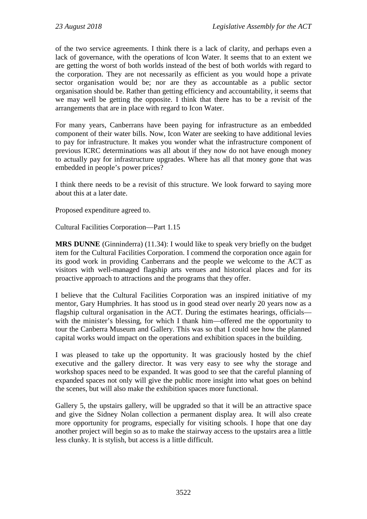of the two service agreements. I think there is a lack of clarity, and perhaps even a lack of governance, with the operations of Icon Water. It seems that to an extent we are getting the worst of both worlds instead of the best of both worlds with regard to the corporation. They are not necessarily as efficient as you would hope a private sector organisation would be; nor are they as accountable as a public sector organisation should be. Rather than getting efficiency and accountability, it seems that we may well be getting the opposite. I think that there has to be a revisit of the arrangements that are in place with regard to Icon Water.

For many years, Canberrans have been paying for infrastructure as an embedded component of their water bills. Now, Icon Water are seeking to have additional levies to pay for infrastructure. It makes you wonder what the infrastructure component of previous ICRC determinations was all about if they now do not have enough money to actually pay for infrastructure upgrades. Where has all that money gone that was embedded in people's power prices?

I think there needs to be a revisit of this structure. We look forward to saying more about this at a later date.

Proposed expenditure agreed to.

Cultural Facilities Corporation—Part 1.15

**MRS DUNNE** (Ginninderra) (11.34): I would like to speak very briefly on the budget item for the Cultural Facilities Corporation. I commend the corporation once again for its good work in providing Canberrans and the people we welcome to the ACT as visitors with well-managed flagship arts venues and historical places and for its proactive approach to attractions and the programs that they offer.

I believe that the Cultural Facilities Corporation was an inspired initiative of my mentor, Gary Humphries. It has stood us in good stead over nearly 20 years now as a flagship cultural organisation in the ACT. During the estimates hearings, officials with the minister's blessing, for which I thank him—offered me the opportunity to tour the Canberra Museum and Gallery. This was so that I could see how the planned capital works would impact on the operations and exhibition spaces in the building.

I was pleased to take up the opportunity. It was graciously hosted by the chief executive and the gallery director. It was very easy to see why the storage and workshop spaces need to be expanded. It was good to see that the careful planning of expanded spaces not only will give the public more insight into what goes on behind the scenes, but will also make the exhibition spaces more functional.

Gallery 5, the upstairs gallery, will be upgraded so that it will be an attractive space and give the Sidney Nolan collection a permanent display area. It will also create more opportunity for programs, especially for visiting schools. I hope that one day another project will begin so as to make the stairway access to the upstairs area a little less clunky. It is stylish, but access is a little difficult.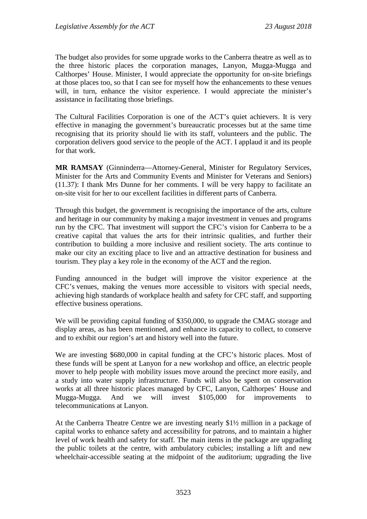The budget also provides for some upgrade works to the Canberra theatre as well as to the three historic places the corporation manages, Lanyon, Mugga-Mugga and Calthorpes' House. Minister, I would appreciate the opportunity for on-site briefings at those places too, so that I can see for myself how the enhancements to these venues will, in turn, enhance the visitor experience. I would appreciate the minister's assistance in facilitating those briefings.

The Cultural Facilities Corporation is one of the ACT's quiet achievers. It is very effective in managing the government's bureaucratic processes but at the same time recognising that its priority should lie with its staff, volunteers and the public. The corporation delivers good service to the people of the ACT. I applaud it and its people for that work.

**MR RAMSAY** (Ginninderra—Attorney-General, Minister for Regulatory Services, Minister for the Arts and Community Events and Minister for Veterans and Seniors) (11.37): I thank Mrs Dunne for her comments. I will be very happy to facilitate an on-site visit for her to our excellent facilities in different parts of Canberra.

Through this budget, the government is recognising the importance of the arts, culture and heritage in our community by making a major investment in venues and programs run by the CFC. That investment will support the CFC's vision for Canberra to be a creative capital that values the arts for their intrinsic qualities, and further their contribution to building a more inclusive and resilient society. The arts continue to make our city an exciting place to live and an attractive destination for business and tourism. They play a key role in the economy of the ACT and the region.

Funding announced in the budget will improve the visitor experience at the CFC's venues, making the venues more accessible to visitors with special needs, achieving high standards of workplace health and safety for CFC staff, and supporting effective business operations.

We will be providing capital funding of \$350,000, to upgrade the CMAG storage and display areas, as has been mentioned, and enhance its capacity to collect, to conserve and to exhibit our region's art and history well into the future.

We are investing \$680,000 in capital funding at the CFC's historic places. Most of these funds will be spent at Lanyon for a new workshop and office, an electric people mover to help people with mobility issues move around the precinct more easily, and a study into water supply infrastructure. Funds will also be spent on conservation works at all three historic places managed by CFC, Lanyon, Calthorpes' House and Mugga-Mugga. And we will invest \$105,000 for improvements to telecommunications at Lanyon.

At the Canberra Theatre Centre we are investing nearly \$1½ million in a package of capital works to enhance safety and accessibility for patrons, and to maintain a higher level of work health and safety for staff. The main items in the package are upgrading the public toilets at the centre, with ambulatory cubicles; installing a lift and new wheelchair-accessible seating at the midpoint of the auditorium; upgrading the live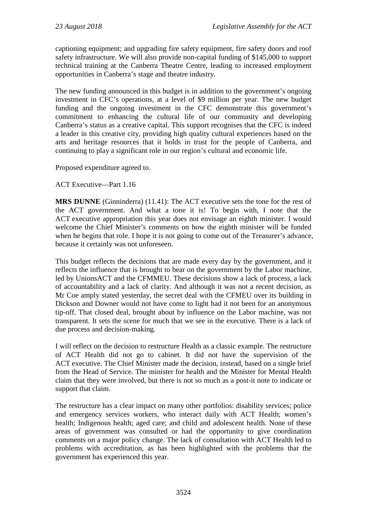captioning equipment; and upgrading fire safety equipment, fire safety doors and roof safety infrastructure. We will also provide non-capital funding of \$145,000 to support technical training at the Canberra Theatre Centre, leading to increased employment opportunities in Canberra's stage and theatre industry.

The new funding announced in this budget is in addition to the government's ongoing investment in CFC's operations, at a level of \$9 million per year. The new budget funding and the ongoing investment in the CFC demonstrate this government's commitment to enhancing the cultural life of our community and developing Canberra's status as a creative capital. This support recognises that the CFC is indeed a leader in this creative city, providing high quality cultural experiences based on the arts and heritage resources that it holds in trust for the people of Canberra, and continuing to play a significant role in our region's cultural and economic life.

Proposed expenditure agreed to.

ACT Executive—Part 1.16

**MRS DUNNE** (Ginninderra) (11.41): The ACT executive sets the tone for the rest of the ACT government. And what a tone it is! To begin with, I note that the ACT executive appropriation this year does not envisage an eighth minister. I would welcome the Chief Minister's comments on how the eighth minister will be funded when he begins that role. I hope it is not going to come out of the Treasurer's advance, because it certainly was not unforeseen.

This budget reflects the decisions that are made every day by the government, and it reflects the influence that is brought to bear on the government by the Labor machine, led by UnionsACT and the CFMMEU. These decisions show a lack of process, a lack of accountability and a lack of clarity. And although it was not a recent decision, as Mr Coe amply stated yesterday, the secret deal with the CFMEU over its building in Dickson and Downer would not have come to light had it not been for an anonymous tip-off. That closed deal, brought about by influence on the Labor machine, was not transparent. It sets the scene for much that we see in the executive. There is a lack of due process and decision-making.

I will reflect on the decision to restructure Health as a classic example. The restructure of ACT Health did not go to cabinet. It did not have the supervision of the ACT executive. The Chief Minister made the decision, instead, based on a single brief from the Head of Service. The minister for health and the Minister for Mental Health claim that they were involved, but there is not so much as a post-it note to indicate or support that claim.

The restructure has a clear impact on many other portfolios: disability services; police and emergency services workers, who interact daily with ACT Health; women's health; Indigenous health; aged care; and child and adolescent health. None of these areas of government was consulted or had the opportunity to give coordination comments on a major policy change. The lack of consultation with ACT Health led to problems with accreditation, as has been highlighted with the problems that the government has experienced this year.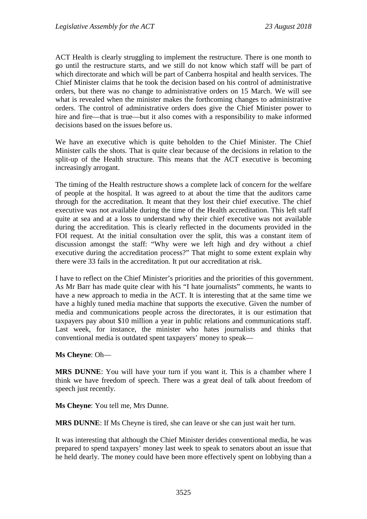ACT Health is clearly struggling to implement the restructure. There is one month to go until the restructure starts, and we still do not know which staff will be part of which directorate and which will be part of Canberra hospital and health services. The Chief Minister claims that he took the decision based on his control of administrative orders, but there was no change to administrative orders on 15 March. We will see what is revealed when the minister makes the forthcoming changes to administrative orders. The control of administrative orders does give the Chief Minister power to hire and fire—that is true—but it also comes with a responsibility to make informed decisions based on the issues before us.

We have an executive which is quite beholden to the Chief Minister. The Chief Minister calls the shots. That is quite clear because of the decisions in relation to the split-up of the Health structure. This means that the ACT executive is becoming increasingly arrogant.

The timing of the Health restructure shows a complete lack of concern for the welfare of people at the hospital. It was agreed to at about the time that the auditors came through for the accreditation. It meant that they lost their chief executive. The chief executive was not available during the time of the Health accreditation. This left staff quite at sea and at a loss to understand why their chief executive was not available during the accreditation. This is clearly reflected in the documents provided in the FOI request. At the initial consultation over the split, this was a constant item of discussion amongst the staff: "Why were we left high and dry without a chief executive during the accreditation process?" That might to some extent explain why there were 33 fails in the accreditation. It put our accreditation at risk.

I have to reflect on the Chief Minister's priorities and the priorities of this government. As Mr Barr has made quite clear with his "I hate journalists" comments, he wants to have a new approach to media in the ACT. It is interesting that at the same time we have a highly tuned media machine that supports the executive. Given the number of media and communications people across the directorates, it is our estimation that taxpayers pay about \$10 million a year in public relations and communications staff. Last week, for instance, the minister who hates journalists and thinks that conventional media is outdated spent taxpayers' money to speak—

### **Ms Cheyne**: Oh—

**MRS DUNNE**: You will have your turn if you want it. This is a chamber where I think we have freedom of speech. There was a great deal of talk about freedom of speech just recently.

**Ms Cheyne**: You tell me, Mrs Dunne.

**MRS DUNNE**: If Ms Cheyne is tired, she can leave or she can just wait her turn.

It was interesting that although the Chief Minister derides conventional media, he was prepared to spend taxpayers' money last week to speak to senators about an issue that he held dearly. The money could have been more effectively spent on lobbying than a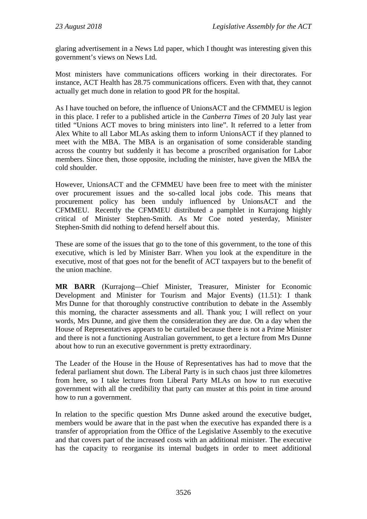glaring advertisement in a News Ltd paper, which I thought was interesting given this government's views on News Ltd.

Most ministers have communications officers working in their directorates. For instance, ACT Health has 28.75 communications officers. Even with that, they cannot actually get much done in relation to good PR for the hospital.

As I have touched on before, the influence of UnionsACT and the CFMMEU is legion in this place. I refer to a published article in the *Canberra Times* of 20 July last year titled "Unions ACT moves to bring ministers into line". It referred to a letter from Alex White to all Labor MLAs asking them to inform UnionsACT if they planned to meet with the MBA. The MBA is an organisation of some considerable standing across the country but suddenly it has become a proscribed organisation for Labor members. Since then, those opposite, including the minister, have given the MBA the cold shoulder.

However, UnionsACT and the CFMMEU have been free to meet with the minister over procurement issues and the so-called local jobs code. This means that procurement policy has been unduly influenced by UnionsACT and the CFMMEU. Recently the CFMMEU distributed a pamphlet in Kurrajong highly critical of Minister Stephen-Smith. As Mr Coe noted yesterday, Minister Stephen-Smith did nothing to defend herself about this.

These are some of the issues that go to the tone of this government, to the tone of this executive, which is led by Minister Barr. When you look at the expenditure in the executive, most of that goes not for the benefit of ACT taxpayers but to the benefit of the union machine.

**MR BARR** (Kurrajong—Chief Minister, Treasurer, Minister for Economic Development and Minister for Tourism and Major Events) (11.51): I thank Mrs Dunne for that thoroughly constructive contribution to debate in the Assembly this morning, the character assessments and all. Thank you; I will reflect on your words, Mrs Dunne, and give them the consideration they are due. On a day when the House of Representatives appears to be curtailed because there is not a Prime Minister and there is not a functioning Australian government, to get a lecture from Mrs Dunne about how to run an executive government is pretty extraordinary.

The Leader of the House in the House of Representatives has had to move that the federal parliament shut down. The Liberal Party is in such chaos just three kilometres from here, so I take lectures from Liberal Party MLAs on how to run executive government with all the credibility that party can muster at this point in time around how to run a government.

In relation to the specific question Mrs Dunne asked around the executive budget, members would be aware that in the past when the executive has expanded there is a transfer of appropriation from the Office of the Legislative Assembly to the executive and that covers part of the increased costs with an additional minister. The executive has the capacity to reorganise its internal budgets in order to meet additional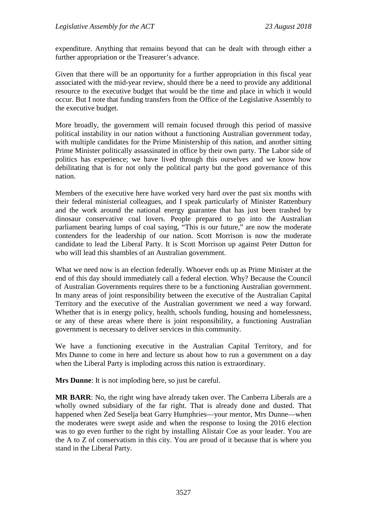expenditure. Anything that remains beyond that can be dealt with through either a further appropriation or the Treasurer's advance.

Given that there will be an opportunity for a further appropriation in this fiscal year associated with the mid-year review, should there be a need to provide any additional resource to the executive budget that would be the time and place in which it would occur. But I note that funding transfers from the Office of the Legislative Assembly to the executive budget.

More broadly, the government will remain focused through this period of massive political instability in our nation without a functioning Australian government today, with multiple candidates for the Prime Ministership of this nation, and another sitting Prime Minister politically assassinated in office by their own party. The Labor side of politics has experience; we have lived through this ourselves and we know how debilitating that is for not only the political party but the good governance of this nation.

Members of the executive here have worked very hard over the past six months with their federal ministerial colleagues, and I speak particularly of Minister Rattenbury and the work around the national energy guarantee that has just been trashed by dinosaur conservative coal lovers. People prepared to go into the Australian parliament bearing lumps of coal saying, "This is our future," are now the moderate contenders for the leadership of our nation. Scott Morrison is now the moderate candidate to lead the Liberal Party. It is Scott Morrison up against Peter Dutton for who will lead this shambles of an Australian government.

What we need now is an election federally. Whoever ends up as Prime Minister at the end of this day should immediately call a federal election. Why? Because the Council of Australian Governments requires there to be a functioning Australian government. In many areas of joint responsibility between the executive of the Australian Capital Territory and the executive of the Australian government we need a way forward. Whether that is in energy policy, health, schools funding, housing and homelessness, or any of these areas where there is joint responsibility, a functioning Australian government is necessary to deliver services in this community.

We have a functioning executive in the Australian Capital Territory, and for Mrs Dunne to come in here and lecture us about how to run a government on a day when the Liberal Party is imploding across this nation is extraordinary.

**Mrs Dunne**: It is not imploding here, so just be careful.

**MR BARR**: No, the right wing have already taken over. The Canberra Liberals are a wholly owned subsidiary of the far right. That is already done and dusted. That happened when Zed Seselja beat Garry Humphries—your mentor, Mrs Dunne—when the moderates were swept aside and when the response to losing the 2016 election was to go even further to the right by installing Alistair Coe as your leader. You are the A to Z of conservatism in this city. You are proud of it because that is where you stand in the Liberal Party.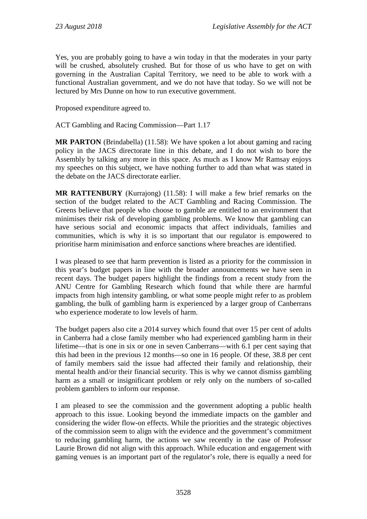Yes, you are probably going to have a win today in that the moderates in your party will be crushed, absolutely crushed. But for those of us who have to get on with governing in the Australian Capital Territory, we need to be able to work with a functional Australian government, and we do not have that today. So we will not be lectured by Mrs Dunne on how to run executive government.

Proposed expenditure agreed to.

ACT Gambling and Racing Commission—Part 1.17

**MR PARTON** (Brindabella) (11.58): We have spoken a lot about gaming and racing policy in the JACS directorate line in this debate, and I do not wish to bore the Assembly by talking any more in this space. As much as I know Mr Ramsay enjoys my speeches on this subject, we have nothing further to add than what was stated in the debate on the JACS directorate earlier.

**MR RATTENBURY** (Kurrajong) (11.58): I will make a few brief remarks on the section of the budget related to the ACT Gambling and Racing Commission. The Greens believe that people who choose to gamble are entitled to an environment that minimises their risk of developing gambling problems. We know that gambling can have serious social and economic impacts that affect individuals, families and communities, which is why it is so important that our regulator is empowered to prioritise harm minimisation and enforce sanctions where breaches are identified.

I was pleased to see that harm prevention is listed as a priority for the commission in this year's budget papers in line with the broader announcements we have seen in recent days. The budget papers highlight the findings from a recent study from the ANU Centre for Gambling Research which found that while there are harmful impacts from high intensity gambling, or what some people might refer to as problem gambling, the bulk of gambling harm is experienced by a larger group of Canberrans who experience moderate to low levels of harm.

The budget papers also cite a 2014 survey which found that over 15 per cent of adults in Canberra had a close family member who had experienced gambling harm in their lifetime—that is one in six or one in seven Canberrans—with 6.1 per cent saying that this had been in the previous 12 months—so one in 16 people. Of these, 38.8 per cent of family members said the issue had affected their family and relationship, their mental health and/or their financial security. This is why we cannot dismiss gambling harm as a small or insignificant problem or rely only on the numbers of so-called problem gamblers to inform our response.

I am pleased to see the commission and the government adopting a public health approach to this issue. Looking beyond the immediate impacts on the gambler and considering the wider flow-on effects. While the priorities and the strategic objectives of the commission seem to align with the evidence and the government's commitment to reducing gambling harm, the actions we saw recently in the case of Professor Laurie Brown did not align with this approach. While education and engagement with gaming venues is an important part of the regulator's role, there is equally a need for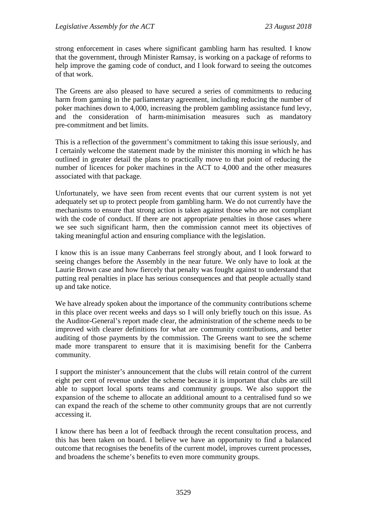strong enforcement in cases where significant gambling harm has resulted. I know that the government, through Minister Ramsay, is working on a package of reforms to help improve the gaming code of conduct, and I look forward to seeing the outcomes of that work.

The Greens are also pleased to have secured a series of commitments to reducing harm from gaming in the parliamentary agreement, including reducing the number of poker machines down to 4,000, increasing the problem gambling assistance fund levy, and the consideration of harm-minimisation measures such as mandatory pre-commitment and bet limits.

This is a reflection of the government's commitment to taking this issue seriously, and I certainly welcome the statement made by the minister this morning in which he has outlined in greater detail the plans to practically move to that point of reducing the number of licences for poker machines in the ACT to 4,000 and the other measures associated with that package.

Unfortunately, we have seen from recent events that our current system is not yet adequately set up to protect people from gambling harm. We do not currently have the mechanisms to ensure that strong action is taken against those who are not compliant with the code of conduct. If there are not appropriate penalties in those cases where we see such significant harm, then the commission cannot meet its objectives of taking meaningful action and ensuring compliance with the legislation.

I know this is an issue many Canberrans feel strongly about, and I look forward to seeing changes before the Assembly in the near future. We only have to look at the Laurie Brown case and how fiercely that penalty was fought against to understand that putting real penalties in place has serious consequences and that people actually stand up and take notice.

We have already spoken about the importance of the community contributions scheme in this place over recent weeks and days so I will only briefly touch on this issue. As the Auditor-General's report made clear, the administration of the scheme needs to be improved with clearer definitions for what are community contributions, and better auditing of those payments by the commission. The Greens want to see the scheme made more transparent to ensure that it is maximising benefit for the Canberra community.

I support the minister's announcement that the clubs will retain control of the current eight per cent of revenue under the scheme because it is important that clubs are still able to support local sports teams and community groups. We also support the expansion of the scheme to allocate an additional amount to a centralised fund so we can expand the reach of the scheme to other community groups that are not currently accessing it.

I know there has been a lot of feedback through the recent consultation process, and this has been taken on board. I believe we have an opportunity to find a balanced outcome that recognises the benefits of the current model, improves current processes, and broadens the scheme's benefits to even more community groups.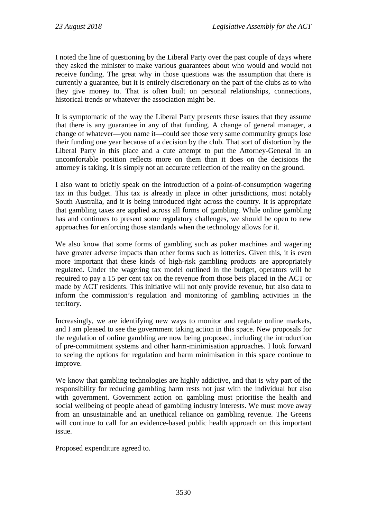I noted the line of questioning by the Liberal Party over the past couple of days where they asked the minister to make various guarantees about who would and would not receive funding. The great why in those questions was the assumption that there is currently a guarantee, but it is entirely discretionary on the part of the clubs as to who they give money to. That is often built on personal relationships, connections, historical trends or whatever the association might be.

It is symptomatic of the way the Liberal Party presents these issues that they assume that there is any guarantee in any of that funding. A change of general manager, a change of whatever—you name it—could see those very same community groups lose their funding one year because of a decision by the club. That sort of distortion by the Liberal Party in this place and a cute attempt to put the Attorney-General in an uncomfortable position reflects more on them than it does on the decisions the attorney is taking. It is simply not an accurate reflection of the reality on the ground.

I also want to briefly speak on the introduction of a point-of-consumption wagering tax in this budget. This tax is already in place in other jurisdictions, most notably South Australia, and it is being introduced right across the country. It is appropriate that gambling taxes are applied across all forms of gambling. While online gambling has and continues to present some regulatory challenges, we should be open to new approaches for enforcing those standards when the technology allows for it.

We also know that some forms of gambling such as poker machines and wagering have greater adverse impacts than other forms such as lotteries. Given this, it is even more important that these kinds of high-risk gambling products are appropriately regulated. Under the wagering tax model outlined in the budget, operators will be required to pay a 15 per cent tax on the revenue from those bets placed in the ACT or made by ACT residents. This initiative will not only provide revenue, but also data to inform the commission's regulation and monitoring of gambling activities in the territory.

Increasingly, we are identifying new ways to monitor and regulate online markets, and I am pleased to see the government taking action in this space. New proposals for the regulation of online gambling are now being proposed, including the introduction of pre-commitment systems and other harm-minimisation approaches. I look forward to seeing the options for regulation and harm minimisation in this space continue to improve.

We know that gambling technologies are highly addictive, and that is why part of the responsibility for reducing gambling harm rests not just with the individual but also with government. Government action on gambling must prioritise the health and social wellbeing of people ahead of gambling industry interests. We must move away from an unsustainable and an unethical reliance on gambling revenue. The Greens will continue to call for an evidence-based public health approach on this important issue.

Proposed expenditure agreed to.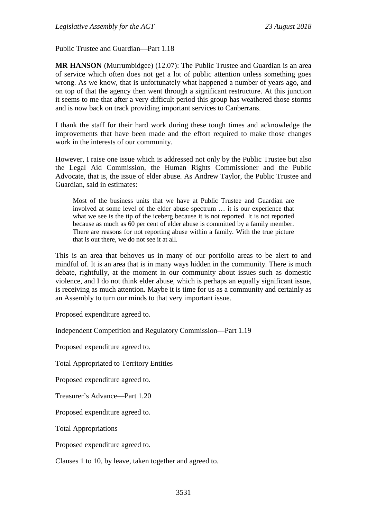Public Trustee and Guardian—Part 1.18

**MR HANSON** (Murrumbidgee) (12.07): The Public Trustee and Guardian is an area of service which often does not get a lot of public attention unless something goes wrong. As we know, that is unfortunately what happened a number of years ago, and on top of that the agency then went through a significant restructure. At this junction it seems to me that after a very difficult period this group has weathered those storms and is now back on track providing important services to Canberrans.

I thank the staff for their hard work during these tough times and acknowledge the improvements that have been made and the effort required to make those changes work in the interests of our community.

However, I raise one issue which is addressed not only by the Public Trustee but also the Legal Aid Commission, the Human Rights Commissioner and the Public Advocate, that is, the issue of elder abuse. As Andrew Taylor, the Public Trustee and Guardian, said in estimates:

Most of the business units that we have at Public Trustee and Guardian are involved at some level of the elder abuse spectrum … it is our experience that what we see is the tip of the iceberg because it is not reported. It is not reported because as much as 60 per cent of elder abuse is committed by a family member. There are reasons for not reporting abuse within a family. With the true picture that is out there, we do not see it at all.

This is an area that behoves us in many of our portfolio areas to be alert to and mindful of. It is an area that is in many ways hidden in the community. There is much debate, rightfully, at the moment in our community about issues such as domestic violence, and I do not think elder abuse, which is perhaps an equally significant issue, is receiving as much attention. Maybe it is time for us as a community and certainly as an Assembly to turn our minds to that very important issue.

Proposed expenditure agreed to.

Independent Competition and Regulatory Commission—Part 1.19

Proposed expenditure agreed to.

Total Appropriated to Territory Entities

Proposed expenditure agreed to.

Treasurer's Advance—Part 1.20

Proposed expenditure agreed to.

Total Appropriations

Proposed expenditure agreed to.

Clauses 1 to 10, by leave, taken together and agreed to.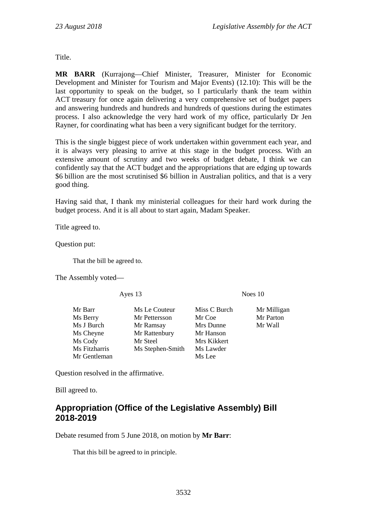Title.

**MR BARR** (Kurrajong—Chief Minister, Treasurer, Minister for Economic Development and Minister for Tourism and Major Events) (12.10): This will be the last opportunity to speak on the budget, so I particularly thank the team within ACT treasury for once again delivering a very comprehensive set of budget papers and answering hundreds and hundreds and hundreds of questions during the estimates process. I also acknowledge the very hard work of my office, particularly Dr Jen Rayner, for coordinating what has been a very significant budget for the territory.

This is the single biggest piece of work undertaken within government each year, and it is always very pleasing to arrive at this stage in the budget process. With an extensive amount of scrutiny and two weeks of budget debate, I think we can confidently say that the ACT budget and the appropriations that are edging up towards \$6 billion are the most scrutinised \$6 billion in Australian politics, and that is a very good thing.

Having said that, I thank my ministerial colleagues for their hard work during the budget process. And it is all about to start again, Madam Speaker.

Title agreed to.

Question put:

That the bill be agreed to.

The Assembly voted—

Mr Gentleman Ms Lee

Mr Barr Ms Le Couteur Miss C Burch Mr Milligan<br>
Ms Berry Mr Pettersson Mr Coe Mr Parton Ms Berry Mr Pettersson Mr Coe Ms J Burch Mr Ramsay Mrs Dunne Mr Wall Ms Cheyne Mr Rattenbury Mr Hanson Ms Cody Mr Steel Mrs Kikkert Ms Fitzharris Ms Stephen-Smith Ms Lawder

Ayes 13 Noes 10

Question resolved in the affirmative.

Bill agreed to.

# **Appropriation (Office of the Legislative Assembly) Bill 2018-2019**

Debate resumed from 5 June 2018, on motion by **Mr Barr**:

That this bill be agreed to in principle.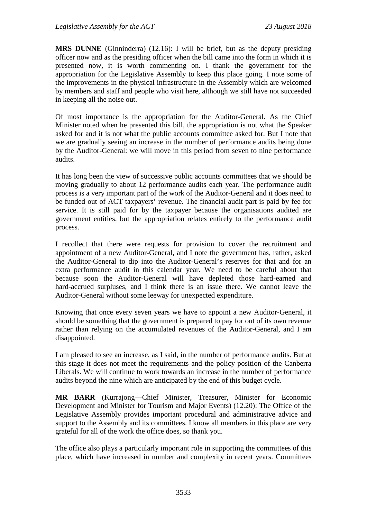**MRS DUNNE** (Ginninderra) (12.16): I will be brief, but as the deputy presiding officer now and as the presiding officer when the bill came into the form in which it is presented now, it is worth commenting on. I thank the government for the appropriation for the Legislative Assembly to keep this place going. I note some of the improvements in the physical infrastructure in the Assembly which are welcomed by members and staff and people who visit here, although we still have not succeeded in keeping all the noise out.

Of most importance is the appropriation for the Auditor-General. As the Chief Minister noted when he presented this bill, the appropriation is not what the Speaker asked for and it is not what the public accounts committee asked for. But I note that we are gradually seeing an increase in the number of performance audits being done by the Auditor-General: we will move in this period from seven to nine performance audits.

It has long been the view of successive public accounts committees that we should be moving gradually to about 12 performance audits each year. The performance audit process is a very important part of the work of the Auditor-General and it does need to be funded out of ACT taxpayers' revenue. The financial audit part is paid by fee for service. It is still paid for by the taxpayer because the organisations audited are government entities, but the appropriation relates entirely to the performance audit process.

I recollect that there were requests for provision to cover the recruitment and appointment of a new Auditor-General, and I note the government has, rather, asked the Auditor-General to dip into the Auditor-General's reserves for that and for an extra performance audit in this calendar year. We need to be careful about that because soon the Auditor-General will have depleted those hard-earned and hard-accrued surpluses, and I think there is an issue there. We cannot leave the Auditor-General without some leeway for unexpected expenditure.

Knowing that once every seven years we have to appoint a new Auditor-General, it should be something that the government is prepared to pay for out of its own revenue rather than relying on the accumulated revenues of the Auditor-General, and I am disappointed.

I am pleased to see an increase, as I said, in the number of performance audits. But at this stage it does not meet the requirements and the policy position of the Canberra Liberals. We will continue to work towards an increase in the number of performance audits beyond the nine which are anticipated by the end of this budget cycle.

**MR BARR** (Kurrajong—Chief Minister, Treasurer, Minister for Economic Development and Minister for Tourism and Major Events) (12.20): The Office of the Legislative Assembly provides important procedural and administrative advice and support to the Assembly and its committees. I know all members in this place are very grateful for all of the work the office does, so thank you.

The office also plays a particularly important role in supporting the committees of this place, which have increased in number and complexity in recent years. Committees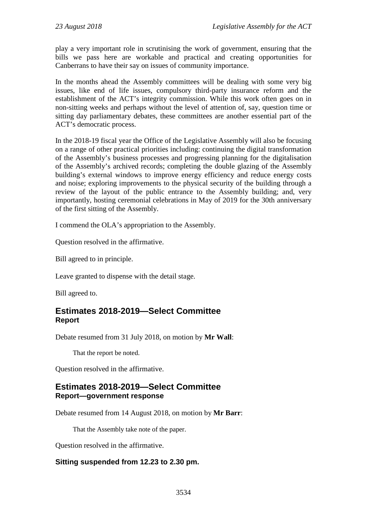play a very important role in scrutinising the work of government, ensuring that the bills we pass here are workable and practical and creating opportunities for Canberrans to have their say on issues of community importance.

In the months ahead the Assembly committees will be dealing with some very big issues, like end of life issues, compulsory third-party insurance reform and the establishment of the ACT's integrity commission. While this work often goes on in non-sitting weeks and perhaps without the level of attention of, say, question time or sitting day parliamentary debates, these committees are another essential part of the ACT's democratic process.

In the 2018-19 fiscal year the Office of the Legislative Assembly will also be focusing on a range of other practical priorities including: continuing the digital transformation of the Assembly's business processes and progressing planning for the digitalisation of the Assembly's archived records; completing the double glazing of the Assembly building's external windows to improve energy efficiency and reduce energy costs and noise; exploring improvements to the physical security of the building through a review of the layout of the public entrance to the Assembly building; and, very importantly, hosting ceremonial celebrations in May of 2019 for the 30th anniversary of the first sitting of the Assembly.

I commend the OLA's appropriation to the Assembly.

Question resolved in the affirmative.

Bill agreed to in principle.

Leave granted to dispense with the detail stage.

Bill agreed to.

# **Estimates 2018-2019—Select Committee Report**

Debate resumed from 31 July 2018, on motion by **Mr Wall**:

That the report be noted.

Question resolved in the affirmative.

# **Estimates 2018-2019—Select Committee Report—government response**

Debate resumed from 14 August 2018, on motion by **Mr Barr**:

That the Assembly take note of the paper.

Question resolved in the affirmative.

# **Sitting suspended from 12.23 to 2.30 pm.**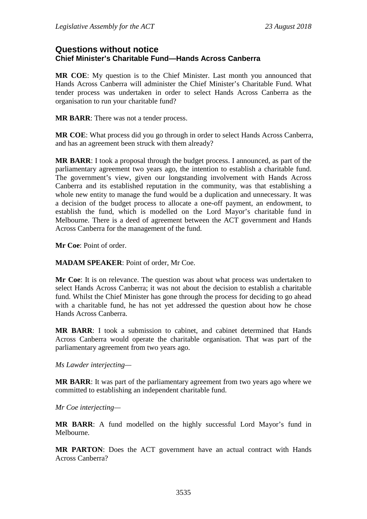# **Questions without notice Chief Minister's Charitable Fund—Hands Across Canberra**

**MR COE**: My question is to the Chief Minister. Last month you announced that Hands Across Canberra will administer the Chief Minister's Charitable Fund. What tender process was undertaken in order to select Hands Across Canberra as the organisation to run your charitable fund?

**MR BARR**: There was not a tender process.

**MR COE**: What process did you go through in order to select Hands Across Canberra, and has an agreement been struck with them already?

**MR BARR**: I took a proposal through the budget process. I announced, as part of the parliamentary agreement two years ago, the intention to establish a charitable fund. The government's view, given our longstanding involvement with Hands Across Canberra and its established reputation in the community, was that establishing a whole new entity to manage the fund would be a duplication and unnecessary. It was a decision of the budget process to allocate a one-off payment, an endowment, to establish the fund, which is modelled on the Lord Mayor's charitable fund in Melbourne. There is a deed of agreement between the ACT government and Hands Across Canberra for the management of the fund.

**Mr Coe**: Point of order.

**MADAM SPEAKER**: Point of order, Mr Coe.

**Mr Coe**: It is on relevance. The question was about what process was undertaken to select Hands Across Canberra; it was not about the decision to establish a charitable fund. Whilst the Chief Minister has gone through the process for deciding to go ahead with a charitable fund, he has not yet addressed the question about how he chose Hands Across Canberra.

**MR BARR**: I took a submission to cabinet, and cabinet determined that Hands Across Canberra would operate the charitable organisation. That was part of the parliamentary agreement from two years ago.

*Ms Lawder interjecting—*

**MR BARR**: It was part of the parliamentary agreement from two years ago where we committed to establishing an independent charitable fund.

*Mr Coe interjecting—*

**MR BARR**: A fund modelled on the highly successful Lord Mayor's fund in Melbourne.

**MR PARTON**: Does the ACT government have an actual contract with Hands Across Canberra?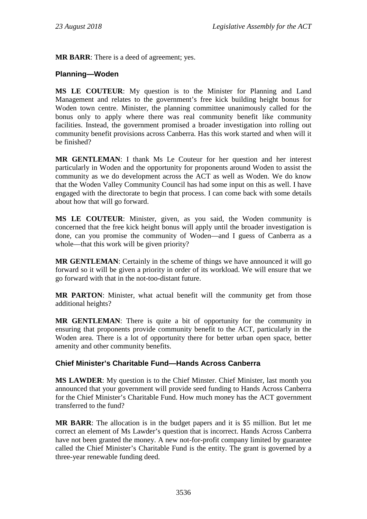**MR BARR**: There is a deed of agreement; yes.

## **Planning—Woden**

**MS LE COUTEUR**: My question is to the Minister for Planning and Land Management and relates to the government's free kick building height bonus for Woden town centre. Minister, the planning committee unanimously called for the bonus only to apply where there was real community benefit like community facilities. Instead, the government promised a broader investigation into rolling out community benefit provisions across Canberra. Has this work started and when will it be finished?

**MR GENTLEMAN**: I thank Ms Le Couteur for her question and her interest particularly in Woden and the opportunity for proponents around Woden to assist the community as we do development across the ACT as well as Woden. We do know that the Woden Valley Community Council has had some input on this as well. I have engaged with the directorate to begin that process. I can come back with some details about how that will go forward.

**MS LE COUTEUR**: Minister, given, as you said, the Woden community is concerned that the free kick height bonus will apply until the broader investigation is done, can you promise the community of Woden—and I guess of Canberra as a whole—that this work will be given priority?

**MR GENTLEMAN**: Certainly in the scheme of things we have announced it will go forward so it will be given a priority in order of its workload. We will ensure that we go forward with that in the not-too-distant future.

**MR PARTON**: Minister, what actual benefit will the community get from those additional heights?

**MR GENTLEMAN**: There is quite a bit of opportunity for the community in ensuring that proponents provide community benefit to the ACT, particularly in the Woden area. There is a lot of opportunity there for better urban open space, better amenity and other community benefits.

### **Chief Minister's Charitable Fund—Hands Across Canberra**

**MS LAWDER**: My question is to the Chief Minster. Chief Minister, last month you announced that your government will provide seed funding to Hands Across Canberra for the Chief Minister's Charitable Fund. How much money has the ACT government transferred to the fund?

**MR BARR**: The allocation is in the budget papers and it is \$5 million. But let me correct an element of Ms Lawder's question that is incorrect. Hands Across Canberra have not been granted the money. A new not-for-profit company limited by guarantee called the Chief Minister's Charitable Fund is the entity. The grant is governed by a three-year renewable funding deed.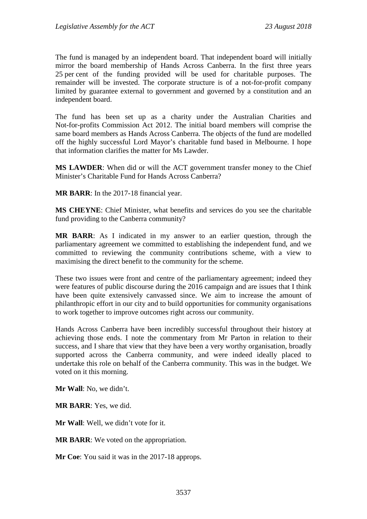The fund is managed by an independent board. That independent board will initially mirror the board membership of Hands Across Canberra. In the first three years 25 per cent of the funding provided will be used for charitable purposes. The remainder will be invested. The corporate structure is of a not-for-profit company limited by guarantee external to government and governed by a constitution and an independent board.

The fund has been set up as a charity under the Australian Charities and Not-for-profits Commission Act 2012. The initial board members will comprise the same board members as Hands Across Canberra. The objects of the fund are modelled off the highly successful Lord Mayor's charitable fund based in Melbourne. I hope that information clarifies the matter for Ms Lawder.

**MS LAWDER**: When did or will the ACT government transfer money to the Chief Minister's Charitable Fund for Hands Across Canberra?

**MR BARR**: In the 2017-18 financial year.

**MS CHEYNE**: Chief Minister, what benefits and services do you see the charitable fund providing to the Canberra community?

**MR BARR**: As I indicated in my answer to an earlier question, through the parliamentary agreement we committed to establishing the independent fund, and we committed to reviewing the community contributions scheme, with a view to maximising the direct benefit to the community for the scheme.

These two issues were front and centre of the parliamentary agreement; indeed they were features of public discourse during the 2016 campaign and are issues that I think have been quite extensively canvassed since. We aim to increase the amount of philanthropic effort in our city and to build opportunities for community organisations to work together to improve outcomes right across our community.

Hands Across Canberra have been incredibly successful throughout their history at achieving those ends. I note the commentary from Mr Parton in relation to their success, and I share that view that they have been a very worthy organisation, broadly supported across the Canberra community, and were indeed ideally placed to undertake this role on behalf of the Canberra community. This was in the budget. We voted on it this morning.

**Mr Wall**: No, we didn't.

**MR BARR**: Yes, we did.

**Mr Wall**: Well, we didn't vote for it.

**MR BARR**: We voted on the appropriation.

**Mr Coe**: You said it was in the 2017-18 approps.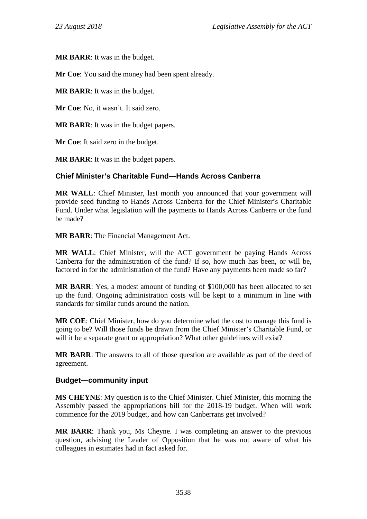**MR BARR**: It was in the budget.

**Mr Coe**: You said the money had been spent already.

**MR BARR**: It was in the budget.

**Mr Coe**: No, it wasn't. It said zero.

**MR BARR**: It was in the budget papers.

**Mr Coe**: It said zero in the budget.

**MR BARR**: It was in the budget papers.

# **Chief Minister's Charitable Fund—Hands Across Canberra**

**MR WALL**: Chief Minister, last month you announced that your government will provide seed funding to Hands Across Canberra for the Chief Minister's Charitable Fund. Under what legislation will the payments to Hands Across Canberra or the fund be made?

**MR BARR**: The Financial Management Act.

**MR WALL**: Chief Minister, will the ACT government be paying Hands Across Canberra for the administration of the fund? If so, how much has been, or will be, factored in for the administration of the fund? Have any payments been made so far?

**MR BARR**: Yes, a modest amount of funding of \$100,000 has been allocated to set up the fund. Ongoing administration costs will be kept to a minimum in line with standards for similar funds around the nation.

**MR COE**: Chief Minister, how do you determine what the cost to manage this fund is going to be? Will those funds be drawn from the Chief Minister's Charitable Fund, or will it be a separate grant or appropriation? What other guidelines will exist?

**MR BARR**: The answers to all of those question are available as part of the deed of agreement.

# **Budget—community input**

**MS CHEYNE**: My question is to the Chief Minister. Chief Minister, this morning the Assembly passed the appropriations bill for the 2018-19 budget. When will work commence for the 2019 budget, and how can Canberrans get involved?

**MR BARR**: Thank you, Ms Cheyne. I was completing an answer to the previous question, advising the Leader of Opposition that he was not aware of what his colleagues in estimates had in fact asked for.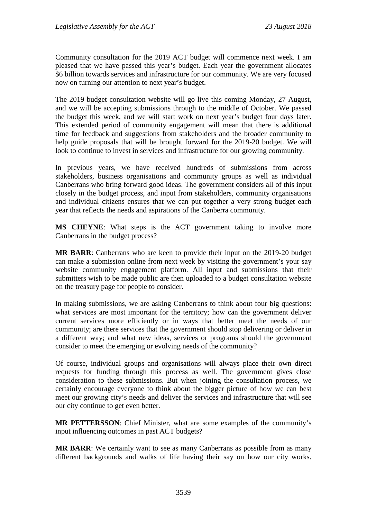Community consultation for the 2019 ACT budget will commence next week. I am pleased that we have passed this year's budget. Each year the government allocates \$6 billion towards services and infrastructure for our community. We are very focused now on turning our attention to next year's budget.

The 2019 budget consultation website will go live this coming Monday, 27 August, and we will be accepting submissions through to the middle of October. We passed the budget this week, and we will start work on next year's budget four days later. This extended period of community engagement will mean that there is additional time for feedback and suggestions from stakeholders and the broader community to help guide proposals that will be brought forward for the 2019-20 budget. We will look to continue to invest in services and infrastructure for our growing community.

In previous years, we have received hundreds of submissions from across stakeholders, business organisations and community groups as well as individual Canberrans who bring forward good ideas. The government considers all of this input closely in the budget process, and input from stakeholders, community organisations and individual citizens ensures that we can put together a very strong budget each year that reflects the needs and aspirations of the Canberra community.

**MS CHEYNE**: What steps is the ACT government taking to involve more Canberrans in the budget process?

**MR BARR**: Canberrans who are keen to provide their input on the 2019-20 budget can make a submission online from next week by visiting the government's your say website community engagement platform. All input and submissions that their submitters wish to be made public are then uploaded to a budget consultation website on the treasury page for people to consider.

In making submissions, we are asking Canberrans to think about four big questions: what services are most important for the territory; how can the government deliver current services more efficiently or in ways that better meet the needs of our community; are there services that the government should stop delivering or deliver in a different way; and what new ideas, services or programs should the government consider to meet the emerging or evolving needs of the community?

Of course, individual groups and organisations will always place their own direct requests for funding through this process as well. The government gives close consideration to these submissions. But when joining the consultation process, we certainly encourage everyone to think about the bigger picture of how we can best meet our growing city's needs and deliver the services and infrastructure that will see our city continue to get even better.

**MR PETTERSSON**: Chief Minister, what are some examples of the community's input influencing outcomes in past ACT budgets?

**MR BARR:** We certainly want to see as many Canberrans as possible from as many different backgrounds and walks of life having their say on how our city works.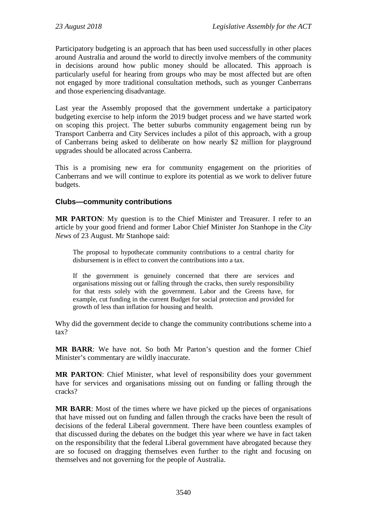Participatory budgeting is an approach that has been used successfully in other places around Australia and around the world to directly involve members of the community in decisions around how public money should be allocated. This approach is particularly useful for hearing from groups who may be most affected but are often not engaged by more traditional consultation methods, such as younger Canberrans and those experiencing disadvantage.

Last year the Assembly proposed that the government undertake a participatory budgeting exercise to help inform the 2019 budget process and we have started work on scoping this project. The better suburbs community engagement being run by Transport Canberra and City Services includes a pilot of this approach, with a group of Canberrans being asked to deliberate on how nearly \$2 million for playground upgrades should be allocated across Canberra.

This is a promising new era for community engagement on the priorities of Canberrans and we will continue to explore its potential as we work to deliver future budgets.

## **Clubs—community contributions**

**MR PARTON**: My question is to the Chief Minister and Treasurer. I refer to an article by your good friend and former Labor Chief Minister Jon Stanhope in the *City News* of 23 August. Mr Stanhope said:

The proposal to hypothecate community contributions to a central charity for disbursement is in effect to convert the contributions into a tax.

If the government is genuinely concerned that there are services and organisations missing out or falling through the cracks, then surely responsibility for that rests solely with the government. Labor and the Greens have, for example, cut funding in the current Budget for social protection and provided for growth of less than inflation for housing and health.

Why did the government decide to change the community contributions scheme into a tax?

**MR BARR**: We have not. So both Mr Parton's question and the former Chief Minister's commentary are wildly inaccurate.

**MR PARTON**: Chief Minister, what level of responsibility does your government have for services and organisations missing out on funding or falling through the cracks?

**MR BARR**: Most of the times where we have picked up the pieces of organisations that have missed out on funding and fallen through the cracks have been the result of decisions of the federal Liberal government. There have been countless examples of that discussed during the debates on the budget this year where we have in fact taken on the responsibility that the federal Liberal government have abrogated because they are so focused on dragging themselves even further to the right and focusing on themselves and not governing for the people of Australia.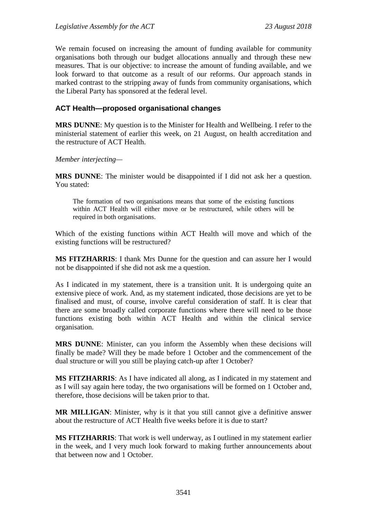We remain focused on increasing the amount of funding available for community organisations both through our budget allocations annually and through these new measures. That is our objective: to increase the amount of funding available, and we look forward to that outcome as a result of our reforms. Our approach stands in marked contrast to the stripping away of funds from community organisations, which the Liberal Party has sponsored at the federal level.

## **ACT Health—proposed organisational changes**

**MRS DUNNE**: My question is to the Minister for Health and Wellbeing. I refer to the ministerial statement of earlier this week, on 21 August, on health accreditation and the restructure of ACT Health.

*Member interjecting—*

**MRS DUNNE**: The minister would be disappointed if I did not ask her a question. You stated:

The formation of two organisations means that some of the existing functions within ACT Health will either move or be restructured, while others will be required in both organisations.

Which of the existing functions within ACT Health will move and which of the existing functions will be restructured?

**MS FITZHARRIS**: I thank Mrs Dunne for the question and can assure her I would not be disappointed if she did not ask me a question.

As I indicated in my statement, there is a transition unit. It is undergoing quite an extensive piece of work. And, as my statement indicated, those decisions are yet to be finalised and must, of course, involve careful consideration of staff. It is clear that there are some broadly called corporate functions where there will need to be those functions existing both within ACT Health and within the clinical service organisation.

**MRS DUNNE**: Minister, can you inform the Assembly when these decisions will finally be made? Will they be made before 1 October and the commencement of the dual structure or will you still be playing catch-up after 1 October?

**MS FITZHARRIS**: As I have indicated all along, as I indicated in my statement and as I will say again here today, the two organisations will be formed on 1 October and, therefore, those decisions will be taken prior to that.

**MR MILLIGAN**: Minister, why is it that you still cannot give a definitive answer about the restructure of ACT Health five weeks before it is due to start?

**MS FITZHARRIS**: That work is well underway, as I outlined in my statement earlier in the week, and I very much look forward to making further announcements about that between now and 1 October.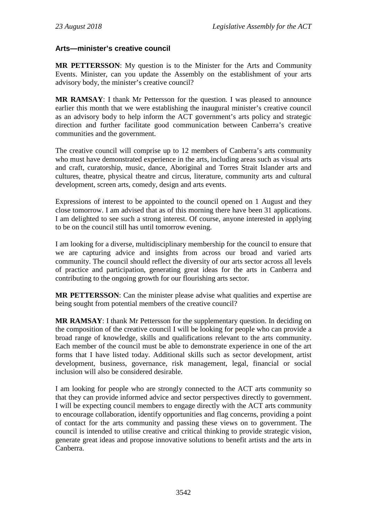## **Arts—minister's creative council**

**MR PETTERSSON**: My question is to the Minister for the Arts and Community Events. Minister, can you update the Assembly on the establishment of your arts advisory body, the minister's creative council?

**MR RAMSAY**: I thank Mr Pettersson for the question. I was pleased to announce earlier this month that we were establishing the inaugural minister's creative council as an advisory body to help inform the ACT government's arts policy and strategic direction and further facilitate good communication between Canberra's creative communities and the government.

The creative council will comprise up to 12 members of Canberra's arts community who must have demonstrated experience in the arts, including areas such as visual arts and craft, curatorship, music, dance, Aboriginal and Torres Strait Islander arts and cultures, theatre, physical theatre and circus, literature, community arts and cultural development, screen arts, comedy, design and arts events.

Expressions of interest to be appointed to the council opened on 1 August and they close tomorrow. I am advised that as of this morning there have been 31 applications. I am delighted to see such a strong interest. Of course, anyone interested in applying to be on the council still has until tomorrow evening.

I am looking for a diverse, multidisciplinary membership for the council to ensure that we are capturing advice and insights from across our broad and varied arts community. The council should reflect the diversity of our arts sector across all levels of practice and participation, generating great ideas for the arts in Canberra and contributing to the ongoing growth for our flourishing arts sector.

**MR PETTERSSON**: Can the minister please advise what qualities and expertise are being sought from potential members of the creative council?

**MR RAMSAY**: I thank Mr Pettersson for the supplementary question. In deciding on the composition of the creative council I will be looking for people who can provide a broad range of knowledge, skills and qualifications relevant to the arts community. Each member of the council must be able to demonstrate experience in one of the art forms that I have listed today. Additional skills such as sector development, artist development, business, governance, risk management, legal, financial or social inclusion will also be considered desirable.

I am looking for people who are strongly connected to the ACT arts community so that they can provide informed advice and sector perspectives directly to government. I will be expecting council members to engage directly with the ACT arts community to encourage collaboration, identify opportunities and flag concerns, providing a point of contact for the arts community and passing these views on to government. The council is intended to utilise creative and critical thinking to provide strategic vision, generate great ideas and propose innovative solutions to benefit artists and the arts in Canberra.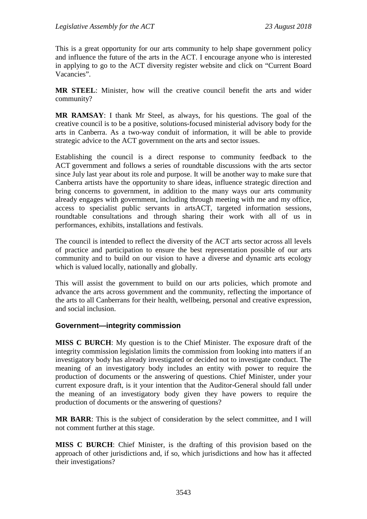This is a great opportunity for our arts community to help shape government policy and influence the future of the arts in the ACT. I encourage anyone who is interested in applying to go to the ACT diversity register website and click on "Current Board Vacancies".

**MR STEEL**: Minister, how will the creative council benefit the arts and wider community?

**MR RAMSAY**: I thank Mr Steel, as always, for his questions. The goal of the creative council is to be a positive, solutions-focused ministerial advisory body for the arts in Canberra. As a two-way conduit of information, it will be able to provide strategic advice to the ACT government on the arts and sector issues.

Establishing the council is a direct response to community feedback to the ACT government and follows a series of roundtable discussions with the arts sector since July last year about its role and purpose. It will be another way to make sure that Canberra artists have the opportunity to share ideas, influence strategic direction and bring concerns to government, in addition to the many ways our arts community already engages with government, including through meeting with me and my office, access to specialist public servants in artsACT, targeted information sessions, roundtable consultations and through sharing their work with all of us in performances, exhibits, installations and festivals.

The council is intended to reflect the diversity of the ACT arts sector across all levels of practice and participation to ensure the best representation possible of our arts community and to build on our vision to have a diverse and dynamic arts ecology which is valued locally, nationally and globally.

This will assist the government to build on our arts policies, which promote and advance the arts across government and the community, reflecting the importance of the arts to all Canberrans for their health, wellbeing, personal and creative expression, and social inclusion.

### **Government—integrity commission**

**MISS C BURCH**: My question is to the Chief Minister. The exposure draft of the integrity commission legislation limits the commission from looking into matters if an investigatory body has already investigated or decided not to investigate conduct. The meaning of an investigatory body includes an entity with power to require the production of documents or the answering of questions. Chief Minister, under your current exposure draft, is it your intention that the Auditor-General should fall under the meaning of an investigatory body given they have powers to require the production of documents or the answering of questions?

**MR BARR**: This is the subject of consideration by the select committee, and I will not comment further at this stage.

**MISS C BURCH**: Chief Minister, is the drafting of this provision based on the approach of other jurisdictions and, if so, which jurisdictions and how has it affected their investigations?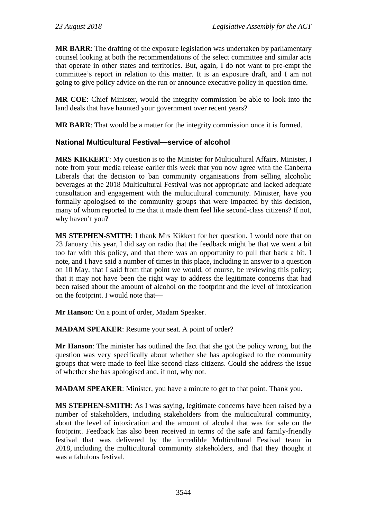**MR BARR**: The drafting of the exposure legislation was undertaken by parliamentary counsel looking at both the recommendations of the select committee and similar acts that operate in other states and territories. But, again, I do not want to pre-empt the committee's report in relation to this matter. It is an exposure draft, and I am not going to give policy advice on the run or announce executive policy in question time.

**MR COE**: Chief Minister, would the integrity commission be able to look into the land deals that have haunted your government over recent years?

**MR BARR**: That would be a matter for the integrity commission once it is formed.

# **National Multicultural Festival—service of alcohol**

**MRS KIKKERT**: My question is to the Minister for Multicultural Affairs. Minister, I note from your media release earlier this week that you now agree with the Canberra Liberals that the decision to ban community organisations from selling alcoholic beverages at the 2018 Multicultural Festival was not appropriate and lacked adequate consultation and engagement with the multicultural community. Minister, have you formally apologised to the community groups that were impacted by this decision, many of whom reported to me that it made them feel like second-class citizens? If not, why haven't you?

**MS STEPHEN-SMITH**: I thank Mrs Kikkert for her question. I would note that on 23 January this year, I did say on radio that the feedback might be that we went a bit too far with this policy, and that there was an opportunity to pull that back a bit. I note, and I have said a number of times in this place, including in answer to a question on 10 May, that I said from that point we would, of course, be reviewing this policy; that it may not have been the right way to address the legitimate concerns that had been raised about the amount of alcohol on the footprint and the level of intoxication on the footprint. I would note that—

**Mr Hanson**: On a point of order, Madam Speaker.

**MADAM SPEAKER**: Resume your seat. A point of order?

**Mr Hanson**: The minister has outlined the fact that she got the policy wrong, but the question was very specifically about whether she has apologised to the community groups that were made to feel like second-class citizens. Could she address the issue of whether she has apologised and, if not, why not.

**MADAM SPEAKER**: Minister, you have a minute to get to that point. Thank you.

**MS STEPHEN-SMITH**: As I was saying, legitimate concerns have been raised by a number of stakeholders, including stakeholders from the multicultural community, about the level of intoxication and the amount of alcohol that was for sale on the footprint. Feedback has also been received in terms of the safe and family-friendly festival that was delivered by the incredible Multicultural Festival team in 2018, including the multicultural community stakeholders, and that they thought it was a fabulous festival.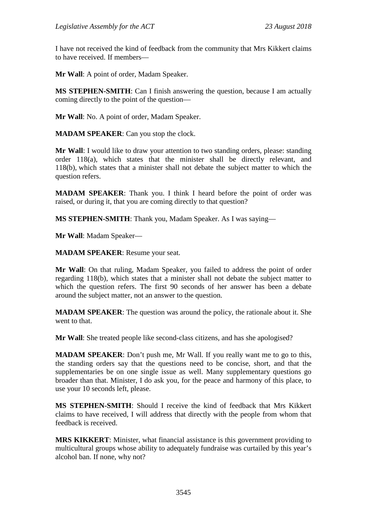I have not received the kind of feedback from the community that Mrs Kikkert claims to have received. If members—

**Mr Wall**: A point of order, Madam Speaker.

**MS STEPHEN-SMITH**: Can I finish answering the question, because I am actually coming directly to the point of the question—

**Mr Wall**: No. A point of order, Madam Speaker.

**MADAM SPEAKER**: Can you stop the clock.

**Mr Wall**: I would like to draw your attention to two standing orders, please: standing order 118(a), which states that the minister shall be directly relevant, and 118(b), which states that a minister shall not debate the subject matter to which the question refers.

**MADAM SPEAKER**: Thank you. I think I heard before the point of order was raised, or during it, that you are coming directly to that question?

**MS STEPHEN-SMITH**: Thank you, Madam Speaker. As I was saying—

**Mr Wall**: Madam Speaker—

**MADAM SPEAKER**: Resume your seat.

**Mr Wall**: On that ruling, Madam Speaker, you failed to address the point of order regarding 118(b), which states that a minister shall not debate the subject matter to which the question refers. The first 90 seconds of her answer has been a debate around the subject matter, not an answer to the question.

**MADAM SPEAKER**: The question was around the policy, the rationale about it. She went to that.

**Mr Wall**: She treated people like second-class citizens, and has she apologised?

**MADAM SPEAKER**: Don't push me, Mr Wall. If you really want me to go to this, the standing orders say that the questions need to be concise, short, and that the supplementaries be on one single issue as well. Many supplementary questions go broader than that. Minister, I do ask you, for the peace and harmony of this place, to use your 10 seconds left, please.

**MS STEPHEN-SMITH**: Should I receive the kind of feedback that Mrs Kikkert claims to have received, I will address that directly with the people from whom that feedback is received.

**MRS KIKKERT**: Minister, what financial assistance is this government providing to multicultural groups whose ability to adequately fundraise was curtailed by this year's alcohol ban. If none, why not?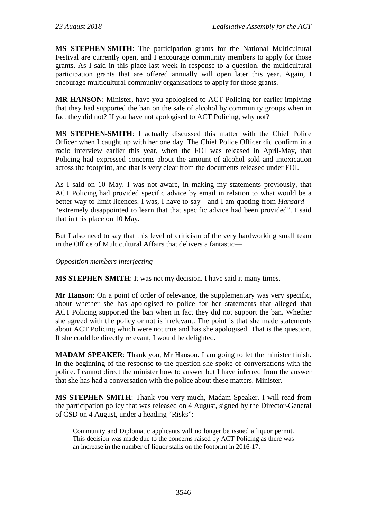**MS STEPHEN-SMITH**: The participation grants for the National Multicultural Festival are currently open, and I encourage community members to apply for those grants. As I said in this place last week in response to a question, the multicultural participation grants that are offered annually will open later this year. Again, I encourage multicultural community organisations to apply for those grants.

**MR HANSON**: Minister, have you apologised to ACT Policing for earlier implying that they had supported the ban on the sale of alcohol by community groups when in fact they did not? If you have not apologised to ACT Policing, why not?

**MS STEPHEN-SMITH**: I actually discussed this matter with the Chief Police Officer when I caught up with her one day. The Chief Police Officer did confirm in a radio interview earlier this year, when the FOI was released in April-May, that Policing had expressed concerns about the amount of alcohol sold and intoxication across the footprint, and that is very clear from the documents released under FOI.

As I said on 10 May, I was not aware, in making my statements previously, that ACT Policing had provided specific advice by email in relation to what would be a better way to limit licences. I was, I have to say—and I am quoting from *Hansard*— "extremely disappointed to learn that that specific advice had been provided". I said that in this place on 10 May.

But I also need to say that this level of criticism of the very hardworking small team in the Office of Multicultural Affairs that delivers a fantastic—

*Opposition members interjecting—*

**MS STEPHEN-SMITH**: It was not my decision. I have said it many times.

**Mr Hanson**: On a point of order of relevance, the supplementary was very specific, about whether she has apologised to police for her statements that alleged that ACT Policing supported the ban when in fact they did not support the ban. Whether she agreed with the policy or not is irrelevant. The point is that she made statements about ACT Policing which were not true and has she apologised. That is the question. If she could be directly relevant, I would be delighted.

**MADAM SPEAKER**: Thank you, Mr Hanson. I am going to let the minister finish. In the beginning of the response to the question she spoke of conversations with the police. I cannot direct the minister how to answer but I have inferred from the answer that she has had a conversation with the police about these matters. Minister.

**MS STEPHEN-SMITH**: Thank you very much, Madam Speaker. I will read from the participation policy that was released on 4 August, signed by the Director-General of CSD on 4 August, under a heading "Risks":

Community and Diplomatic applicants will no longer be issued a liquor permit. This decision was made due to the concerns raised by ACT Policing as there was an increase in the number of liquor stalls on the footprint in 2016-17.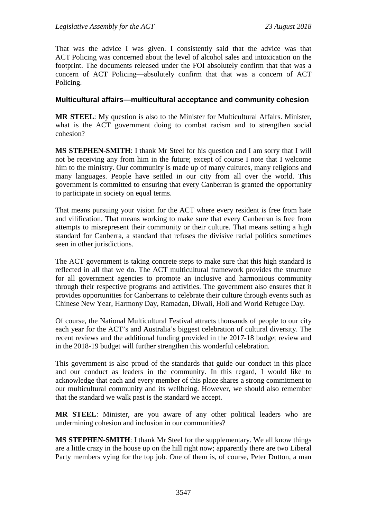That was the advice I was given. I consistently said that the advice was that ACT Policing was concerned about the level of alcohol sales and intoxication on the footprint. The documents released under the FOI absolutely confirm that that was a concern of ACT Policing—absolutely confirm that that was a concern of ACT Policing.

#### **Multicultural affairs—multicultural acceptance and community cohesion**

**MR STEEL**: My question is also to the Minister for Multicultural Affairs. Minister, what is the ACT government doing to combat racism and to strengthen social cohesion?

**MS STEPHEN-SMITH**: I thank Mr Steel for his question and I am sorry that I will not be receiving any from him in the future; except of course I note that I welcome him to the ministry. Our community is made up of many cultures, many religions and many languages. People have settled in our city from all over the world. This government is committed to ensuring that every Canberran is granted the opportunity to participate in society on equal terms.

That means pursuing your vision for the ACT where every resident is free from hate and vilification. That means working to make sure that every Canberran is free from attempts to misrepresent their community or their culture. That means setting a high standard for Canberra, a standard that refuses the divisive racial politics sometimes seen in other jurisdictions.

The ACT government is taking concrete steps to make sure that this high standard is reflected in all that we do. The ACT multicultural framework provides the structure for all government agencies to promote an inclusive and harmonious community through their respective programs and activities. The government also ensures that it provides opportunities for Canberrans to celebrate their culture through events such as Chinese New Year, Harmony Day, Ramadan, Diwali, Holi and World Refugee Day.

Of course, the National Multicultural Festival attracts thousands of people to our city each year for the ACT's and Australia's biggest celebration of cultural diversity. The recent reviews and the additional funding provided in the 2017-18 budget review and in the 2018-19 budget will further strengthen this wonderful celebration.

This government is also proud of the standards that guide our conduct in this place and our conduct as leaders in the community. In this regard, I would like to acknowledge that each and every member of this place shares a strong commitment to our multicultural community and its wellbeing. However, we should also remember that the standard we walk past is the standard we accept.

**MR STEEL**: Minister, are you aware of any other political leaders who are undermining cohesion and inclusion in our communities?

**MS STEPHEN-SMITH**: I thank Mr Steel for the supplementary. We all know things are a little crazy in the house up on the hill right now; apparently there are two Liberal Party members vying for the top job. One of them is, of course, Peter Dutton, a man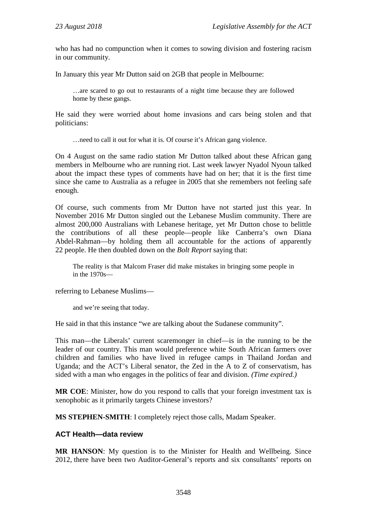who has had no compunction when it comes to sowing division and fostering racism in our community.

In January this year Mr Dutton said on 2GB that people in Melbourne:

…are scared to go out to restaurants of a night time because they are followed home by these gangs.

He said they were worried about home invasions and cars being stolen and that politicians:

…need to call it out for what it is. Of course it's African gang violence.

On 4 August on the same radio station Mr Dutton talked about these African gang members in Melbourne who are running riot. Last week lawyer Nyadol Nyoun talked about the impact these types of comments have had on her; that it is the first time since she came to Australia as a refugee in 2005 that she remembers not feeling safe enough.

Of course, such comments from Mr Dutton have not started just this year. In November 2016 Mr Dutton singled out the Lebanese Muslim community. There are almost 200,000 Australians with Lebanese heritage, yet Mr Dutton chose to belittle the contributions of all these people—people like Canberra's own Diana Abdel-Rahman—by holding them all accountable for the actions of apparently 22 people. He then doubled down on the *Bolt Report* saying that:

The reality is that Malcom Fraser did make mistakes in bringing some people in in the 1970s—

referring to Lebanese Muslims—

and we're seeing that today.

He said in that this instance "we are talking about the Sudanese community".

This man—the Liberals' current scaremonger in chief—is in the running to be the leader of our country. This man would preference white South African farmers over children and families who have lived in refugee camps in Thailand Jordan and Uganda; and the ACT's Liberal senator, the Zed in the A to Z of conservatism, has sided with a man who engages in the politics of fear and division. *(Time expired.)*

**MR COE**: Minister, how do you respond to calls that your foreign investment tax is xenophobic as it primarily targets Chinese investors?

**MS STEPHEN-SMITH**: I completely reject those calls, Madam Speaker.

#### **ACT Health—data review**

**MR HANSON**: My question is to the Minister for Health and Wellbeing. Since 2012, there have been two Auditor-General's reports and six consultants' reports on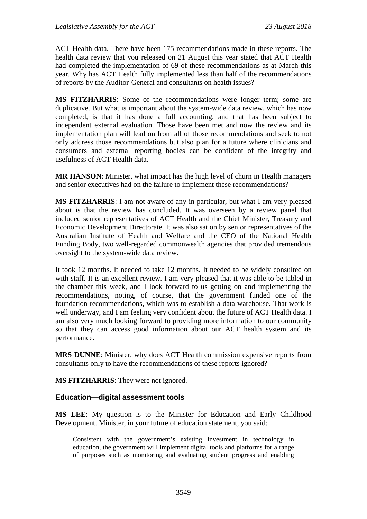ACT Health data. There have been 175 recommendations made in these reports. The health data review that you released on 21 August this year stated that ACT Health had completed the implementation of 69 of these recommendations as at March this year. Why has ACT Health fully implemented less than half of the recommendations of reports by the Auditor-General and consultants on health issues?

**MS FITZHARRIS**: Some of the recommendations were longer term; some are duplicative. But what is important about the system-wide data review, which has now completed, is that it has done a full accounting, and that has been subject to independent external evaluation. Those have been met and now the review and its implementation plan will lead on from all of those recommendations and seek to not only address those recommendations but also plan for a future where clinicians and consumers and external reporting bodies can be confident of the integrity and usefulness of ACT Health data.

**MR HANSON**: Minister, what impact has the high level of churn in Health managers and senior executives had on the failure to implement these recommendations?

**MS FITZHARRIS**: I am not aware of any in particular, but what I am very pleased about is that the review has concluded. It was overseen by a review panel that included senior representatives of ACT Health and the Chief Minister, Treasury and Economic Development Directorate. It was also sat on by senior representatives of the Australian Institute of Health and Welfare and the CEO of the National Health Funding Body, two well-regarded commonwealth agencies that provided tremendous oversight to the system-wide data review.

It took 12 months. It needed to take 12 months. It needed to be widely consulted on with staff. It is an excellent review. I am very pleased that it was able to be tabled in the chamber this week, and I look forward to us getting on and implementing the recommendations, noting, of course, that the government funded one of the foundation recommendations, which was to establish a data warehouse. That work is well underway, and I am feeling very confident about the future of ACT Health data. I am also very much looking forward to providing more information to our community so that they can access good information about our ACT health system and its performance.

**MRS DUNNE**: Minister, why does ACT Health commission expensive reports from consultants only to have the recommendations of these reports ignored?

**MS FITZHARRIS**: They were not ignored.

#### **Education—digital assessment tools**

**MS LEE**: My question is to the Minister for Education and Early Childhood Development. Minister, in your future of education statement, you said:

Consistent with the government's existing investment in technology in education, the government will implement digital tools and platforms for a range of purposes such as monitoring and evaluating student progress and enabling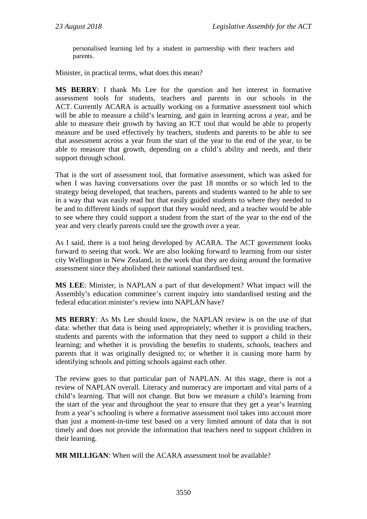personalised learning led by a student in partnership with their teachers and parents.

Minister, in practical terms, what does this mean?

**MS BERRY**: I thank Ms Lee for the question and her interest in formative assessment tools for students, teachers and parents in our schools in the ACT. Currently ACARA is actually working on a formative assessment tool which will be able to measure a child's learning, and gain in learning across a year, and be able to measure their growth by having an ICT tool that would be able to properly measure and be used effectively by teachers, students and parents to be able to see that assessment across a year from the start of the year to the end of the year, to be able to measure that growth, depending on a child's ability and needs, and their support through school.

That is the sort of assessment tool, that formative assessment, which was asked for when I was having conversations over the past 18 months or so which led to the strategy being developed, that teachers, parents and students wanted to be able to see in a way that was easily read but that easily guided students to where they needed to be and to different kinds of support that they would need, and a teacher would be able to see where they could support a student from the start of the year to the end of the year and very clearly parents could see the growth over a year.

As I said, there is a tool being developed by ACARA. The ACT government looks forward to seeing that work. We are also looking forward to learning from our sister city Wellington in New Zealand, in the work that they are doing around the formative assessment since they abolished their national standardised test.

**MS LEE**: Minister, is NAPLAN a part of that development? What impact will the Assembly's education committee's current inquiry into standardised testing and the federal education minister's review into NAPLAN have?

**MS BERRY**: As Ms Lee should know, the NAPLAN review is on the use of that data: whether that data is being used appropriately; whether it is providing teachers, students and parents with the information that they need to support a child in their learning; and whether it is providing the benefits to students, schools, teachers and parents that it was originally designed to; or whether it is causing more harm by identifying schools and pitting schools against each other.

The review goes to that particular part of NAPLAN. At this stage, there is not a review of NAPLAN overall. Literacy and numeracy are important and vital parts of a child's learning. That will not change. But how we measure a child's learning from the start of the year and throughout the year to ensure that they get a year's learning from a year's schooling is where a formative assessment tool takes into account more than just a moment-in-time test based on a very limited amount of data that is not timely and does not provide the information that teachers need to support children in their learning.

**MR MILLIGAN**: When will the ACARA assessment tool be available?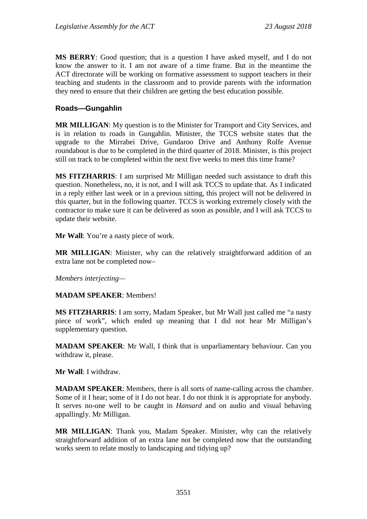**MS BERRY**: Good question; that is a question I have asked myself, and I do not know the answer to it. I am not aware of a time frame. But in the meantime the ACT directorate will be working on formative assessment to support teachers in their teaching and students in the classroom and to provide parents with the information they need to ensure that their children are getting the best education possible.

### **Roads—Gungahlin**

**MR MILLIGAN**: My question is to the Minister for Transport and City Services, and is in relation to roads in Gungahlin. Minister, the TCCS website states that the upgrade to the Mirrabei Drive, Gundaroo Drive and Anthony Rolfe Avenue roundabout is due to be completed in the third quarter of 2018. Minister, is this project still on track to be completed within the next five weeks to meet this time frame?

**MS FITZHARRIS**: I am surprised Mr Milligan needed such assistance to draft this question. Nonetheless, no, it is not, and I will ask TCCS to update that. As I indicated in a reply either last week or in a previous sitting, this project will not be delivered in this quarter, but in the following quarter. TCCS is working extremely closely with the contractor to make sure it can be delivered as soon as possible, and I will ask TCCS to update their website.

**Mr Wall**: You're a nasty piece of work.

**MR MILLIGAN**: Minister, why can the relatively straightforward addition of an extra lane not be completed now–

*Members interjecting—*

### **MADAM SPEAKER**: Members!

**MS FITZHARRIS**: I am sorry, Madam Speaker, but Mr Wall just called me "a nasty piece of work", which ended up meaning that I did not hear Mr Milligan's supplementary question.

**MADAM SPEAKER**: Mr Wall, I think that is unparliamentary behaviour. Can you withdraw it, please.

**Mr Wall**: I withdraw.

**MADAM SPEAKER**: Members, there is all sorts of name-calling across the chamber. Some of it I hear; some of it I do not hear. I do not think it is appropriate for anybody. It serves no-one well to be caught in *Hansard* and on audio and visual behaving appallingly. Mr Milligan.

**MR MILLIGAN**: Thank you, Madam Speaker. Minister, why can the relatively straightforward addition of an extra lane not be completed now that the outstanding works seem to relate mostly to landscaping and tidying up?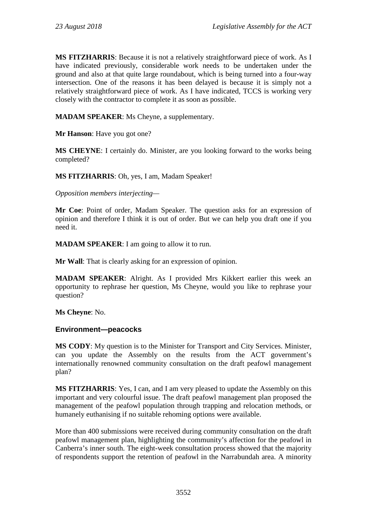**MS FITZHARRIS**: Because it is not a relatively straightforward piece of work. As I have indicated previously, considerable work needs to be undertaken under the ground and also at that quite large roundabout, which is being turned into a four-way intersection. One of the reasons it has been delayed is because it is simply not a relatively straightforward piece of work. As I have indicated, TCCS is working very closely with the contractor to complete it as soon as possible.

**MADAM SPEAKER**: Ms Cheyne, a supplementary.

**Mr Hanson**: Have you got one?

**MS CHEYNE**: I certainly do. Minister, are you looking forward to the works being completed?

**MS FITZHARRIS**: Oh, yes, I am, Madam Speaker!

*Opposition members interjecting—*

**Mr Coe**: Point of order, Madam Speaker. The question asks for an expression of opinion and therefore I think it is out of order. But we can help you draft one if you need it.

**MADAM SPEAKER**: I am going to allow it to run.

**Mr Wall**: That is clearly asking for an expression of opinion.

**MADAM SPEAKER**: Alright. As I provided Mrs Kikkert earlier this week an opportunity to rephrase her question, Ms Cheyne, would you like to rephrase your question?

**Ms Cheyne**: No.

### **Environment—peacocks**

**MS CODY**: My question is to the Minister for Transport and City Services. Minister, can you update the Assembly on the results from the ACT government's internationally renowned community consultation on the draft peafowl management plan?

**MS FITZHARRIS**: Yes, I can, and I am very pleased to update the Assembly on this important and very colourful issue. The draft peafowl management plan proposed the management of the peafowl population through trapping and relocation methods, or humanely euthanising if no suitable rehoming options were available.

More than 400 submissions were received during community consultation on the draft peafowl management plan, highlighting the community's affection for the peafowl in Canberra's inner south. The eight-week consultation process showed that the majority of respondents support the retention of peafowl in the Narrabundah area. A minority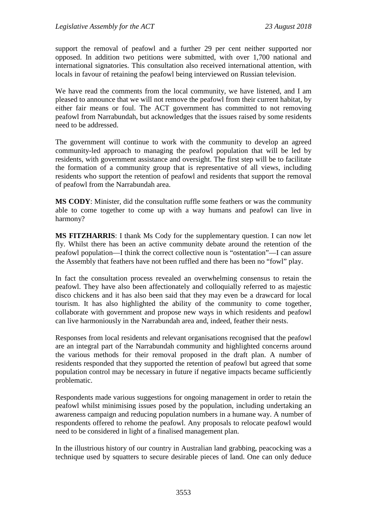support the removal of peafowl and a further 29 per cent neither supported nor opposed. In addition two petitions were submitted, with over 1,700 national and international signatories. This consultation also received international attention, with locals in favour of retaining the peafowl being interviewed on Russian television.

We have read the comments from the local community, we have listened, and I am pleased to announce that we will not remove the peafowl from their current habitat, by either fair means or foul. The ACT government has committed to not removing peafowl from Narrabundah, but acknowledges that the issues raised by some residents need to be addressed.

The government will continue to work with the community to develop an agreed community-led approach to managing the peafowl population that will be led by residents, with government assistance and oversight. The first step will be to facilitate the formation of a community group that is representative of all views, including residents who support the retention of peafowl and residents that support the removal of peafowl from the Narrabundah area.

**MS CODY**: Minister, did the consultation ruffle some feathers or was the community able to come together to come up with a way humans and peafowl can live in harmony?

**MS FITZHARRIS**: I thank Ms Cody for the supplementary question. I can now let fly. Whilst there has been an active community debate around the retention of the peafowl population—I think the correct collective noun is "ostentation"—I can assure the Assembly that feathers have not been ruffled and there has been no "fowl" play.

In fact the consultation process revealed an overwhelming consensus to retain the peafowl. They have also been affectionately and colloquially referred to as majestic disco chickens and it has also been said that they may even be a drawcard for local tourism. It has also highlighted the ability of the community to come together, collaborate with government and propose new ways in which residents and peafowl can live harmoniously in the Narrabundah area and, indeed, feather their nests.

Responses from local residents and relevant organisations recognised that the peafowl are an integral part of the Narrabundah community and highlighted concerns around the various methods for their removal proposed in the draft plan. A number of residents responded that they supported the retention of peafowl but agreed that some population control may be necessary in future if negative impacts became sufficiently problematic.

Respondents made various suggestions for ongoing management in order to retain the peafowl whilst minimising issues posed by the population, including undertaking an awareness campaign and reducing population numbers in a humane way. A number of respondents offered to rehome the peafowl. Any proposals to relocate peafowl would need to be considered in light of a finalised management plan.

In the illustrious history of our country in Australian land grabbing, peacocking was a technique used by squatters to secure desirable pieces of land. One can only deduce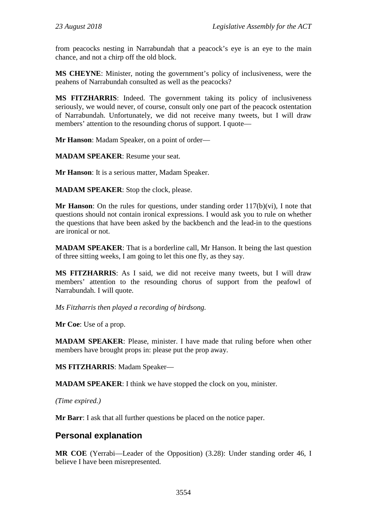from peacocks nesting in Narrabundah that a peacock's eye is an eye to the main chance, and not a chirp off the old block.

**MS CHEYNE**: Minister, noting the government's policy of inclusiveness, were the peahens of Narrabundah consulted as well as the peacocks?

**MS FITZHARRIS**: Indeed. The government taking its policy of inclusiveness seriously, we would never, of course, consult only one part of the peacock ostentation of Narrabundah. Unfortunately, we did not receive many tweets, but I will draw members' attention to the resounding chorus of support. I quote—

**Mr Hanson**: Madam Speaker, on a point of order—

**MADAM SPEAKER**: Resume your seat.

**Mr Hanson**: It is a serious matter, Madam Speaker.

**MADAM SPEAKER**: Stop the clock, please.

**Mr Hanson**: On the rules for questions, under standing order 117(b)(vi), I note that questions should not contain ironical expressions. I would ask you to rule on whether the questions that have been asked by the backbench and the lead-in to the questions are ironical or not.

**MADAM SPEAKER**: That is a borderline call, Mr Hanson. It being the last question of three sitting weeks, I am going to let this one fly, as they say.

**MS FITZHARRIS**: As I said, we did not receive many tweets, but I will draw members' attention to the resounding chorus of support from the peafowl of Narrabundah. I will quote.

*Ms Fitzharris then played a recording of birdsong.* 

**Mr Coe**: Use of a prop.

**MADAM SPEAKER**: Please, minister. I have made that ruling before when other members have brought props in: please put the prop away.

**MS FITZHARRIS**: Madam Speaker—

**MADAM SPEAKER**: I think we have stopped the clock on you, minister.

*(Time expired.)*

**Mr Barr**: I ask that all further questions be placed on the notice paper.

# **Personal explanation**

**MR COE** (Yerrabi—Leader of the Opposition) (3.28): Under standing order 46, I believe I have been misrepresented.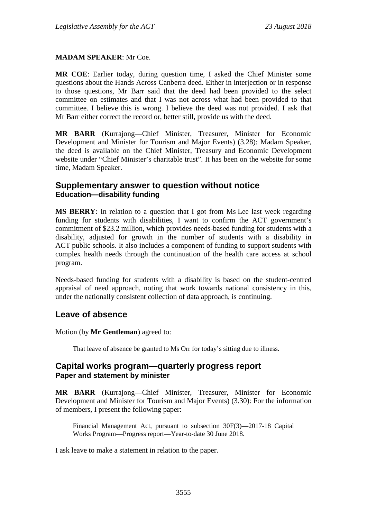### **MADAM SPEAKER**: Mr Coe.

**MR COE**: Earlier today, during question time, I asked the Chief Minister some questions about the Hands Across Canberra deed. Either in interjection or in response to those questions, Mr Barr said that the deed had been provided to the select committee on estimates and that I was not across what had been provided to that committee. I believe this is wrong. I believe the deed was not provided. I ask that Mr Barr either correct the record or, better still, provide us with the deed.

**MR BARR** (Kurrajong—Chief Minister, Treasurer, Minister for Economic Development and Minister for Tourism and Major Events) (3.28): Madam Speaker, the deed is available on the Chief Minister, Treasury and Economic Development website under "Chief Minister's charitable trust". It has been on the website for some time, Madam Speaker.

# **Supplementary answer to question without notice Education—disability funding**

**MS BERRY**: In relation to a question that I got from Ms Lee last week regarding funding for students with disabilities, I want to confirm the ACT government's commitment of \$23.2 million, which provides needs-based funding for students with a disability, adjusted for growth in the number of students with a disability in ACT public schools. It also includes a component of funding to support students with complex health needs through the continuation of the health care access at school program.

Needs-based funding for students with a disability is based on the student-centred appraisal of need approach, noting that work towards national consistency in this, under the nationally consistent collection of data approach, is continuing.

# **Leave of absence**

Motion (by **Mr Gentleman**) agreed to:

That leave of absence be granted to Ms Orr for today's sitting due to illness.

## **Capital works program—quarterly progress report Paper and statement by minister**

**MR BARR** (Kurrajong—Chief Minister, Treasurer, Minister for Economic Development and Minister for Tourism and Major Events) (3.30): For the information of members, I present the following paper:

Financial Management Act, pursuant to subsection 30F(3)—2017-18 Capital Works Program—Progress report—Year-to-date 30 June 2018.

I ask leave to make a statement in relation to the paper.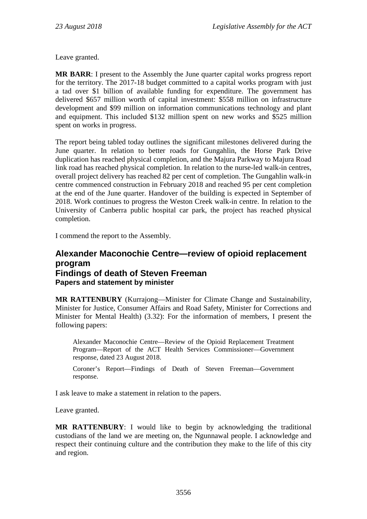Leave granted.

**MR BARR**: I present to the Assembly the June quarter capital works progress report for the territory. The 2017-18 budget committed to a capital works program with just a tad over \$1 billion of available funding for expenditure. The government has delivered \$657 million worth of capital investment: \$558 million on infrastructure development and \$99 million on information communications technology and plant and equipment. This included \$132 million spent on new works and \$525 million spent on works in progress.

The report being tabled today outlines the significant milestones delivered during the June quarter. In relation to better roads for Gungahlin, the Horse Park Drive duplication has reached physical completion, and the Majura Parkway to Majura Road link road has reached physical completion. In relation to the nurse-led walk-in centres, overall project delivery has reached 82 per cent of completion. The Gungahlin walk-in centre commenced construction in February 2018 and reached 95 per cent completion at the end of the June quarter. Handover of the building is expected in September of 2018. Work continues to progress the Weston Creek walk-in centre. In relation to the University of Canberra public hospital car park, the project has reached physical completion.

I commend the report to the Assembly.

# **Alexander Maconochie Centre—review of opioid replacement program Findings of death of Steven Freeman Papers and statement by minister**

**MR RATTENBURY** (Kurrajong—Minister for Climate Change and Sustainability, Minister for Justice, Consumer Affairs and Road Safety, Minister for Corrections and Minister for Mental Health) (3.32): For the information of members, I present the following papers:

Alexander Maconochie Centre—Review of the Opioid Replacement Treatment Program—Report of the ACT Health Services Commissioner—Government response, dated 23 August 2018.

Coroner's Report—Findings of Death of Steven Freeman—Government response.

I ask leave to make a statement in relation to the papers.

Leave granted.

**MR RATTENBURY**: I would like to begin by acknowledging the traditional custodians of the land we are meeting on, the Ngunnawal people. I acknowledge and respect their continuing culture and the contribution they make to the life of this city and region.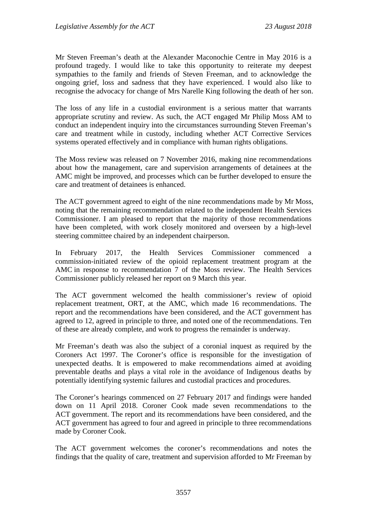Mr Steven Freeman's death at the Alexander Maconochie Centre in May 2016 is a profound tragedy. I would like to take this opportunity to reiterate my deepest sympathies to the family and friends of Steven Freeman, and to acknowledge the ongoing grief, loss and sadness that they have experienced. I would also like to recognise the advocacy for change of Mrs Narelle King following the death of her son.

The loss of any life in a custodial environment is a serious matter that warrants appropriate scrutiny and review. As such, the ACT engaged Mr Philip Moss AM to conduct an independent inquiry into the circumstances surrounding Steven Freeman's care and treatment while in custody, including whether ACT Corrective Services systems operated effectively and in compliance with human rights obligations.

The Moss review was released on 7 November 2016, making nine recommendations about how the management, care and supervision arrangements of detainees at the AMC might be improved, and processes which can be further developed to ensure the care and treatment of detainees is enhanced.

The ACT government agreed to eight of the nine recommendations made by Mr Moss, noting that the remaining recommendation related to the independent Health Services Commissioner. I am pleased to report that the majority of those recommendations have been completed, with work closely monitored and overseen by a high-level steering committee chaired by an independent chairperson.

In February 2017, the Health Services Commissioner commenced a commission-initiated review of the opioid replacement treatment program at the AMC in response to recommendation 7 of the Moss review. The Health Services Commissioner publicly released her report on 9 March this year.

The ACT government welcomed the health commissioner's review of opioid replacement treatment, ORT, at the AMC, which made 16 recommendations. The report and the recommendations have been considered, and the ACT government has agreed to 12, agreed in principle to three, and noted one of the recommendations. Ten of these are already complete, and work to progress the remainder is underway.

Mr Freeman's death was also the subject of a coronial inquest as required by the Coroners Act 1997. The Coroner's office is responsible for the investigation of unexpected deaths. It is empowered to make recommendations aimed at avoiding preventable deaths and plays a vital role in the avoidance of Indigenous deaths by potentially identifying systemic failures and custodial practices and procedures.

The Coroner's hearings commenced on 27 February 2017 and findings were handed down on 11 April 2018. Coroner Cook made seven recommendations to the ACT government. The report and its recommendations have been considered, and the ACT government has agreed to four and agreed in principle to three recommendations made by Coroner Cook.

The ACT government welcomes the coroner's recommendations and notes the findings that the quality of care, treatment and supervision afforded to Mr Freeman by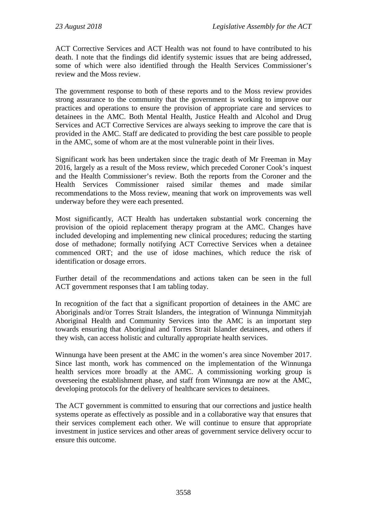ACT Corrective Services and ACT Health was not found to have contributed to his death. I note that the findings did identify systemic issues that are being addressed, some of which were also identified through the Health Services Commissioner's review and the Moss review.

The government response to both of these reports and to the Moss review provides strong assurance to the community that the government is working to improve our practices and operations to ensure the provision of appropriate care and services to detainees in the AMC. Both Mental Health, Justice Health and Alcohol and Drug Services and ACT Corrective Services are always seeking to improve the care that is provided in the AMC. Staff are dedicated to providing the best care possible to people in the AMC, some of whom are at the most vulnerable point in their lives.

Significant work has been undertaken since the tragic death of Mr Freeman in May 2016, largely as a result of the Moss review, which preceded Coroner Cook's inquest and the Health Commissioner's review. Both the reports from the Coroner and the Health Services Commissioner raised similar themes and made similar recommendations to the Moss review, meaning that work on improvements was well underway before they were each presented.

Most significantly, ACT Health has undertaken substantial work concerning the provision of the opioid replacement therapy program at the AMC. Changes have included developing and implementing new clinical procedures; reducing the starting dose of methadone; formally notifying ACT Corrective Services when a detainee commenced ORT; and the use of idose machines, which reduce the risk of identification or dosage errors.

Further detail of the recommendations and actions taken can be seen in the full ACT government responses that I am tabling today.

In recognition of the fact that a significant proportion of detainees in the AMC are Aboriginals and/or Torres Strait Islanders, the integration of Winnunga Nimmityjah Aboriginal Health and Community Services into the AMC is an important step towards ensuring that Aboriginal and Torres Strait Islander detainees, and others if they wish, can access holistic and culturally appropriate health services.

Winnunga have been present at the AMC in the women's area since November 2017. Since last month, work has commenced on the implementation of the Winnunga health services more broadly at the AMC. A commissioning working group is overseeing the establishment phase, and staff from Winnunga are now at the AMC, developing protocols for the delivery of healthcare services to detainees.

The ACT government is committed to ensuring that our corrections and justice health systems operate as effectively as possible and in a collaborative way that ensures that their services complement each other. We will continue to ensure that appropriate investment in justice services and other areas of government service delivery occur to ensure this outcome.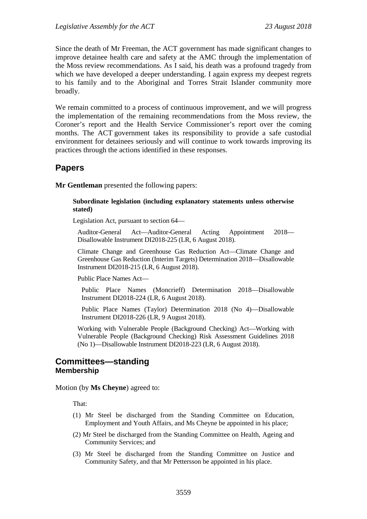Since the death of Mr Freeman, the ACT government has made significant changes to improve detainee health care and safety at the AMC through the implementation of the Moss review recommendations. As I said, his death was a profound tragedy from which we have developed a deeper understanding. I again express my deepest regrets to his family and to the Aboriginal and Torres Strait Islander community more broadly.

We remain committed to a process of continuous improvement, and we will progress the implementation of the remaining recommendations from the Moss review, the Coroner's report and the Health Service Commissioner's report over the coming months. The ACT government takes its responsibility to provide a safe custodial environment for detainees seriously and will continue to work towards improving its practices through the actions identified in these responses.

## **Papers**

**Mr Gentleman** presented the following papers:

#### **Subordinate legislation (including explanatory statements unless otherwise stated)**

Legislation Act, pursuant to section 64—

Auditor-General Act—Auditor-General Acting Appointment 2018— Disallowable Instrument DI2018-225 (LR, 6 August 2018).

Climate Change and Greenhouse Gas Reduction Act—Climate Change and Greenhouse Gas Reduction (Interim Targets) Determination 2018—Disallowable Instrument DI2018-215 (LR, 6 August 2018).

Public Place Names Act—

Public Place Names (Moncrieff) Determination 2018—Disallowable Instrument DI2018-224 (LR, 6 August 2018).

Public Place Names (Taylor) Determination 2018 (No 4)—Disallowable Instrument DI2018-226 (LR, 9 August 2018).

Working with Vulnerable People (Background Checking) Act—Working with Vulnerable People (Background Checking) Risk Assessment Guidelines 2018 (No 1)—Disallowable Instrument DI2018-223 (LR, 6 August 2018).

## **Committees—standing Membership**

Motion (by **Ms Cheyne**) agreed to:

That:

- (1) Mr Steel be discharged from the Standing Committee on Education, Employment and Youth Affairs, and Ms Cheyne be appointed in his place;
- (2) Mr Steel be discharged from the Standing Committee on Health, Ageing and Community Services; and
- (3) Mr Steel be discharged from the Standing Committee on Justice and Community Safety, and that Mr Pettersson be appointed in his place.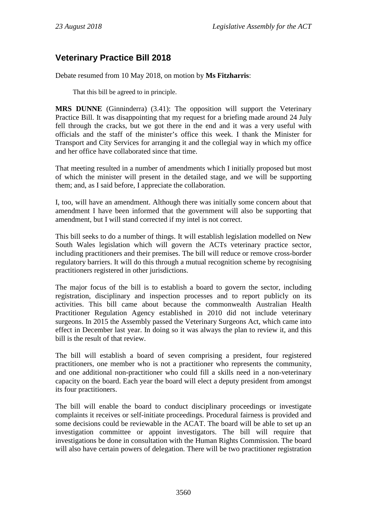# **Veterinary Practice Bill 2018**

Debate resumed from 10 May 2018, on motion by **Ms Fitzharris**:

That this bill be agreed to in principle.

**MRS DUNNE** (Ginninderra) (3.41): The opposition will support the Veterinary Practice Bill. It was disappointing that my request for a briefing made around 24 July fell through the cracks, but we got there in the end and it was a very useful with officials and the staff of the minister's office this week. I thank the Minister for Transport and City Services for arranging it and the collegial way in which my office and her office have collaborated since that time.

That meeting resulted in a number of amendments which I initially proposed but most of which the minister will present in the detailed stage, and we will be supporting them; and, as I said before, I appreciate the collaboration.

I, too, will have an amendment. Although there was initially some concern about that amendment I have been informed that the government will also be supporting that amendment, but I will stand corrected if my intel is not correct.

This bill seeks to do a number of things. It will establish legislation modelled on New South Wales legislation which will govern the ACTs veterinary practice sector, including practitioners and their premises. The bill will reduce or remove cross-border regulatory barriers. It will do this through a mutual recognition scheme by recognising practitioners registered in other jurisdictions.

The major focus of the bill is to establish a board to govern the sector, including registration, disciplinary and inspection processes and to report publicly on its activities. This bill came about because the commonwealth Australian Health Practitioner Regulation Agency established in 2010 did not include veterinary surgeons. In 2015 the Assembly passed the Veterinary Surgeons Act, which came into effect in December last year. In doing so it was always the plan to review it, and this bill is the result of that review.

The bill will establish a board of seven comprising a president, four registered practitioners, one member who is not a practitioner who represents the community, and one additional non-practitioner who could fill a skills need in a non-veterinary capacity on the board. Each year the board will elect a deputy president from amongst its four practitioners.

The bill will enable the board to conduct disciplinary proceedings or investigate complaints it receives or self-initiate proceedings. Procedural fairness is provided and some decisions could be reviewable in the ACAT. The board will be able to set up an investigation committee or appoint investigators. The bill will require that investigations be done in consultation with the Human Rights Commission. The board will also have certain powers of delegation. There will be two practitioner registration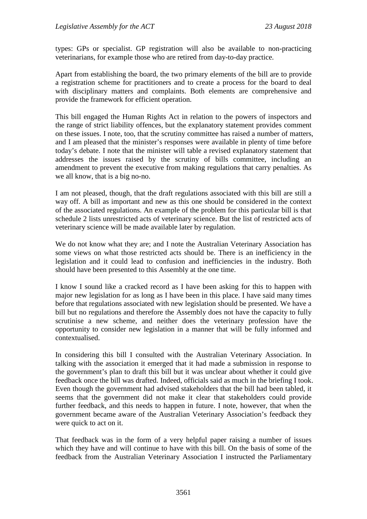types: GPs or specialist. GP registration will also be available to non-practicing veterinarians, for example those who are retired from day-to-day practice.

Apart from establishing the board, the two primary elements of the bill are to provide a registration scheme for practitioners and to create a process for the board to deal with disciplinary matters and complaints. Both elements are comprehensive and provide the framework for efficient operation.

This bill engaged the Human Rights Act in relation to the powers of inspectors and the range of strict liability offences, but the explanatory statement provides comment on these issues. I note, too, that the scrutiny committee has raised a number of matters, and I am pleased that the minister's responses were available in plenty of time before today's debate. I note that the minister will table a revised explanatory statement that addresses the issues raised by the scrutiny of bills committee, including an amendment to prevent the executive from making regulations that carry penalties. As we all know, that is a big no-no.

I am not pleased, though, that the draft regulations associated with this bill are still a way off. A bill as important and new as this one should be considered in the context of the associated regulations. An example of the problem for this particular bill is that schedule 2 lists unrestricted acts of veterinary science. But the list of restricted acts of veterinary science will be made available later by regulation.

We do not know what they are; and I note the Australian Veterinary Association has some views on what those restricted acts should be. There is an inefficiency in the legislation and it could lead to confusion and inefficiencies in the industry. Both should have been presented to this Assembly at the one time.

I know I sound like a cracked record as I have been asking for this to happen with major new legislation for as long as I have been in this place. I have said many times before that regulations associated with new legislation should be presented. We have a bill but no regulations and therefore the Assembly does not have the capacity to fully scrutinise a new scheme, and neither does the veterinary profession have the opportunity to consider new legislation in a manner that will be fully informed and contextualised.

In considering this bill I consulted with the Australian Veterinary Association. In talking with the association it emerged that it had made a submission in response to the government's plan to draft this bill but it was unclear about whether it could give feedback once the bill was drafted. Indeed, officials said as much in the briefing I took. Even though the government had advised stakeholders that the bill had been tabled, it seems that the government did not make it clear that stakeholders could provide further feedback, and this needs to happen in future. I note, however, that when the government became aware of the Australian Veterinary Association's feedback they were quick to act on it.

That feedback was in the form of a very helpful paper raising a number of issues which they have and will continue to have with this bill. On the basis of some of the feedback from the Australian Veterinary Association I instructed the Parliamentary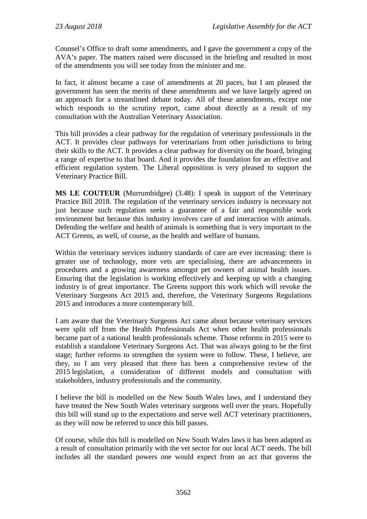Counsel's Office to draft some amendments, and I gave the government a copy of the AVA's paper. The matters raised were discussed in the briefing and resulted in most of the amendments you will see today from the minister and me.

In fact, it almost became a case of amendments at 20 paces, but I am pleased the government has seen the merits of these amendments and we have largely agreed on an approach for a streamlined debate today. All of these amendments, except one which responds to the scrutiny report, came about directly as a result of my consultation with the Australian Veterinary Association.

This bill provides a clear pathway for the regulation of veterinary professionals in the ACT. It provides clear pathways for veterinarians from other jurisdictions to bring their skills to the ACT. It provides a clear pathway for diversity on the board, bringing a range of expertise to that board. And it provides the foundation for an effective and efficient regulation system. The Liberal opposition is very pleased to support the Veterinary Practice Bill.

**MS LE COUTEUR** (Murrumbidgee) (3.48): I speak in support of the Veterinary Practice Bill 2018. The regulation of the veterinary services industry is necessary not just because such regulation seeks a guarantee of a fair and responsible work environment but because this industry involves care of and interaction with animals. Defending the welfare and health of animals is something that is very important to the ACT Greens, as well, of course, as the health and welfare of humans.

Within the veterinary services industry standards of care are ever increasing: there is greater use of technology, more vets are specialising, there are advancements in procedures and a growing awareness amongst pet owners of animal health issues. Ensuring that the legislation is working effectively and keeping up with a changing industry is of great importance. The Greens support this work which will revoke the Veterinary Surgeons Act 2015 and, therefore, the Veterinary Surgeons Regulations 2015 and introduces a more contemporary bill.

I am aware that the Veterinary Surgeons Act came about because veterinary services were split off from the Health Professionals Act when other health professionals became part of a national health professionals scheme. Those reforms in 2015 were to establish a standalone Veterinary Surgeons Act. That was always going to be the first stage; further reforms to strengthen the system were to follow. These, I believe, are they, so I am very pleased that there has been a comprehensive review of the 2015 legislation, a consideration of different models and consultation with stakeholders, industry professionals and the community.

I believe the bill is modelled on the New South Wales laws, and I understand they have treated the New South Wales veterinary surgeons well over the years. Hopefully this bill will stand up to the expectations and serve well ACT veterinary practitioners, as they will now be referred to once this bill passes.

Of course, while this bill is modelled on New South Wales laws it has been adapted as a result of consultation primarily with the vet sector for our local ACT needs. The bill includes all the standard powers one would expect from an act that governs the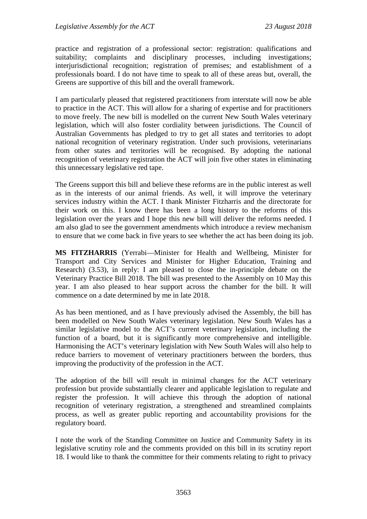practice and registration of a professional sector: registration: qualifications and suitability; complaints and disciplinary processes, including investigations; interjurisdictional recognition; registration of premises; and establishment of a professionals board. I do not have time to speak to all of these areas but, overall, the Greens are supportive of this bill and the overall framework.

I am particularly pleased that registered practitioners from interstate will now be able to practice in the ACT. This will allow for a sharing of expertise and for practitioners to move freely. The new bill is modelled on the current New South Wales veterinary legislation, which will also foster cordiality between jurisdictions. The Council of Australian Governments has pledged to try to get all states and territories to adopt national recognition of veterinary registration. Under such provisions, veterinarians from other states and territories will be recognised. By adopting the national recognition of veterinary registration the ACT will join five other states in eliminating this unnecessary legislative red tape.

The Greens support this bill and believe these reforms are in the public interest as well as in the interests of our animal friends. As well, it will improve the veterinary services industry within the ACT. I thank Minister Fitzharris and the directorate for their work on this. I know there has been a long history to the reforms of this legislation over the years and I hope this new bill will deliver the reforms needed. I am also glad to see the government amendments which introduce a review mechanism to ensure that we come back in five years to see whether the act has been doing its job.

**MS FITZHARRIS** (Yerrabi—Minister for Health and Wellbeing, Minister for Transport and City Services and Minister for Higher Education, Training and Research) (3.53), in reply: I am pleased to close the in-principle debate on the Veterinary Practice Bill 2018. The bill was presented to the Assembly on 10 May this year. I am also pleased to hear support across the chamber for the bill. It will commence on a date determined by me in late 2018.

As has been mentioned, and as I have previously advised the Assembly, the bill has been modelled on New South Wales veterinary legislation. New South Wales has a similar legislative model to the ACT's current veterinary legislation, including the function of a board, but it is significantly more comprehensive and intelligible. Harmonising the ACT's veterinary legislation with New South Wales will also help to reduce barriers to movement of veterinary practitioners between the borders, thus improving the productivity of the profession in the ACT.

The adoption of the bill will result in minimal changes for the ACT veterinary profession but provide substantially clearer and applicable legislation to regulate and register the profession. It will achieve this through the adoption of national recognition of veterinary registration, a strengthened and streamlined complaints process, as well as greater public reporting and accountability provisions for the regulatory board.

I note the work of the Standing Committee on Justice and Community Safety in its legislative scrutiny role and the comments provided on this bill in its scrutiny report 18. I would like to thank the committee for their comments relating to right to privacy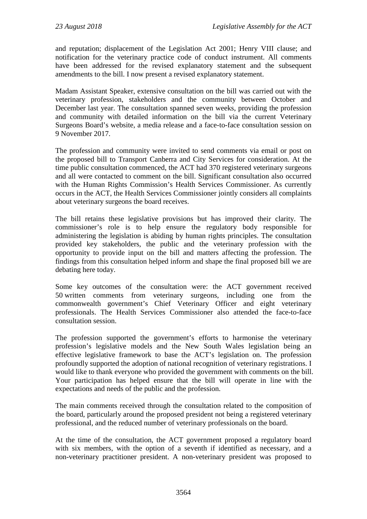and reputation; displacement of the Legislation Act 2001; Henry VIII clause; and notification for the veterinary practice code of conduct instrument. All comments have been addressed for the revised explanatory statement and the subsequent amendments to the bill. I now present a revised explanatory statement.

Madam Assistant Speaker, extensive consultation on the bill was carried out with the veterinary profession, stakeholders and the community between October and December last year. The consultation spanned seven weeks, providing the profession and community with detailed information on the bill via the current Veterinary Surgeons Board's website, a media release and a face-to-face consultation session on 9 November 2017.

The profession and community were invited to send comments via email or post on the proposed bill to Transport Canberra and City Services for consideration. At the time public consultation commenced, the ACT had 370 registered veterinary surgeons and all were contacted to comment on the bill. Significant consultation also occurred with the Human Rights Commission's Health Services Commissioner. As currently occurs in the ACT, the Health Services Commissioner jointly considers all complaints about veterinary surgeons the board receives.

The bill retains these legislative provisions but has improved their clarity. The commissioner's role is to help ensure the regulatory body responsible for administering the legislation is abiding by human rights principles. The consultation provided key stakeholders, the public and the veterinary profession with the opportunity to provide input on the bill and matters affecting the profession. The findings from this consultation helped inform and shape the final proposed bill we are debating here today.

Some key outcomes of the consultation were: the ACT government received 50 written comments from veterinary surgeons, including one from the commonwealth government's Chief Veterinary Officer and eight veterinary professionals. The Health Services Commissioner also attended the face-to-face consultation session.

The profession supported the government's efforts to harmonise the veterinary profession's legislative models and the New South Wales legislation being an effective legislative framework to base the ACT's legislation on. The profession profoundly supported the adoption of national recognition of veterinary registrations. I would like to thank everyone who provided the government with comments on the bill. Your participation has helped ensure that the bill will operate in line with the expectations and needs of the public and the profession.

The main comments received through the consultation related to the composition of the board, particularly around the proposed president not being a registered veterinary professional, and the reduced number of veterinary professionals on the board.

At the time of the consultation, the ACT government proposed a regulatory board with six members, with the option of a seventh if identified as necessary, and a non-veterinary practitioner president. A non-veterinary president was proposed to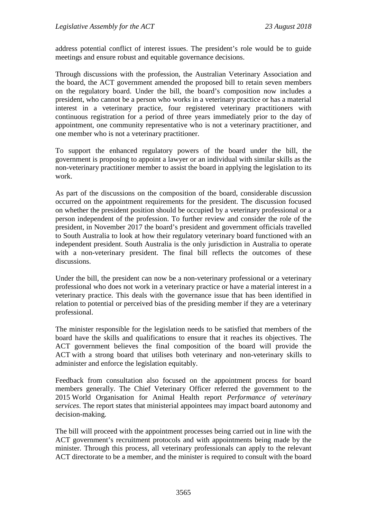address potential conflict of interest issues. The president's role would be to guide meetings and ensure robust and equitable governance decisions.

Through discussions with the profession, the Australian Veterinary Association and the board, the ACT government amended the proposed bill to retain seven members on the regulatory board. Under the bill, the board's composition now includes a president, who cannot be a person who works in a veterinary practice or has a material interest in a veterinary practice, four registered veterinary practitioners with continuous registration for a period of three years immediately prior to the day of appointment, one community representative who is not a veterinary practitioner, and one member who is not a veterinary practitioner.

To support the enhanced regulatory powers of the board under the bill, the government is proposing to appoint a lawyer or an individual with similar skills as the non-veterinary practitioner member to assist the board in applying the legislation to its work.

As part of the discussions on the composition of the board, considerable discussion occurred on the appointment requirements for the president. The discussion focused on whether the president position should be occupied by a veterinary professional or a person independent of the profession. To further review and consider the role of the president, in November 2017 the board's president and government officials travelled to South Australia to look at how their regulatory veterinary board functioned with an independent president. South Australia is the only jurisdiction in Australia to operate with a non-veterinary president. The final bill reflects the outcomes of these discussions.

Under the bill, the president can now be a non-veterinary professional or a veterinary professional who does not work in a veterinary practice or have a material interest in a veterinary practice. This deals with the governance issue that has been identified in relation to potential or perceived bias of the presiding member if they are a veterinary professional.

The minister responsible for the legislation needs to be satisfied that members of the board have the skills and qualifications to ensure that it reaches its objectives. The ACT government believes the final composition of the board will provide the ACT with a strong board that utilises both veterinary and non-veterinary skills to administer and enforce the legislation equitably.

Feedback from consultation also focused on the appointment process for board members generally. The Chief Veterinary Officer referred the government to the 2015 World Organisation for Animal Health report *Performance of veterinary services*. The report states that ministerial appointees may impact board autonomy and decision-making.

The bill will proceed with the appointment processes being carried out in line with the ACT government's recruitment protocols and with appointments being made by the minister. Through this process, all veterinary professionals can apply to the relevant ACT directorate to be a member, and the minister is required to consult with the board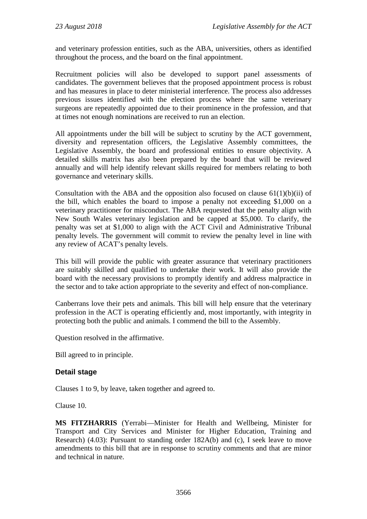and veterinary profession entities, such as the ABA, universities, others as identified throughout the process, and the board on the final appointment.

Recruitment policies will also be developed to support panel assessments of candidates. The government believes that the proposed appointment process is robust and has measures in place to deter ministerial interference. The process also addresses previous issues identified with the election process where the same veterinary surgeons are repeatedly appointed due to their prominence in the profession, and that at times not enough nominations are received to run an election.

All appointments under the bill will be subject to scrutiny by the ACT government, diversity and representation officers, the Legislative Assembly committees, the Legislative Assembly, the board and professional entities to ensure objectivity. A detailed skills matrix has also been prepared by the board that will be reviewed annually and will help identify relevant skills required for members relating to both governance and veterinary skills.

Consultation with the ABA and the opposition also focused on clause  $61(1)(b)(ii)$  of the bill, which enables the board to impose a penalty not exceeding \$1,000 on a veterinary practitioner for misconduct. The ABA requested that the penalty align with New South Wales veterinary legislation and be capped at \$5,000. To clarify, the penalty was set at \$1,000 to align with the ACT Civil and Administrative Tribunal penalty levels. The government will commit to review the penalty level in line with any review of ACAT's penalty levels.

This bill will provide the public with greater assurance that veterinary practitioners are suitably skilled and qualified to undertake their work. It will also provide the board with the necessary provisions to promptly identify and address malpractice in the sector and to take action appropriate to the severity and effect of non-compliance.

Canberrans love their pets and animals. This bill will help ensure that the veterinary profession in the ACT is operating efficiently and, most importantly, with integrity in protecting both the public and animals. I commend the bill to the Assembly.

Question resolved in the affirmative.

Bill agreed to in principle.

# **Detail stage**

Clauses 1 to 9, by leave, taken together and agreed to.

Clause 10.

**MS FITZHARRIS** (Yerrabi—Minister for Health and Wellbeing, Minister for Transport and City Services and Minister for Higher Education, Training and Research) (4.03): Pursuant to standing order 182A(b) and (c), I seek leave to move amendments to this bill that are in response to scrutiny comments and that are minor and technical in nature.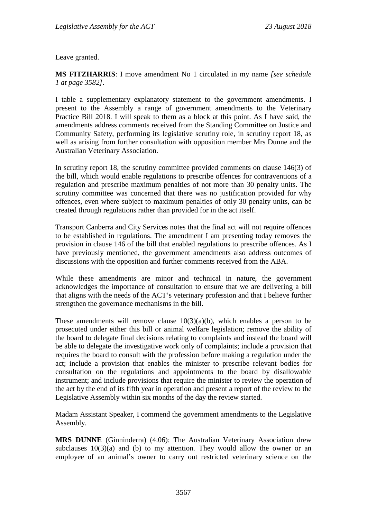Leave granted.

**MS FITZHARRIS**: I move amendment No 1 circulated in my name *[see schedule 1 at page 3582]*.

I table a supplementary explanatory statement to the government amendments. I present to the Assembly a range of government amendments to the Veterinary Practice Bill 2018. I will speak to them as a block at this point. As I have said, the amendments address comments received from the Standing Committee on Justice and Community Safety, performing its legislative scrutiny role, in scrutiny report 18, as well as arising from further consultation with opposition member Mrs Dunne and the Australian Veterinary Association.

In scrutiny report 18, the scrutiny committee provided comments on clause 146(3) of the bill, which would enable regulations to prescribe offences for contraventions of a regulation and prescribe maximum penalties of not more than 30 penalty units. The scrutiny committee was concerned that there was no justification provided for why offences, even where subject to maximum penalties of only 30 penalty units, can be created through regulations rather than provided for in the act itself.

Transport Canberra and City Services notes that the final act will not require offences to be established in regulations. The amendment I am presenting today removes the provision in clause 146 of the bill that enabled regulations to prescribe offences. As I have previously mentioned, the government amendments also address outcomes of discussions with the opposition and further comments received from the ABA.

While these amendments are minor and technical in nature, the government acknowledges the importance of consultation to ensure that we are delivering a bill that aligns with the needs of the ACT's veterinary profession and that I believe further strengthen the governance mechanisms in the bill.

These amendments will remove clause  $10(3)(a)(b)$ , which enables a person to be prosecuted under either this bill or animal welfare legislation; remove the ability of the board to delegate final decisions relating to complaints and instead the board will be able to delegate the investigative work only of complaints; include a provision that requires the board to consult with the profession before making a regulation under the act; include a provision that enables the minister to prescribe relevant bodies for consultation on the regulations and appointments to the board by disallowable instrument; and include provisions that require the minister to review the operation of the act by the end of its fifth year in operation and present a report of the review to the Legislative Assembly within six months of the day the review started.

Madam Assistant Speaker, I commend the government amendments to the Legislative Assembly.

**MRS DUNNE** (Ginninderra) (4.06): The Australian Veterinary Association drew subclauses  $10(3)(a)$  and (b) to my attention. They would allow the owner or an employee of an animal's owner to carry out restricted veterinary science on the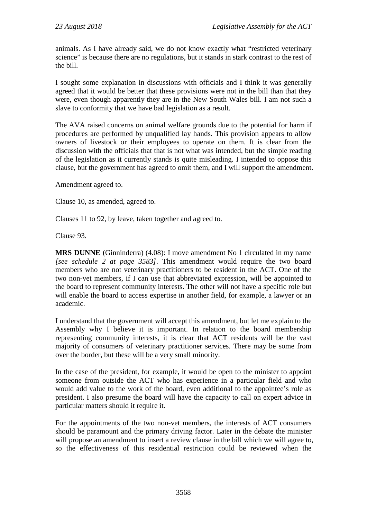animals. As I have already said, we do not know exactly what "restricted veterinary science" is because there are no regulations, but it stands in stark contrast to the rest of the bill.

I sought some explanation in discussions with officials and I think it was generally agreed that it would be better that these provisions were not in the bill than that they were, even though apparently they are in the New South Wales bill. I am not such a slave to conformity that we have bad legislation as a result.

The AVA raised concerns on animal welfare grounds due to the potential for harm if procedures are performed by unqualified lay hands. This provision appears to allow owners of livestock or their employees to operate on them. It is clear from the discussion with the officials that that is not what was intended, but the simple reading of the legislation as it currently stands is quite misleading. I intended to oppose this clause, but the government has agreed to omit them, and I will support the amendment.

Amendment agreed to.

Clause 10, as amended, agreed to.

Clauses 11 to 92, by leave, taken together and agreed to.

Clause 93.

**MRS DUNNE** (Ginninderra) (4.08): I move amendment No 1 circulated in my name *[see schedule 2 at page 3583]*. This amendment would require the two board members who are not veterinary practitioners to be resident in the ACT. One of the two non-vet members, if I can use that abbreviated expression, will be appointed to the board to represent community interests. The other will not have a specific role but will enable the board to access expertise in another field, for example, a lawyer or an academic.

I understand that the government will accept this amendment, but let me explain to the Assembly why I believe it is important. In relation to the board membership representing community interests, it is clear that ACT residents will be the vast majority of consumers of veterinary practitioner services. There may be some from over the border, but these will be a very small minority.

In the case of the president, for example, it would be open to the minister to appoint someone from outside the ACT who has experience in a particular field and who would add value to the work of the board, even additional to the appointee's role as president. I also presume the board will have the capacity to call on expert advice in particular matters should it require it.

For the appointments of the two non-vet members, the interests of ACT consumers should be paramount and the primary driving factor. Later in the debate the minister will propose an amendment to insert a review clause in the bill which we will agree to, so the effectiveness of this residential restriction could be reviewed when the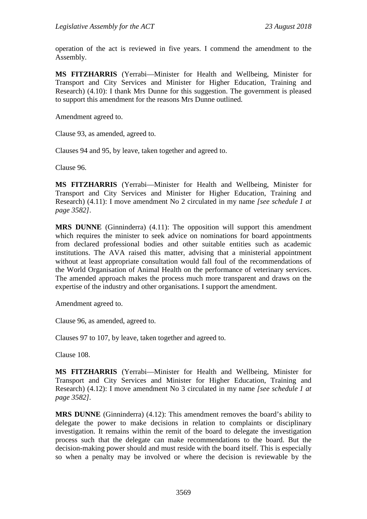operation of the act is reviewed in five years. I commend the amendment to the Assembly.

**MS FITZHARRIS** (Yerrabi—Minister for Health and Wellbeing, Minister for Transport and City Services and Minister for Higher Education, Training and Research) (4.10): I thank Mrs Dunne for this suggestion. The government is pleased to support this amendment for the reasons Mrs Dunne outlined.

Amendment agreed to.

Clause 93, as amended, agreed to.

Clauses 94 and 95, by leave, taken together and agreed to.

Clause 96.

**MS FITZHARRIS** (Yerrabi—Minister for Health and Wellbeing, Minister for Transport and City Services and Minister for Higher Education, Training and Research) (4.11): I move amendment No 2 circulated in my name *[see schedule 1 at page 3582]*.

**MRS DUNNE** (Ginninderra) (4.11): The opposition will support this amendment which requires the minister to seek advice on nominations for board appointments from declared professional bodies and other suitable entities such as academic institutions. The AVA raised this matter, advising that a ministerial appointment without at least appropriate consultation would fall foul of the recommendations of the World Organisation of Animal Health on the performance of veterinary services. The amended approach makes the process much more transparent and draws on the expertise of the industry and other organisations. I support the amendment.

Amendment agreed to.

Clause 96, as amended, agreed to.

Clauses 97 to 107, by leave, taken together and agreed to.

Clause 108.

**MS FITZHARRIS** (Yerrabi—Minister for Health and Wellbeing, Minister for Transport and City Services and Minister for Higher Education, Training and Research) (4.12): I move amendment No 3 circulated in my name *[see schedule 1 at page 3582].*

**MRS DUNNE** (Ginninderra) (4.12): This amendment removes the board's ability to delegate the power to make decisions in relation to complaints or disciplinary investigation. It remains within the remit of the board to delegate the investigation process such that the delegate can make recommendations to the board. But the decision-making power should and must reside with the board itself. This is especially so when a penalty may be involved or where the decision is reviewable by the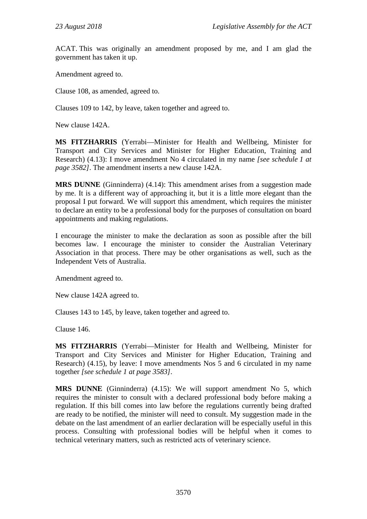ACAT. This was originally an amendment proposed by me, and I am glad the government has taken it up.

Amendment agreed to.

Clause 108, as amended, agreed to.

Clauses 109 to 142, by leave, taken together and agreed to.

New clause 142A.

**MS FITZHARRIS** (Yerrabi—Minister for Health and Wellbeing, Minister for Transport and City Services and Minister for Higher Education, Training and Research) (4.13): I move amendment No 4 circulated in my name *[see schedule 1 at page 3582]*. The amendment inserts a new clause 142A.

**MRS DUNNE** (Ginninderra) (4.14): This amendment arises from a suggestion made by me. It is a different way of approaching it, but it is a little more elegant than the proposal I put forward. We will support this amendment, which requires the minister to declare an entity to be a professional body for the purposes of consultation on board appointments and making regulations.

I encourage the minister to make the declaration as soon as possible after the bill becomes law. I encourage the minister to consider the Australian Veterinary Association in that process. There may be other organisations as well, such as the Independent Vets of Australia.

Amendment agreed to.

New clause 142A agreed to.

Clauses 143 to 145, by leave, taken together and agreed to.

Clause 146.

**MS FITZHARRIS** (Yerrabi—Minister for Health and Wellbeing, Minister for Transport and City Services and Minister for Higher Education, Training and Research) (4.15), by leave: I move amendments Nos 5 and 6 circulated in my name together *[see schedule 1 at page 3583]*.

**MRS DUNNE** (Ginninderra) (4.15): We will support amendment No 5, which requires the minister to consult with a declared professional body before making a regulation. If this bill comes into law before the regulations currently being drafted are ready to be notified, the minister will need to consult. My suggestion made in the debate on the last amendment of an earlier declaration will be especially useful in this process. Consulting with professional bodies will be helpful when it comes to technical veterinary matters, such as restricted acts of veterinary science.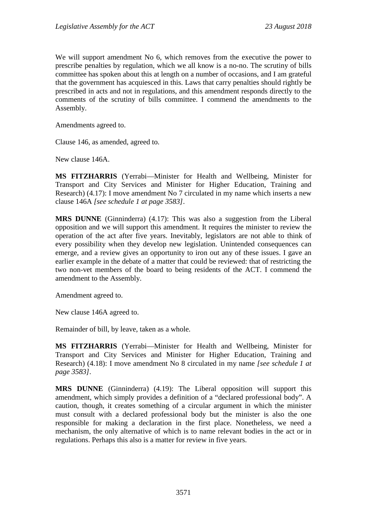We will support amendment No 6, which removes from the executive the power to prescribe penalties by regulation, which we all know is a no-no. The scrutiny of bills committee has spoken about this at length on a number of occasions, and I am grateful that the government has acquiesced in this. Laws that carry penalties should rightly be prescribed in acts and not in regulations, and this amendment responds directly to the comments of the scrutiny of bills committee. I commend the amendments to the Assembly.

Amendments agreed to.

Clause 146, as amended, agreed to.

New clause 146A.

**MS FITZHARRIS** (Yerrabi—Minister for Health and Wellbeing, Minister for Transport and City Services and Minister for Higher Education, Training and Research) (4.17): I move amendment No 7 circulated in my name which inserts a new clause 146A *[see schedule 1 at page 3583]*.

**MRS DUNNE** (Ginninderra) (4.17): This was also a suggestion from the Liberal opposition and we will support this amendment. It requires the minister to review the operation of the act after five years. Inevitably, legislators are not able to think of every possibility when they develop new legislation. Unintended consequences can emerge, and a review gives an opportunity to iron out any of these issues. I gave an earlier example in the debate of a matter that could be reviewed: that of restricting the two non-vet members of the board to being residents of the ACT. I commend the amendment to the Assembly.

Amendment agreed to.

New clause 146A agreed to.

Remainder of bill, by leave, taken as a whole.

**MS FITZHARRIS** (Yerrabi—Minister for Health and Wellbeing, Minister for Transport and City Services and Minister for Higher Education, Training and Research) (4.18): I move amendment No 8 circulated in my name *[see schedule 1 at page 3583]*.

**MRS DUNNE** (Ginninderra) (4.19): The Liberal opposition will support this amendment, which simply provides a definition of a "declared professional body". A caution, though, it creates something of a circular argument in which the minister must consult with a declared professional body but the minister is also the one responsible for making a declaration in the first place. Nonetheless, we need a mechanism, the only alternative of which is to name relevant bodies in the act or in regulations. Perhaps this also is a matter for review in five years.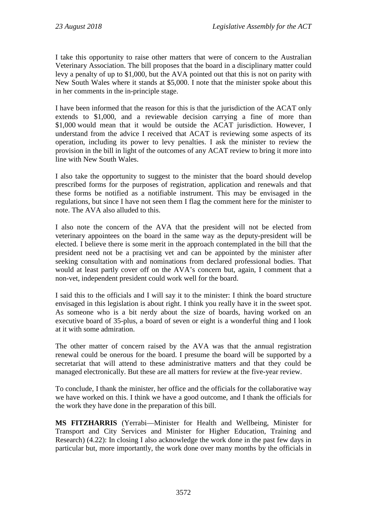I take this opportunity to raise other matters that were of concern to the Australian Veterinary Association. The bill proposes that the board in a disciplinary matter could levy a penalty of up to \$1,000, but the AVA pointed out that this is not on parity with New South Wales where it stands at \$5,000. I note that the minister spoke about this in her comments in the in-principle stage.

I have been informed that the reason for this is that the jurisdiction of the ACAT only extends to \$1,000, and a reviewable decision carrying a fine of more than \$1,000 would mean that it would be outside the ACAT jurisdiction. However, I understand from the advice I received that ACAT is reviewing some aspects of its operation, including its power to levy penalties. I ask the minister to review the provision in the bill in light of the outcomes of any ACAT review to bring it more into line with New South Wales.

I also take the opportunity to suggest to the minister that the board should develop prescribed forms for the purposes of registration, application and renewals and that these forms be notified as a notifiable instrument. This may be envisaged in the regulations, but since I have not seen them I flag the comment here for the minister to note. The AVA also alluded to this.

I also note the concern of the AVA that the president will not be elected from veterinary appointees on the board in the same way as the deputy-president will be elected. I believe there is some merit in the approach contemplated in the bill that the president need not be a practising vet and can be appointed by the minister after seeking consultation with and nominations from declared professional bodies. That would at least partly cover off on the AVA's concern but, again, I comment that a non-vet, independent president could work well for the board.

I said this to the officials and I will say it to the minister: I think the board structure envisaged in this legislation is about right. I think you really have it in the sweet spot. As someone who is a bit nerdy about the size of boards, having worked on an executive board of 35-plus, a board of seven or eight is a wonderful thing and I look at it with some admiration.

The other matter of concern raised by the AVA was that the annual registration renewal could be onerous for the board. I presume the board will be supported by a secretariat that will attend to these administrative matters and that they could be managed electronically. But these are all matters for review at the five-year review.

To conclude, I thank the minister, her office and the officials for the collaborative way we have worked on this. I think we have a good outcome, and I thank the officials for the work they have done in the preparation of this bill.

**MS FITZHARRIS** (Yerrabi—Minister for Health and Wellbeing, Minister for Transport and City Services and Minister for Higher Education, Training and Research) (4.22): In closing I also acknowledge the work done in the past few days in particular but, more importantly, the work done over many months by the officials in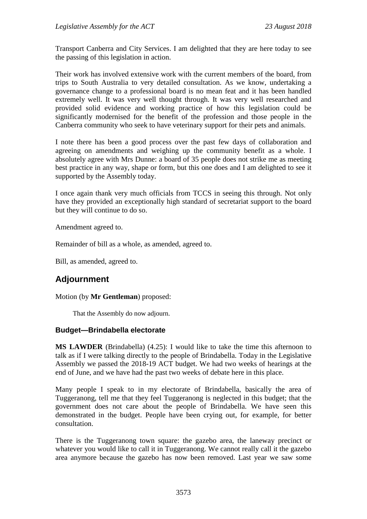Transport Canberra and City Services. I am delighted that they are here today to see the passing of this legislation in action.

Their work has involved extensive work with the current members of the board, from trips to South Australia to very detailed consultation. As we know, undertaking a governance change to a professional board is no mean feat and it has been handled extremely well. It was very well thought through. It was very well researched and provided solid evidence and working practice of how this legislation could be significantly modernised for the benefit of the profession and those people in the Canberra community who seek to have veterinary support for their pets and animals.

I note there has been a good process over the past few days of collaboration and agreeing on amendments and weighing up the community benefit as a whole. I absolutely agree with Mrs Dunne: a board of 35 people does not strike me as meeting best practice in any way, shape or form, but this one does and I am delighted to see it supported by the Assembly today.

I once again thank very much officials from TCCS in seeing this through. Not only have they provided an exceptionally high standard of secretariat support to the board but they will continue to do so.

Amendment agreed to.

Remainder of bill as a whole, as amended, agreed to.

Bill, as amended, agreed to.

# **Adjournment**

Motion (by **Mr Gentleman**) proposed:

That the Assembly do now adjourn.

# **Budget—Brindabella electorate**

**MS LAWDER** (Brindabella) (4.25): I would like to take the time this afternoon to talk as if I were talking directly to the people of Brindabella. Today in the Legislative Assembly we passed the 2018-19 ACT budget. We had two weeks of hearings at the end of June, and we have had the past two weeks of debate here in this place.

Many people I speak to in my electorate of Brindabella, basically the area of Tuggeranong, tell me that they feel Tuggeranong is neglected in this budget; that the government does not care about the people of Brindabella. We have seen this demonstrated in the budget. People have been crying out, for example, for better consultation.

There is the Tuggeranong town square: the gazebo area, the laneway precinct or whatever you would like to call it in Tuggeranong. We cannot really call it the gazebo area anymore because the gazebo has now been removed. Last year we saw some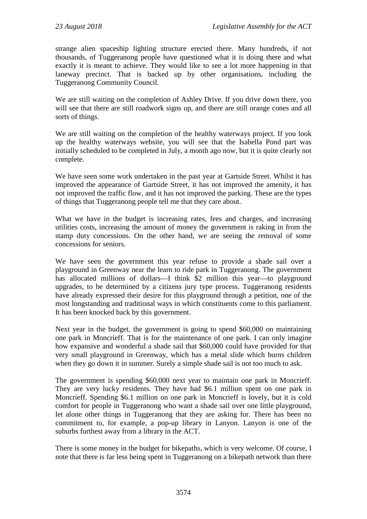strange alien spaceship lighting structure erected there. Many hundreds, if not thousands, of Tuggeranong people have questioned what it is doing there and what exactly it is meant to achieve. They would like to see a lot more happening in that laneway precinct. That is backed up by other organisations, including the Tuggeranong Community Council.

We are still waiting on the completion of Ashley Drive. If you drive down there, you will see that there are still roadwork signs up, and there are still orange cones and all sorts of things.

We are still waiting on the completion of the healthy waterways project. If you look up the healthy waterways website, you will see that the Isabella Pond part was initially scheduled to be completed in July, a month ago now, but it is quite clearly not complete.

We have seen some work undertaken in the past year at Gartside Street. Whilst it has improved the appearance of Gartside Street, it has not improved the amenity, it has not improved the traffic flow, and it has not improved the parking. These are the types of things that Tuggeranong people tell me that they care about.

What we have in the budget is increasing rates, fees and charges, and increasing utilities costs, increasing the amount of money the government is raking in from the stamp duty concessions. On the other hand, we are seeing the removal of some concessions for seniors.

We have seen the government this year refuse to provide a shade sail over a playground in Greenway near the learn to ride park in Tuggeranong. The government has allocated millions of dollars—I think \$2 million this year—to playground upgrades, to be determined by a citizens jury type process. Tuggeranong residents have already expressed their desire for this playground through a petition, one of the most longstanding and traditional ways in which constituents come to this parliament. It has been knocked back by this government.

Next year in the budget, the government is going to spend \$60,000 on maintaining one park in Moncrieff. That is for the maintenance of one park. I can only imagine how expansive and wonderful a shade sail that \$60,000 could have provided for that very small playground in Greenway, which has a metal slide which burns children when they go down it in summer. Surely a simple shade sail is not too much to ask.

The government is spending \$60,000 next year to maintain one park in Moncrieff. They are very lucky residents. They have had \$6.1 million spent on one park in Moncrieff. Spending \$6.1 million on one park in Moncrieff is lovely, but it is cold comfort for people in Tuggeranong who want a shade sail over one little playground, let alone other things in Tuggeranong that they are asking for. There has been no commitment to, for example, a pop-up library in Lanyon. Lanyon is one of the suburbs furthest away from a library in the ACT.

There is some money in the budget for bikepaths, which is very welcome. Of course, I note that there is far less being spent in Tuggeranong on a bikepath network than there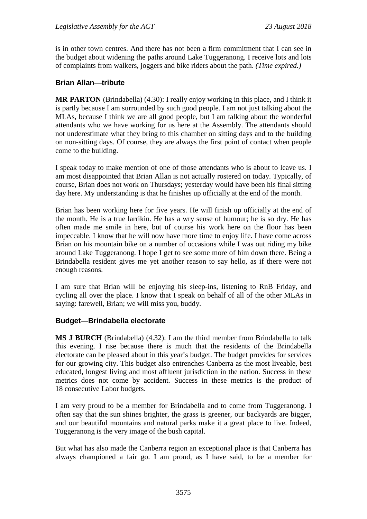is in other town centres. And there has not been a firm commitment that I can see in the budget about widening the paths around Lake Tuggeranong. I receive lots and lots of complaints from walkers, joggers and bike riders about the path. *(Time expired.)*

# **Brian Allan—tribute**

**MR PARTON** (Brindabella) (4.30): I really enjoy working in this place, and I think it is partly because I am surrounded by such good people. I am not just talking about the MLAs, because I think we are all good people, but I am talking about the wonderful attendants who we have working for us here at the Assembly. The attendants should not underestimate what they bring to this chamber on sitting days and to the building on non-sitting days. Of course, they are always the first point of contact when people come to the building.

I speak today to make mention of one of those attendants who is about to leave us. I am most disappointed that Brian Allan is not actually rostered on today. Typically, of course, Brian does not work on Thursdays; yesterday would have been his final sitting day here. My understanding is that he finishes up officially at the end of the month.

Brian has been working here for five years. He will finish up officially at the end of the month. He is a true larrikin. He has a wry sense of humour; he is so dry. He has often made me smile in here, but of course his work here on the floor has been impeccable. I know that he will now have more time to enjoy life. I have come across Brian on his mountain bike on a number of occasions while I was out riding my bike around Lake Tuggeranong. I hope I get to see some more of him down there. Being a Brindabella resident gives me yet another reason to say hello, as if there were not enough reasons.

I am sure that Brian will be enjoying his sleep-ins, listening to RnB Friday, and cycling all over the place. I know that I speak on behalf of all of the other MLAs in saying: farewell, Brian; we will miss you, buddy.

# **Budget—Brindabella electorate**

**MS J BURCH** (Brindabella) (4.32): I am the third member from Brindabella to talk this evening. I rise because there is much that the residents of the Brindabella electorate can be pleased about in this year's budget. The budget provides for services for our growing city. This budget also entrenches Canberra as the most liveable, best educated, longest living and most affluent jurisdiction in the nation. Success in these metrics does not come by accident. Success in these metrics is the product of 18 consecutive Labor budgets.

I am very proud to be a member for Brindabella and to come from Tuggeranong. I often say that the sun shines brighter, the grass is greener, our backyards are bigger, and our beautiful mountains and natural parks make it a great place to live. Indeed, Tuggeranong is the very image of the bush capital.

But what has also made the Canberra region an exceptional place is that Canberra has always championed a fair go. I am proud, as I have said, to be a member for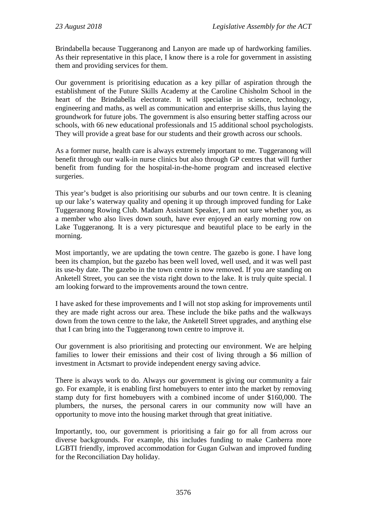Brindabella because Tuggeranong and Lanyon are made up of hardworking families. As their representative in this place, I know there is a role for government in assisting them and providing services for them.

Our government is prioritising education as a key pillar of aspiration through the establishment of the Future Skills Academy at the Caroline Chisholm School in the heart of the Brindabella electorate. It will specialise in science, technology, engineering and maths, as well as communication and enterprise skills, thus laying the groundwork for future jobs. The government is also ensuring better staffing across our schools, with 66 new educational professionals and 15 additional school psychologists. They will provide a great base for our students and their growth across our schools.

As a former nurse, health care is always extremely important to me. Tuggeranong will benefit through our walk-in nurse clinics but also through GP centres that will further benefit from funding for the hospital-in-the-home program and increased elective surgeries.

This year's budget is also prioritising our suburbs and our town centre. It is cleaning up our lake's waterway quality and opening it up through improved funding for Lake Tuggeranong Rowing Club. Madam Assistant Speaker, I am not sure whether you, as a member who also lives down south, have ever enjoyed an early morning row on Lake Tuggeranong. It is a very picturesque and beautiful place to be early in the morning.

Most importantly, we are updating the town centre. The gazebo is gone. I have long been its champion, but the gazebo has been well loved, well used, and it was well past its use-by date. The gazebo in the town centre is now removed. If you are standing on Anketell Street, you can see the vista right down to the lake. It is truly quite special. I am looking forward to the improvements around the town centre.

I have asked for these improvements and I will not stop asking for improvements until they are made right across our area. These include the bike paths and the walkways down from the town centre to the lake, the Anketell Street upgrades, and anything else that I can bring into the Tuggeranong town centre to improve it.

Our government is also prioritising and protecting our environment. We are helping families to lower their emissions and their cost of living through a \$6 million of investment in Actsmart to provide independent energy saving advice.

There is always work to do. Always our government is giving our community a fair go. For example, it is enabling first homebuyers to enter into the market by removing stamp duty for first homebuyers with a combined income of under \$160,000. The plumbers, the nurses, the personal carers in our community now will have an opportunity to move into the housing market through that great initiative.

Importantly, too, our government is prioritising a fair go for all from across our diverse backgrounds. For example, this includes funding to make Canberra more LGBTI friendly, improved accommodation for Gugan Gulwan and improved funding for the Reconciliation Day holiday.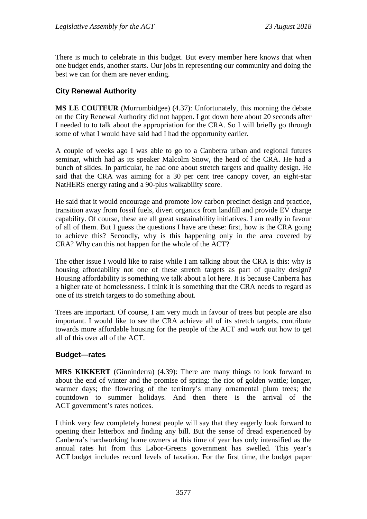There is much to celebrate in this budget. But every member here knows that when one budget ends, another starts. Our jobs in representing our community and doing the best we can for them are never ending.

# **City Renewal Authority**

**MS LE COUTEUR** (Murrumbidgee) (4.37): Unfortunately, this morning the debate on the City Renewal Authority did not happen. I got down here about 20 seconds after I needed to to talk about the appropriation for the CRA. So I will briefly go through some of what I would have said had I had the opportunity earlier.

A couple of weeks ago I was able to go to a Canberra urban and regional futures seminar, which had as its speaker Malcolm Snow, the head of the CRA. He had a bunch of slides. In particular, he had one about stretch targets and quality design. He said that the CRA was aiming for a 30 per cent tree canopy cover, an eight-star NatHERS energy rating and a 90-plus walkability score.

He said that it would encourage and promote low carbon precinct design and practice, transition away from fossil fuels, divert organics from landfill and provide EV charge capability. Of course, these are all great sustainability initiatives. I am really in favour of all of them. But I guess the questions I have are these: first, how is the CRA going to achieve this? Secondly, why is this happening only in the area covered by CRA? Why can this not happen for the whole of the ACT?

The other issue I would like to raise while I am talking about the CRA is this: why is housing affordability not one of these stretch targets as part of quality design? Housing affordability is something we talk about a lot here. It is because Canberra has a higher rate of homelessness. I think it is something that the CRA needs to regard as one of its stretch targets to do something about.

Trees are important. Of course, I am very much in favour of trees but people are also important. I would like to see the CRA achieve all of its stretch targets, contribute towards more affordable housing for the people of the ACT and work out how to get all of this over all of the ACT.

# **Budget—rates**

**MRS KIKKERT** (Ginninderra) (4.39): There are many things to look forward to about the end of winter and the promise of spring: the riot of golden wattle; longer, warmer days; the flowering of the territory's many ornamental plum trees; the countdown to summer holidays. And then there is the arrival of the ACT government's rates notices.

I think very few completely honest people will say that they eagerly look forward to opening their letterbox and finding any bill. But the sense of dread experienced by Canberra's hardworking home owners at this time of year has only intensified as the annual rates hit from this Labor-Greens government has swelled. This year's ACT budget includes record levels of taxation. For the first time, the budget paper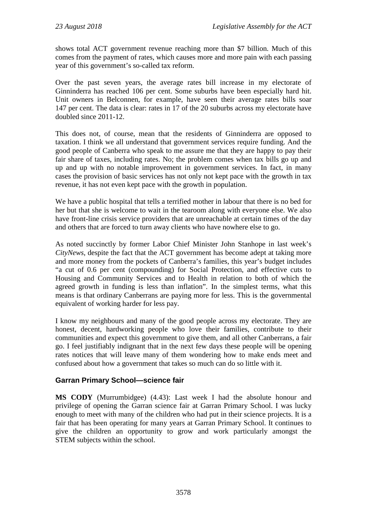shows total ACT government revenue reaching more than \$7 billion. Much of this comes from the payment of rates, which causes more and more pain with each passing year of this government's so-called tax reform.

Over the past seven years, the average rates bill increase in my electorate of Ginninderra has reached 106 per cent. Some suburbs have been especially hard hit. Unit owners in Belconnen, for example, have seen their average rates bills soar 147 per cent. The data is clear: rates in 17 of the 20 suburbs across my electorate have doubled since 2011-12.

This does not, of course, mean that the residents of Ginninderra are opposed to taxation. I think we all understand that government services require funding. And the good people of Canberra who speak to me assure me that they are happy to pay their fair share of taxes, including rates. No; the problem comes when tax bills go up and up and up with no notable improvement in government services. In fact, in many cases the provision of basic services has not only not kept pace with the growth in tax revenue, it has not even kept pace with the growth in population.

We have a public hospital that tells a terrified mother in labour that there is no bed for her but that she is welcome to wait in the tearoom along with everyone else. We also have front-line crisis service providers that are unreachable at certain times of the day and others that are forced to turn away clients who have nowhere else to go.

As noted succinctly by former Labor Chief Minister John Stanhope in last week's *CityNews*, despite the fact that the ACT government has become adept at taking more and more money from the pockets of Canberra's families, this year's budget includes "a cut of 0.6 per cent (compounding) for Social Protection, and effective cuts to Housing and Community Services and to Health in relation to both of which the agreed growth in funding is less than inflation". In the simplest terms, what this means is that ordinary Canberrans are paying more for less. This is the governmental equivalent of working harder for less pay.

I know my neighbours and many of the good people across my electorate. They are honest, decent, hardworking people who love their families, contribute to their communities and expect this government to give them, and all other Canberrans, a fair go. I feel justifiably indignant that in the next few days these people will be opening rates notices that will leave many of them wondering how to make ends meet and confused about how a government that takes so much can do so little with it.

# **Garran Primary School—science fair**

**MS CODY** (Murrumbidgee) (4.43): Last week I had the absolute honour and privilege of opening the Garran science fair at Garran Primary School. I was lucky enough to meet with many of the children who had put in their science projects. It is a fair that has been operating for many years at Garran Primary School. It continues to give the children an opportunity to grow and work particularly amongst the STEM subjects within the school.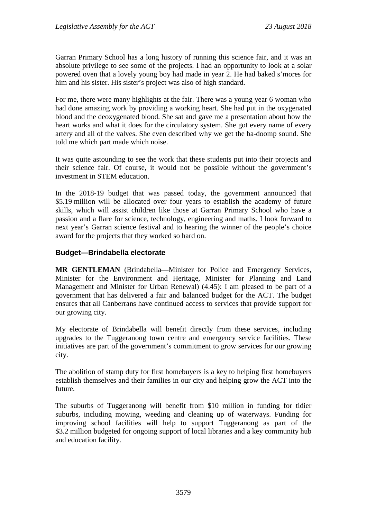Garran Primary School has a long history of running this science fair, and it was an absolute privilege to see some of the projects. I had an opportunity to look at a solar powered oven that a lovely young boy had made in year 2. He had baked s'mores for him and his sister. His sister's project was also of high standard.

For me, there were many highlights at the fair. There was a young year 6 woman who had done amazing work by providing a working heart. She had put in the oxygenated blood and the deoxygenated blood. She sat and gave me a presentation about how the heart works and what it does for the circulatory system. She got every name of every artery and all of the valves. She even described why we get the ba-doomp sound. She told me which part made which noise.

It was quite astounding to see the work that these students put into their projects and their science fair. Of course, it would not be possible without the government's investment in STEM education.

In the 2018-19 budget that was passed today, the government announced that \$5.19 million will be allocated over four years to establish the academy of future skills, which will assist children like those at Garran Primary School who have a passion and a flare for science, technology, engineering and maths. I look forward to next year's Garran science festival and to hearing the winner of the people's choice award for the projects that they worked so hard on.

# **Budget—Brindabella electorate**

**MR GENTLEMAN** (Brindabella—Minister for Police and Emergency Services, Minister for the Environment and Heritage, Minister for Planning and Land Management and Minister for Urban Renewal) (4.45): I am pleased to be part of a government that has delivered a fair and balanced budget for the ACT. The budget ensures that all Canberrans have continued access to services that provide support for our growing city.

My electorate of Brindabella will benefit directly from these services, including upgrades to the Tuggeranong town centre and emergency service facilities. These initiatives are part of the government's commitment to grow services for our growing city.

The abolition of stamp duty for first homebuyers is a key to helping first homebuyers establish themselves and their families in our city and helping grow the ACT into the future.

The suburbs of Tuggeranong will benefit from \$10 million in funding for tidier suburbs, including mowing, weeding and cleaning up of waterways. Funding for improving school facilities will help to support Tuggeranong as part of the \$3.2 million budgeted for ongoing support of local libraries and a key community hub and education facility.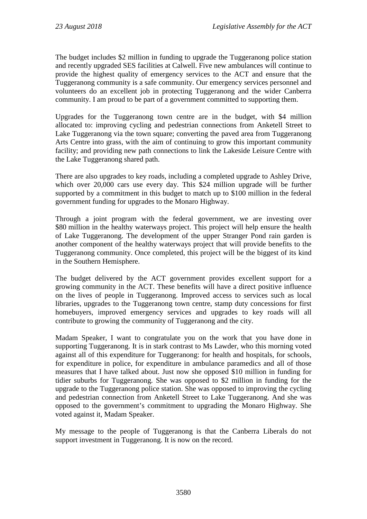The budget includes \$2 million in funding to upgrade the Tuggeranong police station and recently upgraded SES facilities at Calwell. Five new ambulances will continue to provide the highest quality of emergency services to the ACT and ensure that the Tuggeranong community is a safe community. Our emergency services personnel and volunteers do an excellent job in protecting Tuggeranong and the wider Canberra community. I am proud to be part of a government committed to supporting them.

Upgrades for the Tuggeranong town centre are in the budget, with \$4 million allocated to: improving cycling and pedestrian connections from Anketell Street to Lake Tuggeranong via the town square; converting the paved area from Tuggeranong Arts Centre into grass, with the aim of continuing to grow this important community facility; and providing new path connections to link the Lakeside Leisure Centre with the Lake Tuggeranong shared path.

There are also upgrades to key roads, including a completed upgrade to Ashley Drive, which over 20,000 cars use every day. This \$24 million upgrade will be further supported by a commitment in this budget to match up to \$100 million in the federal government funding for upgrades to the Monaro Highway.

Through a joint program with the federal government, we are investing over \$80 million in the healthy waterways project. This project will help ensure the health of Lake Tuggeranong. The development of the upper Stranger Pond rain garden is another component of the healthy waterways project that will provide benefits to the Tuggeranong community. Once completed, this project will be the biggest of its kind in the Southern Hemisphere.

The budget delivered by the ACT government provides excellent support for a growing community in the ACT. These benefits will have a direct positive influence on the lives of people in Tuggeranong. Improved access to services such as local libraries, upgrades to the Tuggeranong town centre, stamp duty concessions for first homebuyers, improved emergency services and upgrades to key roads will all contribute to growing the community of Tuggeranong and the city.

Madam Speaker, I want to congratulate you on the work that you have done in supporting Tuggeranong. It is in stark contrast to Ms Lawder, who this morning voted against all of this expenditure for Tuggeranong: for health and hospitals, for schools, for expenditure in police, for expenditure in ambulance paramedics and all of those measures that I have talked about. Just now she opposed \$10 million in funding for tidier suburbs for Tuggeranong. She was opposed to \$2 million in funding for the upgrade to the Tuggeranong police station. She was opposed to improving the cycling and pedestrian connection from Anketell Street to Lake Tuggeranong. And she was opposed to the government's commitment to upgrading the Monaro Highway. She voted against it, Madam Speaker.

My message to the people of Tuggeranong is that the Canberra Liberals do not support investment in Tuggeranong. It is now on the record.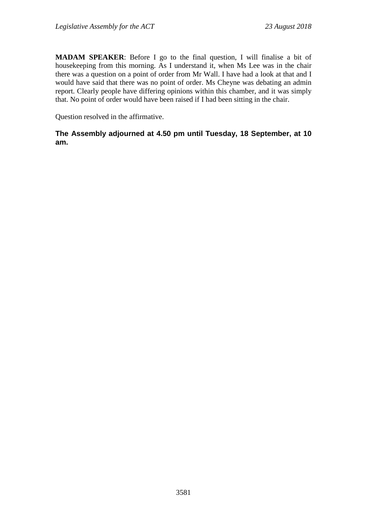**MADAM SPEAKER**: Before I go to the final question, I will finalise a bit of housekeeping from this morning. As I understand it, when Ms Lee was in the chair there was a question on a point of order from Mr Wall. I have had a look at that and I would have said that there was no point of order. Ms Cheyne was debating an admin report. Clearly people have differing opinions within this chamber, and it was simply that. No point of order would have been raised if I had been sitting in the chair.

Question resolved in the affirmative.

# **The Assembly adjourned at 4.50 pm until Tuesday, 18 September, at 10 am.**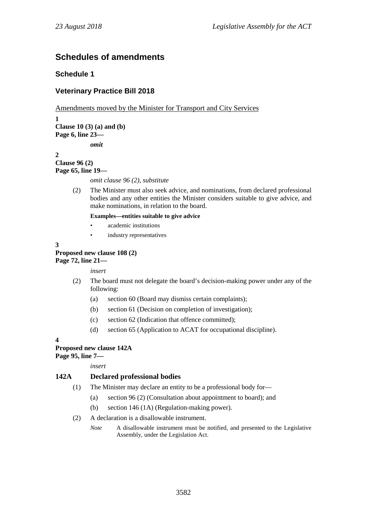# **Schedules of amendments**

# **Schedule 1**

# **Veterinary Practice Bill 2018**

Amendments moved by the Minister for Transport and City Services

**1 Clause 10 (3) (a) and (b) Page 6, line 23** *omit*

**2**

**Clause 96 (2) Page 65, line 19—**

*omit clause 96 (2), substitute*

(2) The Minister must also seek advice, and nominations, from declared professional bodies and any other entities the Minister considers suitable to give advice, and make nominations, in relation to the board.

#### **Examples—entities suitable to give advice**

- academic institutions
- industry representatives

**3**

**Proposed new clause 108 (2) Page 72, line 21—**

*insert*

- (2) The board must not delegate the board's decision-making power under any of the following:
	- (a) section 60 (Board may dismiss certain complaints);
	- (b) section 61 (Decision on completion of investigation);
	- (c) section 62 (Indication that offence committed);
	- (d) section 65 (Application to ACAT for occupational discipline).

**4**

# **Proposed new clause 142A**

**Page 95, line 7—**

*insert*

# **142A Declared professional bodies**

- (1) The Minister may declare an entity to be a professional body for—
	- (a) section 96 (2) (Consultation about appointment to board); and
	- (b) section 146 (1A) (Regulation-making power).
- (2) A declaration is a disallowable instrument.
	- *Note* A disallowable instrument must be notified, and presented to the Legislative Assembly, under the Legislation Act.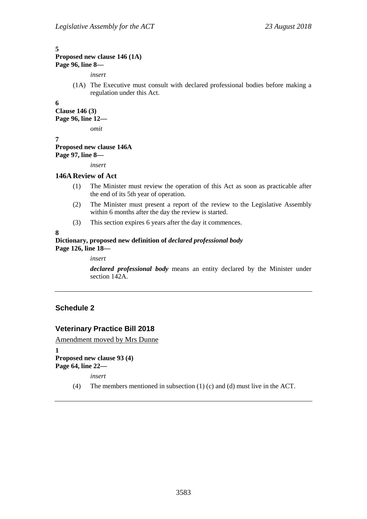#### **5**

### **Proposed new clause 146 (1A) Page 96, line 8—**

*insert*

(1A) The Executive must consult with declared professional bodies before making a regulation under this Act.

**6**

**Clause 146 (3) Page 96, line 12—**

*omit*

**7 Proposed new clause 146A Page 97, line 8—**

*insert*

#### **146AReview of Act**

- (1) The Minister must review the operation of this Act as soon as practicable after the end of its 5th year of operation.
- (2) The Minister must present a report of the review to the Legislative Assembly within 6 months after the day the review is started.
- (3) This section expires 6 years after the day it commences.

**8**

#### **Dictionary, proposed new definition of** *declared professional body* **Page 126, line 18—**

*insert*

*declared professional body* means an entity declared by the Minister under section 142A.

# **Schedule 2**

# **Veterinary Practice Bill 2018**

Amendment moved by Mrs Dunne

**1 Proposed new clause 93 (4) Page 64, line 22—**

*insert*

(4) The members mentioned in subsection (1) (c) and (d) must live in the ACT.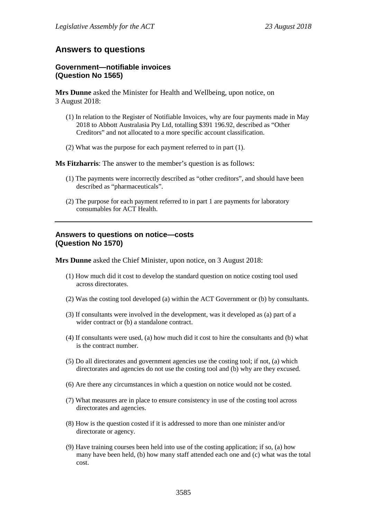# **Answers to questions**

#### **Government—notifiable invoices (Question No 1565)**

**Mrs Dunne** asked the Minister for Health and Wellbeing, upon notice, on 3 August 2018:

- (1) In relation to the Register of Notifiable Invoices, why are four payments made in May 2018 to Abbott Australasia Pty Ltd, totalling \$391 196.92, described as "Other Creditors" and not allocated to a more specific account classification.
- (2) What was the purpose for each payment referred to in part (1).

**Ms Fitzharris**: The answer to the member's question is as follows:

- (1) The payments were incorrectly described as "other creditors", and should have been described as "pharmaceuticals".
- (2) The purpose for each payment referred to in part 1 are payments for laboratory consumables for ACT Health.

#### **Answers to questions on notice—costs (Question No 1570)**

**Mrs Dunne** asked the Chief Minister, upon notice, on 3 August 2018:

- (1) How much did it cost to develop the standard question on notice costing tool used across directorates.
- (2) Was the costing tool developed (a) within the ACT Government or (b) by consultants.
- (3) If consultants were involved in the development, was it developed as (a) part of a wider contract or (b) a standalone contract.
- (4) If consultants were used, (a) how much did it cost to hire the consultants and (b) what is the contract number.
- (5) Do all directorates and government agencies use the costing tool; if not, (a) which directorates and agencies do not use the costing tool and (b) why are they excused.
- (6) Are there any circumstances in which a question on notice would not be costed.
- (7) What measures are in place to ensure consistency in use of the costing tool across directorates and agencies.
- (8) How is the question costed if it is addressed to more than one minister and/or directorate or agency.
- (9) Have training courses been held into use of the costing application; if so, (a) how many have been held, (b) how many staff attended each one and (c) what was the total cost.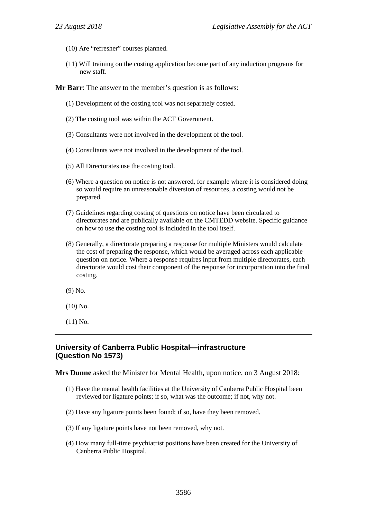- (10) Are "refresher" courses planned.
- (11) Will training on the costing application become part of any induction programs for new staff.

**Mr Barr**: The answer to the member's question is as follows:

- (1) Development of the costing tool was not separately costed.
- (2) The costing tool was within the ACT Government.
- (3) Consultants were not involved in the development of the tool.
- (4) Consultants were not involved in the development of the tool.
- (5) All Directorates use the costing tool.
- (6) Where a question on notice is not answered, for example where it is considered doing so would require an unreasonable diversion of resources, a costing would not be prepared.
- (7) Guidelines regarding costing of questions on notice have been circulated to directorates and are publically available on the CMTEDD website. Specific guidance on how to use the costing tool is included in the tool itself.
- (8) Generally, a directorate preparing a response for multiple Ministers would calculate the cost of preparing the response, which would be averaged across each applicable question on notice. Where a response requires input from multiple directorates, each directorate would cost their component of the response for incorporation into the final costing.
- (9) No.
- (10) No.
- (11) No.

# **University of Canberra Public Hospital—infrastructure (Question No 1573)**

**Mrs Dunne** asked the Minister for Mental Health, upon notice, on 3 August 2018:

- (1) Have the mental health facilities at the University of Canberra Public Hospital been reviewed for ligature points; if so, what was the outcome; if not, why not.
- (2) Have any ligature points been found; if so, have they been removed.
- (3) If any ligature points have not been removed, why not.
- (4) How many full-time psychiatrist positions have been created for the University of Canberra Public Hospital.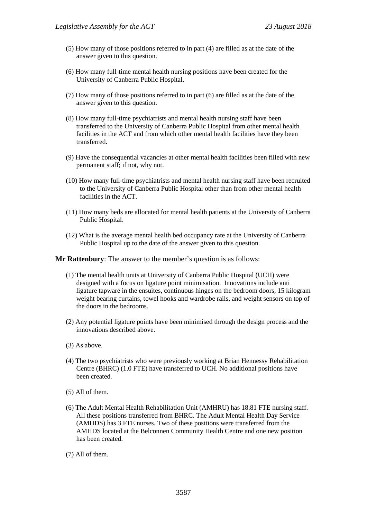- (5) How many of those positions referred to in part (4) are filled as at the date of the answer given to this question.
- (6) How many full-time mental health nursing positions have been created for the University of Canberra Public Hospital.
- (7) How many of those positions referred to in part (6) are filled as at the date of the answer given to this question.
- (8) How many full-time psychiatrists and mental health nursing staff have been transferred to the University of Canberra Public Hospital from other mental health facilities in the ACT and from which other mental health facilities have they been transferred.
- (9) Have the consequential vacancies at other mental health facilities been filled with new permanent staff; if not, why not.
- (10) How many full-time psychiatrists and mental health nursing staff have been recruited to the University of Canberra Public Hospital other than from other mental health facilities in the ACT.
- (11) How many beds are allocated for mental health patients at the University of Canberra Public Hospital.
- (12) What is the average mental health bed occupancy rate at the University of Canberra Public Hospital up to the date of the answer given to this question.

**Mr Rattenbury**: The answer to the member's question is as follows:

- (1) The mental health units at University of Canberra Public Hospital (UCH) were designed with a focus on ligature point minimisation. Innovations include anti ligature tapware in the ensuites, continuous hinges on the bedroom doors, 15 kilogram weight bearing curtains, towel hooks and wardrobe rails, and weight sensors on top of the doors in the bedrooms.
- (2) Any potential ligature points have been minimised through the design process and the innovations described above.
- (3) As above.
- (4) The two psychiatrists who were previously working at Brian Hennessy Rehabilitation Centre (BHRC) (1.0 FTE) have transferred to UCH. No additional positions have been created.
- (5) All of them.
- (6) The Adult Mental Health Rehabilitation Unit (AMHRU) has 18.81 FTE nursing staff. All these positions transferred from BHRC. The Adult Mental Health Day Service (AMHDS) has 3 FTE nurses. Two of these positions were transferred from the AMHDS located at the Belconnen Community Health Centre and one new position has been created.
- (7) All of them.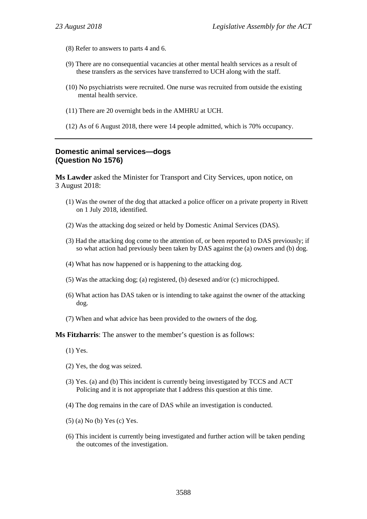- (8) Refer to answers to parts 4 and 6.
- (9) There are no consequential vacancies at other mental health services as a result of these transfers as the services have transferred to UCH along with the staff.
- (10) No psychiatrists were recruited. One nurse was recruited from outside the existing mental health service.
- (11) There are 20 overnight beds in the AMHRU at UCH.
- (12) As of 6 August 2018, there were 14 people admitted, which is 70% occupancy.

#### **Domestic animal services—dogs (Question No 1576)**

**Ms Lawder** asked the Minister for Transport and City Services, upon notice, on 3 August 2018:

- (1) Was the owner of the dog that attacked a police officer on a private property in Rivett on 1 July 2018, identified.
- (2) Was the attacking dog seized or held by Domestic Animal Services (DAS).
- (3) Had the attacking dog come to the attention of, or been reported to DAS previously; if so what action had previously been taken by DAS against the (a) owners and (b) dog.
- (4) What has now happened or is happening to the attacking dog.
- (5) Was the attacking dog; (a) registered, (b) desexed and/or (c) microchipped.
- (6) What action has DAS taken or is intending to take against the owner of the attacking dog.
- (7) When and what advice has been provided to the owners of the dog.

**Ms Fitzharris**: The answer to the member's question is as follows:

- (1) Yes.
- (2) Yes, the dog was seized.
- (3) Yes. (a) and (b) This incident is currently being investigated by TCCS and ACT Policing and it is not appropriate that I address this question at this time.
- (4) The dog remains in the care of DAS while an investigation is conducted.
- (5) (a) No (b) Yes (c) Yes.
- (6) This incident is currently being investigated and further action will be taken pending the outcomes of the investigation.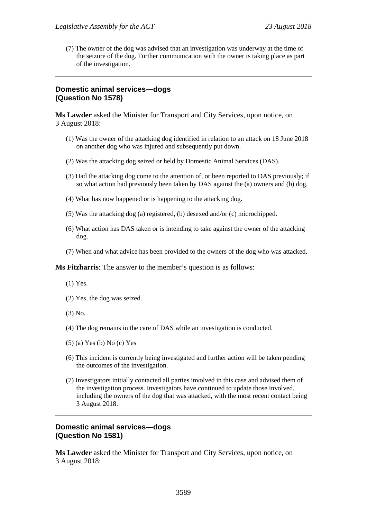(7) The owner of the dog was advised that an investigation was underway at the time of the seizure of the dog. Further communication with the owner is taking place as part of the investigation.

#### **Domestic animal services—dogs (Question No 1578)**

**Ms Lawder** asked the Minister for Transport and City Services, upon notice, on 3 August 2018:

- (1) Was the owner of the attacking dog identified in relation to an attack on 18 June 2018 on another dog who was injured and subsequently put down.
- (2) Was the attacking dog seized or held by Domestic Animal Services (DAS).
- (3) Had the attacking dog come to the attention of, or been reported to DAS previously; if so what action had previously been taken by DAS against the (a) owners and (b) dog.
- (4) What has now happened or is happening to the attacking dog.
- (5) Was the attacking dog (a) registered, (b) desexed and/or (c) microchipped.
- (6) What action has DAS taken or is intending to take against the owner of the attacking dog.
- (7) When and what advice has been provided to the owners of the dog who was attacked.

**Ms Fitzharris**: The answer to the member's question is as follows:

- (1) Yes.
- (2) Yes, the dog was seized.
- (3) No.
- (4) The dog remains in the care of DAS while an investigation is conducted.
- (5) (a) Yes (b) No (c) Yes
- (6) This incident is currently being investigated and further action will be taken pending the outcomes of the investigation.
- (7) Investigators initially contacted all parties involved in this case and advised them of the investigation process. Investigators have continued to update those involved, including the owners of the dog that was attacked, with the most recent contact being 3 August 2018.

#### **Domestic animal services—dogs (Question No 1581)**

**Ms Lawder** asked the Minister for Transport and City Services, upon notice, on 3 August 2018: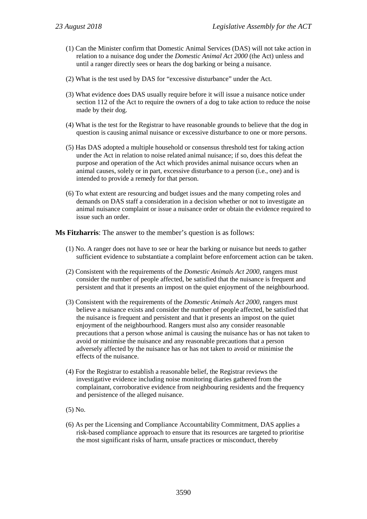- (1) Can the Minister confirm that Domestic Animal Services (DAS) will not take action in relation to a nuisance dog under the *Domestic Animal Act 2000* (the Act) unless and until a ranger directly sees or hears the dog barking or being a nuisance.
- (2) What is the test used by DAS for "excessive disturbance" under the Act.
- (3) What evidence does DAS usually require before it will issue a nuisance notice under section 112 of the Act to require the owners of a dog to take action to reduce the noise made by their dog.
- (4) What is the test for the Registrar to have reasonable grounds to believe that the dog in question is causing animal nuisance or excessive disturbance to one or more persons.
- (5) Has DAS adopted a multiple household or consensus threshold test for taking action under the Act in relation to noise related animal nuisance; if so, does this defeat the purpose and operation of the Act which provides animal nuisance occurs when an animal causes, solely or in part, excessive disturbance to a person (i.e., one) and is intended to provide a remedy for that person.
- (6) To what extent are resourcing and budget issues and the many competing roles and demands on DAS staff a consideration in a decision whether or not to investigate an animal nuisance complaint or issue a nuisance order or obtain the evidence required to issue such an order.

**Ms Fitzharris**: The answer to the member's question is as follows:

- (1) No. A ranger does not have to see or hear the barking or nuisance but needs to gather sufficient evidence to substantiate a complaint before enforcement action can be taken.
- (2) Consistent with the requirements of the *Domestic Animals Act 2000*, rangers must consider the number of people affected, be satisfied that the nuisance is frequent and persistent and that it presents an impost on the quiet enjoyment of the neighbourhood.
- (3) Consistent with the requirements of the *Domestic Animals Act 2000*, rangers must believe a nuisance exists and consider the number of people affected, be satisfied that the nuisance is frequent and persistent and that it presents an impost on the quiet enjoyment of the neighbourhood. Rangers must also any consider reasonable precautions that a person whose animal is causing the nuisance has or has not taken to avoid or minimise the nuisance and any reasonable precautions that a person adversely affected by the nuisance has or has not taken to avoid or minimise the effects of the nuisance.
- (4) For the Registrar to establish a reasonable belief, the Registrar reviews the investigative evidence including noise monitoring diaries gathered from the complainant, corroborative evidence from neighbouring residents and the frequency and persistence of the alleged nuisance.
- (5) No.
- (6) As per the Licensing and Compliance Accountability Commitment, DAS applies a risk-based compliance approach to ensure that its resources are targeted to prioritise the most significant risks of harm, unsafe practices or misconduct, thereby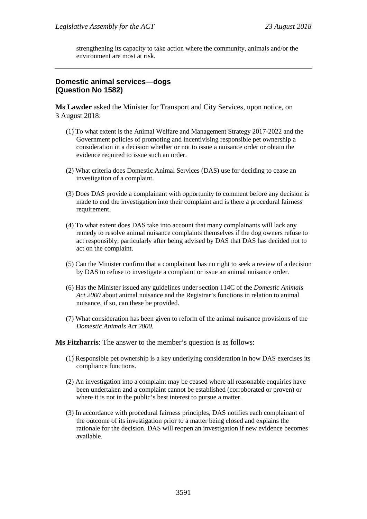strengthening its capacity to take action where the community, animals and/or the environment are most at risk.

### **Domestic animal services—dogs (Question No 1582)**

**Ms Lawder** asked the Minister for Transport and City Services, upon notice, on 3 August 2018:

- (1) To what extent is the Animal Welfare and Management Strategy 2017-2022 and the Government policies of promoting and incentivising responsible pet ownership a consideration in a decision whether or not to issue a nuisance order or obtain the evidence required to issue such an order.
- (2) What criteria does Domestic Animal Services (DAS) use for deciding to cease an investigation of a complaint.
- (3) Does DAS provide a complainant with opportunity to comment before any decision is made to end the investigation into their complaint and is there a procedural fairness requirement.
- (4) To what extent does DAS take into account that many complainants will lack any remedy to resolve animal nuisance complaints themselves if the dog owners refuse to act responsibly, particularly after being advised by DAS that DAS has decided not to act on the complaint.
- (5) Can the Minister confirm that a complainant has no right to seek a review of a decision by DAS to refuse to investigate a complaint or issue an animal nuisance order.
- (6) Has the Minister issued any guidelines under section 114C of the *Domestic Animals Act 2000* about animal nuisance and the Registrar's functions in relation to animal nuisance, if so, can these be provided.
- (7) What consideration has been given to reform of the animal nuisance provisions of the *Domestic Animals Act 2000*.

**Ms Fitzharris**: The answer to the member's question is as follows:

- (1) Responsible pet ownership is a key underlying consideration in how DAS exercises its compliance functions.
- (2) An investigation into a complaint may be ceased where all reasonable enquiries have been undertaken and a complaint cannot be established (corroborated or proven) or where it is not in the public's best interest to pursue a matter.
- (3) In accordance with procedural fairness principles, DAS notifies each complainant of the outcome of its investigation prior to a matter being closed and explains the rationale for the decision. DAS will reopen an investigation if new evidence becomes available.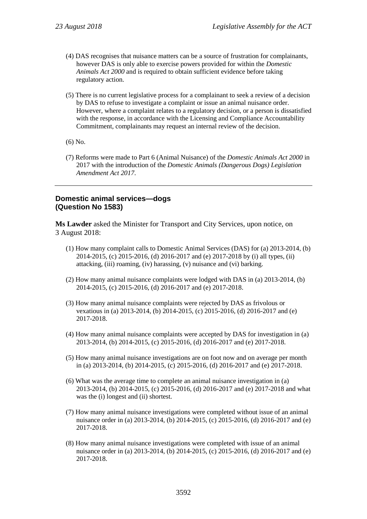- (4) DAS recognises that nuisance matters can be a source of frustration for complainants, however DAS is only able to exercise powers provided for within the *Domestic Animals Act 2000* and is required to obtain sufficient evidence before taking regulatory action.
- (5) There is no current legislative process for a complainant to seek a review of a decision by DAS to refuse to investigate a complaint or issue an animal nuisance order. However, where a complaint relates to a regulatory decision, or a person is dissatisfied with the response, in accordance with the Licensing and Compliance Accountability Commitment, complainants may request an internal review of the decision.
- (6) No.
- (7) Reforms were made to Part 6 (Animal Nuisance) of the *Domestic Animals Act 2000* in 2017 with the introduction of the *Domestic Animals (Dangerous Dogs) Legislation Amendment Act 2017*.

# **Domestic animal services—dogs (Question No 1583)**

**Ms Lawder** asked the Minister for Transport and City Services, upon notice, on 3 August 2018:

- (1) How many complaint calls to Domestic Animal Services (DAS) for (a) 2013-2014, (b) 2014-2015, (c) 2015-2016, (d) 2016-2017 and (e) 2017-2018 by (i) all types, (ii) attacking, (iii) roaming, (iv) harassing, (v) nuisance and (vi) barking.
- (2) How many animal nuisance complaints were lodged with DAS in (a) 2013-2014, (b) 2014-2015, (c) 2015-2016, (d) 2016-2017 and (e) 2017-2018.
- (3) How many animal nuisance complaints were rejected by DAS as frivolous or vexatious in (a) 2013-2014, (b) 2014-2015, (c) 2015-2016, (d) 2016-2017 and (e) 2017-2018.
- (4) How many animal nuisance complaints were accepted by DAS for investigation in (a) 2013-2014, (b) 2014-2015, (c) 2015-2016, (d) 2016-2017 and (e) 2017-2018.
- (5) How many animal nuisance investigations are on foot now and on average per month in (a) 2013-2014, (b) 2014-2015, (c) 2015-2016, (d) 2016-2017 and (e) 2017-2018.
- (6) What was the average time to complete an animal nuisance investigation in (a) 2013-2014, (b) 2014-2015, (c) 2015-2016, (d) 2016-2017 and (e) 2017-2018 and what was the (i) longest and (ii) shortest.
- (7) How many animal nuisance investigations were completed without issue of an animal nuisance order in (a) 2013-2014, (b) 2014-2015, (c) 2015-2016, (d) 2016-2017 and (e) 2017-2018.
- (8) How many animal nuisance investigations were completed with issue of an animal nuisance order in (a) 2013-2014, (b) 2014-2015, (c) 2015-2016, (d) 2016-2017 and (e) 2017-2018.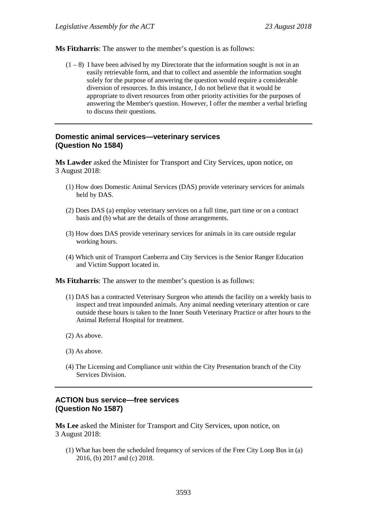**Ms Fitzharris**: The answer to the member's question is as follows:

 $(1 - 8)$  I have been advised by my Directorate that the information sought is not in an easily retrievable form, and that to collect and assemble the information sought solely for the purpose of answering the question would require a considerable diversion of resources. In this instance, I do not believe that it would be appropriate to divert resources from other priority activities for the purposes of answering the Member's question. However, I offer the member a verbal briefing to discuss their questions.

#### **Domestic animal services—veterinary services (Question No 1584)**

**Ms Lawder** asked the Minister for Transport and City Services, upon notice, on 3 August 2018:

- (1) How does Domestic Animal Services (DAS) provide veterinary services for animals held by DAS.
- (2) Does DAS (a) employ veterinary services on a full time, part time or on a contract basis and (b) what are the details of those arrangements.
- (3) How does DAS provide veterinary services for animals in its care outside regular working hours.
- (4) Which unit of Transport Canberra and City Services is the Senior Ranger Education and Victim Support located in.

**Ms Fitzharris**: The answer to the member's question is as follows:

- (1) DAS has a contracted Veterinary Surgeon who attends the facility on a weekly basis to inspect and treat impounded animals. Any animal needing veterinary attention or care outside these hours is taken to the Inner South Veterinary Practice or after hours to the Animal Referral Hospital for treatment.
- (2) As above.
- (3) As above.
- (4) The Licensing and Compliance unit within the City Presentation branch of the City Services Division.

#### **ACTION bus service—free services (Question No 1587)**

**Ms Lee** asked the Minister for Transport and City Services, upon notice, on 3 August 2018:

(1) What has been the scheduled frequency of services of the Free City Loop Bus in (a) 2016, (b) 2017 and (c) 2018.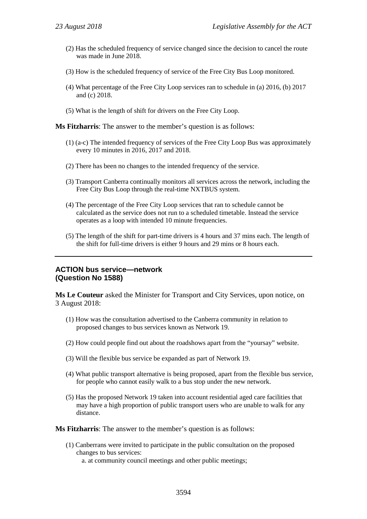- (2) Has the scheduled frequency of service changed since the decision to cancel the route was made in June 2018.
- (3) How is the scheduled frequency of service of the Free City Bus Loop monitored.
- (4) What percentage of the Free City Loop services ran to schedule in (a) 2016, (b) 2017 and (c) 2018.
- (5) What is the length of shift for drivers on the Free City Loop.

**Ms Fitzharris**: The answer to the member's question is as follows:

- (1) (a-c) The intended frequency of services of the Free City Loop Bus was approximately every 10 minutes in 2016, 2017 and 2018.
- (2) There has been no changes to the intended frequency of the service.
- (3) Transport Canberra continually monitors all services across the network, including the Free City Bus Loop through the real-time NXTBUS system.
- (4) The percentage of the Free City Loop services that ran to schedule cannot be calculated as the service does not run to a scheduled timetable. Instead the service operates as a loop with intended 10 minute frequencies.
- (5) The length of the shift for part-time drivers is 4 hours and 37 mins each. The length of the shift for full-time drivers is either 9 hours and 29 mins or 8 hours each.

### **ACTION bus service—network (Question No 1588)**

**Ms Le Couteur** asked the Minister for Transport and City Services, upon notice, on 3 August 2018:

- (1) How was the consultation advertised to the Canberra community in relation to proposed changes to bus services known as Network 19.
- (2) How could people find out about the roadshows apart from the "yoursay" website.
- (3) Will the flexible bus service be expanded as part of Network 19.
- (4) What public transport alternative is being proposed, apart from the flexible bus service, for people who cannot easily walk to a bus stop under the new network.
- (5) Has the proposed Network 19 taken into account residential aged care facilities that may have a high proportion of public transport users who are unable to walk for any distance.

**Ms Fitzharris**: The answer to the member's question is as follows:

(1) Canberrans were invited to participate in the public consultation on the proposed changes to bus services:

a. at community council meetings and other public meetings;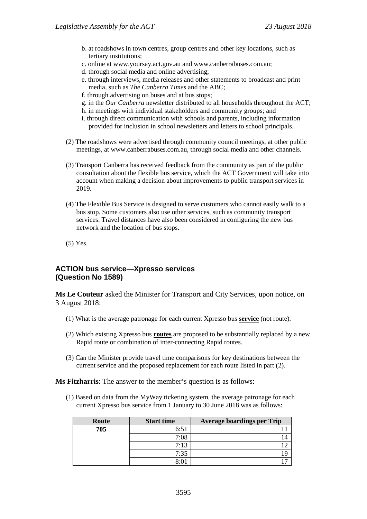- b. at roadshows in town centres, group centres and other key locations, such as tertiary institutions;
- c. online at www.yoursay.act.gov.au and www.canberrabuses.com.au;
- d. through social media and online advertising;
- e. through interviews, media releases and other statements to broadcast and print media, such as *The Canberra Times* and the ABC;
- f. through advertising on buses and at bus stops;
- g. in the *Our Canberra* newsletter distributed to all households throughout the ACT;
- h. in meetings with individual stakeholders and community groups; and
- i. through direct communication with schools and parents, including information provided for inclusion in school newsletters and letters to school principals.
- (2) The roadshows were advertised through community council meetings, at other public meetings, at www.canberrabuses.com.au, through social media and other channels.
- (3) Transport Canberra has received feedback from the community as part of the public consultation about the flexible bus service, which the ACT Government will take into account when making a decision about improvements to public transport services in 2019.
- (4) The Flexible Bus Service is designed to serve customers who cannot easily walk to a bus stop. Some customers also use other services, such as community transport services. Travel distances have also been considered in configuring the new bus network and the location of bus stops.
- (5) Yes.

# **ACTION bus service—Xpresso services (Question No 1589)**

**Ms Le Couteur** asked the Minister for Transport and City Services, upon notice, on 3 August 2018:

- (1) What is the average patronage for each current Xpresso bus **service** (not route).
- (2) Which existing Xpresso bus **routes** are proposed to be substantially replaced by a new Rapid route or combination of inter-connecting Rapid routes.
- (3) Can the Minister provide travel time comparisons for key destinations between the current service and the proposed replacement for each route listed in part (2).

**Ms Fitzharris**: The answer to the member's question is as follows:

(1) Based on data from the MyWay ticketing system, the average patronage for each current Xpresso bus service from 1 January to 30 June 2018 was as follows:

| Route | <b>Start time</b>             | <b>Average boardings per Trip</b> |
|-------|-------------------------------|-----------------------------------|
| 705   | 6:51                          |                                   |
|       | 7:08                          |                                   |
|       | 7:13                          |                                   |
|       | 7:35                          |                                   |
|       | $\mathsf{Q} \cdot \mathsf{Q}$ |                                   |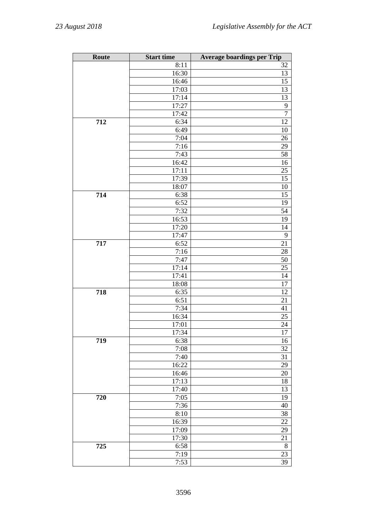| Route | <b>Start time</b>  | <b>Average boardings per Trip</b> |
|-------|--------------------|-----------------------------------|
|       | $\overline{8:}11$  | 32                                |
|       | 16:30              | 13                                |
|       | 16:46              | $\overline{15}$                   |
|       | 17:03              | 13                                |
|       | 17:14              | $\overline{13}$                   |
|       | 17:27              | 9                                 |
|       | 17:42              | $\overline{7}$                    |
| 712   | 6:34               | 12                                |
|       | 6:49               | 10                                |
|       | 7:04               | 26                                |
|       | 7:16               | 29                                |
|       | 7:43               | 58                                |
|       | 16:42              | 16                                |
|       | 17:11              | 25                                |
|       | 17:39              | 15                                |
|       | 18:07              | 10                                |
| 714   | 6:38               | $\overline{15}$                   |
|       | 6:52               | 19                                |
|       | 7:32               | 54                                |
|       | 16:53              | 19                                |
|       | 17:20              | 14                                |
|       | 17:47              | 9                                 |
| 717   | 6:52               | 21                                |
|       | 7:16               | 28                                |
|       | 7:47               | 50                                |
|       | 17:14              | 25                                |
|       | 17:41              | 14                                |
|       | 18:08              | 17                                |
| 718   | 6:35               | 12                                |
|       | 6:51               | 21                                |
|       | 7:34               | 41                                |
|       | 16:34              | 25                                |
|       | 17:01              | 24                                |
|       | 17:34              | 17                                |
| 719   | 6:38               | 16                                |
|       | 7:08               | 32                                |
|       | 7:40               | 31                                |
|       | 16:22              | 29                                |
|       | 16:46              | 20                                |
|       | 17:13              | 18                                |
|       | $\overline{17:}40$ | 13                                |
| 720   | 7:05               | 19                                |
|       | 7:36               | 40                                |
|       | 8:10               | $\overline{38}$                   |
|       |                    |                                   |
|       | 16:39              | 22                                |
|       | 17:09              | 29                                |
|       | 17:30              | 21                                |
| 725   | 6:58               | $8\,$                             |
|       | 7:19               | 23                                |
|       | 7:53               | 39                                |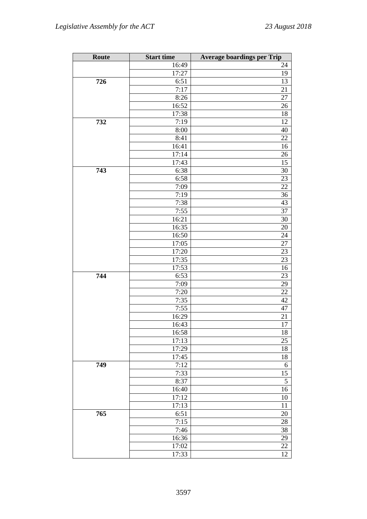| Route | <b>Start time</b>  | <b>Average boardings per Trip</b> |
|-------|--------------------|-----------------------------------|
|       | $\overline{16:}49$ | 24                                |
|       | 17:27              | 19                                |
| 726   | 6:51               | 13                                |
|       | 7:17               | 21                                |
|       | 8:26               | 27                                |
|       | 16:52              | 26                                |
|       | 17:38              | 18                                |
| 732   | 7:19               | 12                                |
|       | 8:00               | 40                                |
|       | 8:41               | 22                                |
|       | 16:41              | 16                                |
|       | 17:14              | 26                                |
|       | $\overline{17:}43$ | 15                                |
| 743   | 6:38               | 30                                |
|       | 6:58               | 23                                |
|       | 7:09               | 22                                |
|       | 7:19               | 36                                |
|       | $\overline{7:}38$  | 43                                |
|       | 7:55               | 37                                |
|       | 16:21              | 30                                |
|       | 16:35              | 20                                |
|       | 16:50              | 24                                |
|       | 17:05              | 27                                |
|       | 17:20              | 23                                |
|       | 17:35              | 23                                |
|       | 17:53              | 16                                |
| 744   | 6:53               | 23                                |
|       | 7:09               | 29                                |
|       | 7:20               | $\overline{22}$                   |
|       | 7:35               | $42\,$                            |
|       | 7:55               | 47                                |
|       | 16:29              | 21                                |
|       | 16:43              | $\overline{17}$                   |
|       | 16:58              | 18                                |
|       | 17:13              | 25                                |
|       | 17:29              | 18                                |
|       | 17:45              | 18                                |
| 749   | 7:12               | 6                                 |
|       | 7:33               | 15                                |
|       | 8:37               | $\mathfrak s$                     |
|       | 16:40              | 16                                |
|       | 17:12              | 10                                |
|       | 17:13              | 11                                |
| 765   | 6:51               | 20                                |
|       | 7:15               | 28                                |
|       | 7:46               | 38                                |
|       | 16:36              | 29                                |
|       | 17:02              | $22\,$                            |
|       | 17:33              | $\overline{12}$                   |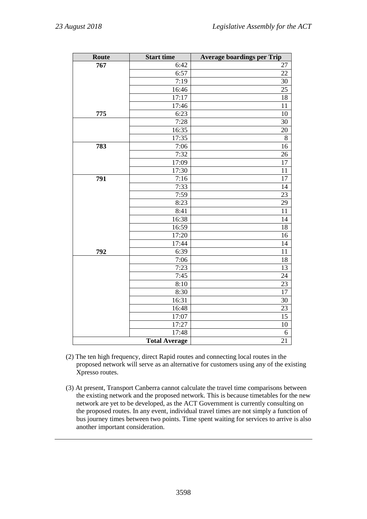| Route | <b>Start time</b>    | <b>Average boardings per Trip</b> |
|-------|----------------------|-----------------------------------|
| 767   | 6:42                 | 27                                |
|       | 6:57                 | 22                                |
|       | 7:19                 | 30                                |
|       | 16:46                | 25                                |
|       | 17:17                | 18                                |
|       | 17:46                | 11                                |
| 775   | 6:23                 | 10                                |
|       | 7:28                 | 30                                |
|       | 16:35                | $\overline{20}$                   |
|       | 17:35                | 8                                 |
| 783   | 7:06                 | $\overline{16}$                   |
|       | 7:32                 | 26                                |
|       | 17:09                | 17                                |
|       | 17:30                | 11                                |
| 791   | 7:16                 | 17                                |
|       | 7:33                 | 14                                |
|       | 7:59                 | 23                                |
|       | 8:23                 | 29                                |
|       | 8:41                 | 11                                |
|       | 16:38                | 14                                |
|       | 16:59                | 18                                |
|       | 17:20                | 16                                |
|       | 17:44                | 14                                |
| 792   | 6:39                 | 11                                |
|       | 7:06<br>7:23         | 18                                |
|       |                      | 13                                |
|       | 7:45<br>8:10         | 24                                |
|       |                      | 23<br>$\overline{17}$             |
|       | 8:30                 |                                   |
|       | 16:31<br>16:48       | 30<br>23                          |
|       | 17:07                | 15                                |
|       | 17:27                | 10                                |
|       | 17:48                |                                   |
|       |                      | 6<br>$\overline{21}$              |
|       | <b>Total Average</b> |                                   |

- (2) The ten high frequency, direct Rapid routes and connecting local routes in the proposed network will serve as an alternative for customers using any of the existing Xpresso routes.
- (3) At present, Transport Canberra cannot calculate the travel time comparisons between the existing network and the proposed network. This is because timetables for the new network are yet to be developed, as the ACT Government is currently consulting on the proposed routes. In any event, individual travel times are not simply a function of bus journey times between two points. Time spent waiting for services to arrive is also another important consideration.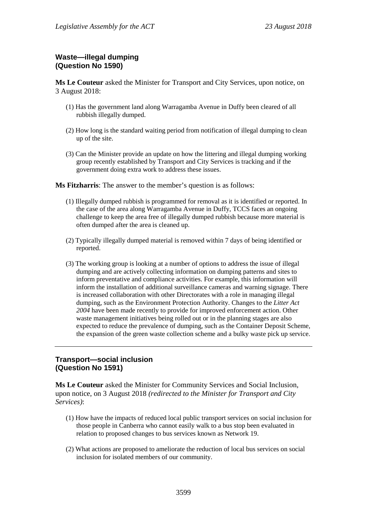# **Waste—illegal dumping (Question No 1590)**

**Ms Le Couteur** asked the Minister for Transport and City Services, upon notice, on 3 August 2018:

- (1) Has the government land along Warragamba Avenue in Duffy been cleared of all rubbish illegally dumped.
- (2) How long is the standard waiting period from notification of illegal dumping to clean up of the site.
- (3) Can the Minister provide an update on how the littering and illegal dumping working group recently established by Transport and City Services is tracking and if the government doing extra work to address these issues.

**Ms Fitzharris**: The answer to the member's question is as follows:

- (1) Illegally dumped rubbish is programmed for removal as it is identified or reported. In the case of the area along Warragamba Avenue in Duffy, TCCS faces an ongoing challenge to keep the area free of illegally dumped rubbish because more material is often dumped after the area is cleaned up.
- (2) Typically illegally dumped material is removed within 7 days of being identified or reported.
- (3) The working group is looking at a number of options to address the issue of illegal dumping and are actively collecting information on dumping patterns and sites to inform preventative and compliance activities. For example, this information will inform the installation of additional surveillance cameras and warning signage. There is increased collaboration with other Directorates with a role in managing illegal dumping, such as the Environment Protection Authority. Changes to the *Litter Act 2004* have been made recently to provide for improved enforcement action. Other waste management initiatives being rolled out or in the planning stages are also expected to reduce the prevalence of dumping, such as the Container Deposit Scheme, the expansion of the green waste collection scheme and a bulky waste pick up service.

# **Transport—social inclusion (Question No 1591)**

**Ms Le Couteur** asked the Minister for Community Services and Social Inclusion, upon notice, on 3 August 2018 *(redirected to the Minister for Transport and City Services)*:

- (1) How have the impacts of reduced local public transport services on social inclusion for those people in Canberra who cannot easily walk to a bus stop been evaluated in relation to proposed changes to bus services known as Network 19.
- (2) What actions are proposed to ameliorate the reduction of local bus services on social inclusion for isolated members of our community.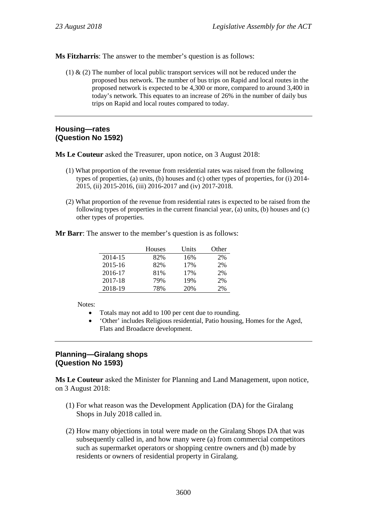**Ms Fitzharris**: The answer to the member's question is as follows:

 $(1)$  &  $(2)$  The number of local public transport services will not be reduced under the proposed bus network. The number of bus trips on Rapid and local routes in the proposed network is expected to be 4,300 or more, compared to around 3,400 in today's network. This equates to an increase of 26% in the number of daily bus trips on Rapid and local routes compared to today.

### **Housing—rates (Question No 1592)**

**Ms Le Couteur** asked the Treasurer, upon notice, on 3 August 2018:

- (1) What proportion of the revenue from residential rates was raised from the following types of properties, (a) units, (b) houses and (c) other types of properties, for (i) 2014- 2015, (ii) 2015-2016, (iii) 2016-2017 and (iv) 2017-2018.
- (2) What proportion of the revenue from residential rates is expected to be raised from the following types of properties in the current financial year, (a) units, (b) houses and (c) other types of properties.

**Mr Barr**: The answer to the member's question is as follows:

|         | <b>Houses</b> | Units | Other |
|---------|---------------|-------|-------|
| 2014-15 | 82%           | 16%   | 2%    |
| 2015-16 | 82%           | 17%   | 2%    |
| 2016-17 | 81%           | 17%   | 2%    |
| 2017-18 | 79%           | 19%   | 2%    |
| 2018-19 | 78%           | 20%   | 2%    |

Notes:

- Totals may not add to 100 per cent due to rounding.
- 'Other' includes Religious residential, Patio housing, Homes for the Aged, Flats and Broadacre development.

# **Planning—Giralang shops (Question No 1593)**

**Ms Le Couteur** asked the Minister for Planning and Land Management, upon notice, on 3 August 2018:

- (1) For what reason was the Development Application (DA) for the Giralang Shops in July 2018 called in.
- (2) How many objections in total were made on the Giralang Shops DA that was subsequently called in, and how many were (a) from commercial competitors such as supermarket operators or shopping centre owners and (b) made by residents or owners of residential property in Giralang.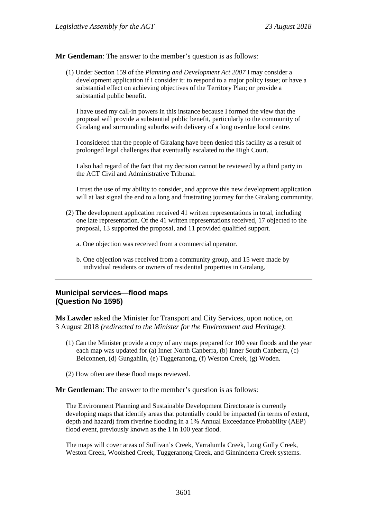**Mr Gentleman**: The answer to the member's question is as follows:

(1) Under Section 159 of the *Planning and Development Act 2007* I may consider a development application if I consider it: to respond to a major policy issue; or have a substantial effect on achieving objectives of the Territory Plan; or provide a substantial public benefit.

I have used my call-in powers in this instance because I formed the view that the proposal will provide a substantial public benefit, particularly to the community of Giralang and surrounding suburbs with delivery of a long overdue local centre.

I considered that the people of Giralang have been denied this facility as a result of prolonged legal challenges that eventually escalated to the High Court.

I also had regard of the fact that my decision cannot be reviewed by a third party in the ACT Civil and Administrative Tribunal.

I trust the use of my ability to consider, and approve this new development application will at last signal the end to a long and frustrating journey for the Giralang community.

- (2) The development application received 41 written representations in total, including one late representation. Of the 41 written representations received, 17 objected to the proposal, 13 supported the proposal, and 11 provided qualified support.
	- a. One objection was received from a commercial operator.
	- b. One objection was received from a community group, and 15 were made by individual residents or owners of residential properties in Giralang.

# **Municipal services—flood maps (Question No 1595)**

**Ms Lawder** asked the Minister for Transport and City Services, upon notice, on 3 August 2018 *(redirected to the Minister for the Environment and Heritage)*:

- (1) Can the Minister provide a copy of any maps prepared for 100 year floods and the year each map was updated for (a) Inner North Canberra, (b) Inner South Canberra, (c) Belconnen, (d) Gungahlin, (e) Tuggeranong, (f) Weston Creek, (g) Woden.
- (2) How often are these flood maps reviewed.

**Mr Gentleman**: The answer to the member's question is as follows:

The Environment Planning and Sustainable Development Directorate is currently developing maps that identify areas that potentially could be impacted (in terms of extent, depth and hazard) from riverine flooding in a 1% Annual Exceedance Probability (AEP) flood event, previously known as the 1 in 100 year flood.

The maps will cover areas of Sullivan's Creek, Yarralumla Creek, Long Gully Creek, Weston Creek, Woolshed Creek, Tuggeranong Creek, and Ginninderra Creek systems.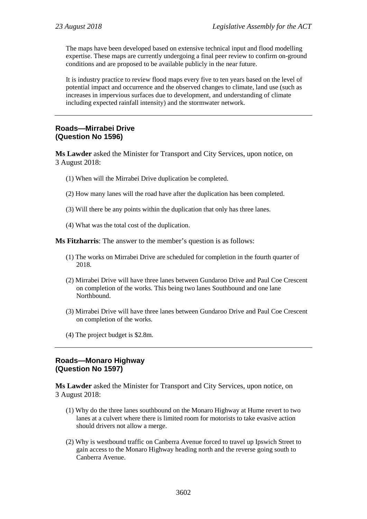The maps have been developed based on extensive technical input and flood modelling expertise. These maps are currently undergoing a final peer review to confirm on-ground conditions and are proposed to be available publicly in the near future.

It is industry practice to review flood maps every five to ten years based on the level of potential impact and occurrence and the observed changes to climate, land use (such as increases in impervious surfaces due to development, and understanding of climate including expected rainfall intensity) and the stormwater network.

# **Roads—Mirrabei Drive (Question No 1596)**

**Ms Lawder** asked the Minister for Transport and City Services, upon notice, on 3 August 2018:

- (1) When will the Mirrabei Drive duplication be completed.
- (2) How many lanes will the road have after the duplication has been completed.
- (3) Will there be any points within the duplication that only has three lanes.
- (4) What was the total cost of the duplication.

**Ms Fitzharris**: The answer to the member's question is as follows:

- (1) The works on Mirrabei Drive are scheduled for completion in the fourth quarter of 2018.
- (2) Mirrabei Drive will have three lanes between Gundaroo Drive and Paul Coe Crescent on completion of the works. This being two lanes Southbound and one lane Northbound.
- (3) Mirrabei Drive will have three lanes between Gundaroo Drive and Paul Coe Crescent on completion of the works.
- (4) The project budget is \$2.8m.

### **Roads—Monaro Highway (Question No 1597)**

**Ms Lawder** asked the Minister for Transport and City Services, upon notice, on 3 August 2018:

- (1) Why do the three lanes southbound on the Monaro Highway at Hume revert to two lanes at a culvert where there is limited room for motorists to take evasive action should drivers not allow a merge.
- (2) Why is westbound traffic on Canberra Avenue forced to travel up Ipswich Street to gain access to the Monaro Highway heading north and the reverse going south to Canberra Avenue.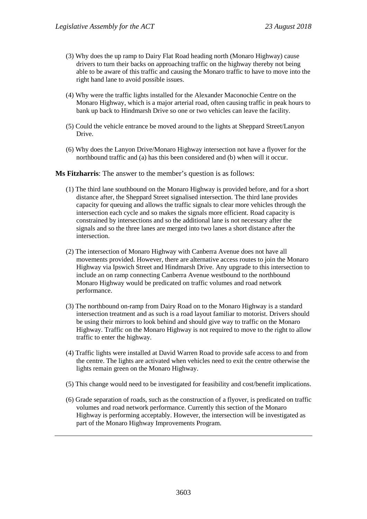- (3) Why does the up ramp to Dairy Flat Road heading north (Monaro Highway) cause drivers to turn their backs on approaching traffic on the highway thereby not being able to be aware of this traffic and causing the Monaro traffic to have to move into the right hand lane to avoid possible issues.
- (4) Why were the traffic lights installed for the Alexander Maconochie Centre on the Monaro Highway, which is a major arterial road, often causing traffic in peak hours to bank up back to Hindmarsh Drive so one or two vehicles can leave the facility.
- (5) Could the vehicle entrance be moved around to the lights at Sheppard Street/Lanyon Drive.
- (6) Why does the Lanyon Drive/Monaro Highway intersection not have a flyover for the northbound traffic and (a) has this been considered and (b) when will it occur.

**Ms Fitzharris**: The answer to the member's question is as follows:

- (1) The third lane southbound on the Monaro Highway is provided before, and for a short distance after, the Sheppard Street signalised intersection. The third lane provides capacity for queuing and allows the traffic signals to clear more vehicles through the intersection each cycle and so makes the signals more efficient. Road capacity is constrained by intersections and so the additional lane is not necessary after the signals and so the three lanes are merged into two lanes a short distance after the intersection.
- (2) The intersection of Monaro Highway with Canberra Avenue does not have all movements provided. However, there are alternative access routes to join the Monaro Highway via Ipswich Street and Hindmarsh Drive. Any upgrade to this intersection to include an on ramp connecting Canberra Avenue westbound to the northbound Monaro Highway would be predicated on traffic volumes and road network performance.
- (3) The northbound on-ramp from Dairy Road on to the Monaro Highway is a standard intersection treatment and as such is a road layout familiar to motorist. Drivers should be using their mirrors to look behind and should give way to traffic on the Monaro Highway. Traffic on the Monaro Highway is not required to move to the right to allow traffic to enter the highway.
- (4) Traffic lights were installed at David Warren Road to provide safe access to and from the centre. The lights are activated when vehicles need to exit the centre otherwise the lights remain green on the Monaro Highway.
- (5) This change would need to be investigated for feasibility and cost/benefit implications.
- (6) Grade separation of roads, such as the construction of a flyover, is predicated on traffic volumes and road network performance. Currently this section of the Monaro Highway is performing acceptably. However, the intersection will be investigated as part of the Monaro Highway Improvements Program.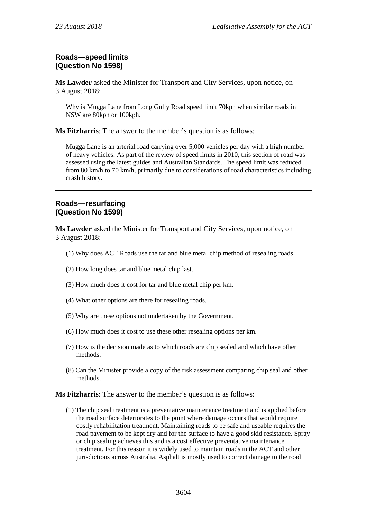# **Roads—speed limits (Question No 1598)**

**Ms Lawder** asked the Minister for Transport and City Services, upon notice, on 3 August 2018:

Why is Mugga Lane from Long Gully Road speed limit 70kph when similar roads in NSW are 80kph or 100kph.

**Ms Fitzharris**: The answer to the member's question is as follows:

Mugga Lane is an arterial road carrying over 5,000 vehicles per day with a high number of heavy vehicles. As part of the review of speed limits in 2010, this section of road was assessed using the latest guides and Australian Standards. The speed limit was reduced from 80 km/h to 70 km/h, primarily due to considerations of road characteristics including crash history.

#### **Roads—resurfacing (Question No 1599)**

**Ms Lawder** asked the Minister for Transport and City Services, upon notice, on 3 August 2018:

- (1) Why does ACT Roads use the tar and blue metal chip method of resealing roads.
- (2) How long does tar and blue metal chip last.
- (3) How much does it cost for tar and blue metal chip per km.
- (4) What other options are there for resealing roads.
- (5) Why are these options not undertaken by the Government.
- (6) How much does it cost to use these other resealing options per km.
- (7) How is the decision made as to which roads are chip sealed and which have other methods.
- (8) Can the Minister provide a copy of the risk assessment comparing chip seal and other methods.

**Ms Fitzharris**: The answer to the member's question is as follows:

(1) The chip seal treatment is a preventative maintenance treatment and is applied before the road surface deteriorates to the point where damage occurs that would require costly rehabilitation treatment. Maintaining roads to be safe and useable requires the road pavement to be kept dry and for the surface to have a good skid resistance. Spray or chip sealing achieves this and is a cost effective preventative maintenance treatment. For this reason it is widely used to maintain roads in the ACT and other jurisdictions across Australia. Asphalt is mostly used to correct damage to the road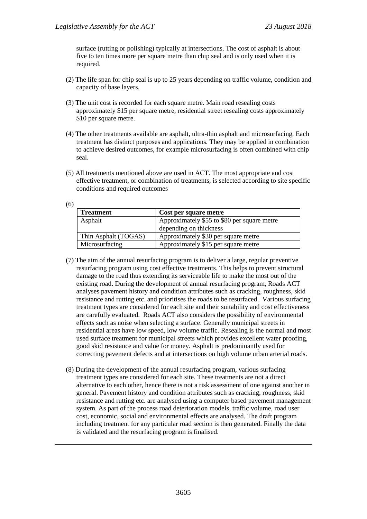surface (rutting or polishing) typically at intersections. The cost of asphalt is about five to ten times more per square metre than chip seal and is only used when it is required.

- (2) The life span for chip seal is up to 25 years depending on traffic volume, condition and capacity of base layers.
- (3) The unit cost is recorded for each square metre. Main road resealing costs approximately \$15 per square metre, residential street resealing costs approximately \$10 per square metre.
- (4) The other treatments available are asphalt, ultra-thin asphalt and microsurfacing. Each treatment has distinct purposes and applications. They may be applied in combination to achieve desired outcomes, for example microsurfacing is often combined with chip seal.
- (5) All treatments mentioned above are used in ACT. The most appropriate and cost effective treatment, or combination of treatments, is selected according to site specific conditions and required outcomes

| ۰.<br>×<br>۰.<br>٦<br>۰,<br>I<br>×<br>×<br>۳ |  |
|----------------------------------------------|--|
|----------------------------------------------|--|

| <b>Treatment</b>     | Cost per square metre                       |
|----------------------|---------------------------------------------|
| Asphalt              | Approximately \$55 to \$80 per square metre |
|                      | depending on thickness                      |
| Thin Asphalt (TOGAS) | Approximately \$30 per square metre         |
| Microsurfacing       | Approximately \$15 per square metre         |

- (7) The aim of the annual resurfacing program is to deliver a large, regular preventive resurfacing program using cost effective treatments. This helps to prevent structural damage to the road thus extending its serviceable life to make the most out of the existing road. During the development of annual resurfacing program, Roads ACT analyses pavement history and condition attributes such as cracking, roughness, skid resistance and rutting etc. and prioritises the roads to be resurfaced. Various surfacing treatment types are considered for each site and their suitability and cost effectiveness are carefully evaluated. Roads ACT also considers the possibility of environmental effects such as noise when selecting a surface. Generally municipal streets in residential areas have low speed, low volume traffic. Resealing is the normal and most used surface treatment for municipal streets which provides excellent water proofing, good skid resistance and value for money. Asphalt is predominantly used for correcting pavement defects and at intersections on high volume urban arterial roads.
- (8) During the development of the annual resurfacing program, various surfacing treatment types are considered for each site. These treatments are not a direct alternative to each other, hence there is not a risk assessment of one against another in general. Pavement history and condition attributes such as cracking, roughness, skid resistance and rutting etc. are analysed using a computer based pavement management system. As part of the process road deterioration models, traffic volume, road user cost, economic, social and environmental effects are analysed. The draft program including treatment for any particular road section is then generated. Finally the data is validated and the resurfacing program is finalised.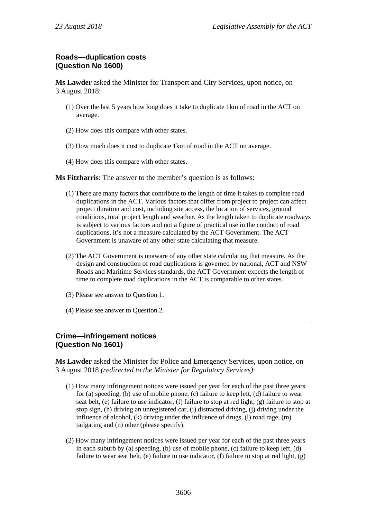# **Roads—duplication costs (Question No 1600)**

**Ms Lawder** asked the Minister for Transport and City Services, upon notice, on 3 August 2018:

- (1) Over the last 5 years how long does it take to duplicate 1km of road in the ACT on average.
- (2) How does this compare with other states.
- (3) How much does it cost to duplicate 1km of road in the ACT on average.
- (4) How does this compare with other states.

**Ms Fitzharris**: The answer to the member's question is as follows:

- (1) There are many factors that contribute to the length of time it takes to complete road duplications in the ACT. Various factors that differ from project to project can affect project duration and cost, including site access, the location of services, ground conditions, total project length and weather. As the length taken to duplicate roadways is subject to various factors and not a figure of practical use in the conduct of road duplications, it's not a measure calculated by the ACT Government. The ACT Government is unaware of any other state calculating that measure.
- (2) The ACT Government is unaware of any other state calculating that measure. As the design and construction of road duplications is governed by national, ACT and NSW Roads and Maritime Services standards, the ACT Government expects the length of time to complete road duplications in the ACT is comparable to other states.
- (3) Please see answer to Question 1.
- (4) Please see answer to Question 2.

### **Crime—infringement notices (Question No 1601)**

**Ms Lawder** asked the Minister for Police and Emergency Services, upon notice, on 3 August 2018 *(redirected to the Minister for Regulatory Services)*:

- (1) How many infringement notices were issued per year for each of the past three years for (a) speeding, (b) use of mobile phone, (c) failure to keep left, (d) failure to wear seat belt, (e) failure to use indicator, (f) failure to stop at red light, (g) failure to stop at stop sign, (h) driving an unregistered car, (i) distracted driving, (j) driving under the influence of alcohol, (k) driving under the influence of drugs, (l) road rage, (m) tailgating and (n) other (please specify).
- (2) How many infringement notices were issued per year for each of the past three years in each suburb by (a) speeding, (b) use of mobile phone, (c) failure to keep left, (d) failure to wear seat belt, (e) failure to use indicator, (f) failure to stop at red light, (g)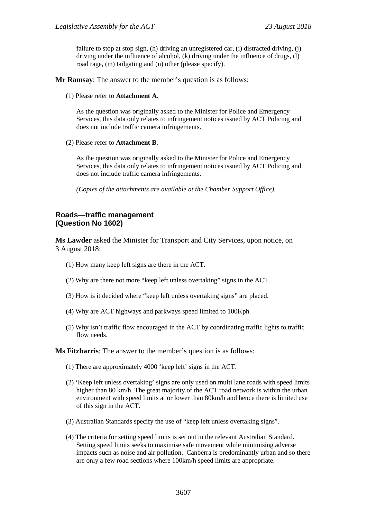failure to stop at stop sign, (h) driving an unregistered car, (i) distracted driving, (j) driving under the influence of alcohol, (k) driving under the influence of drugs, (l) road rage, (m) tailgating and (n) other (please specify).

**Mr Ramsay**: The answer to the member's question is as follows:

(1) Please refer to **Attachment A**.

As the question was originally asked to the Minister for Police and Emergency Services, this data only relates to infringement notices issued by ACT Policing and does not include traffic camera infringements.

(2) Please refer to **Attachment B**.

As the question was originally asked to the Minister for Police and Emergency Services, this data only relates to infringement notices issued by ACT Policing and does not include traffic camera infringements.

*(Copies of the attachments are available at the Chamber Support Office).*

### **Roads—traffic management (Question No 1602)**

**Ms Lawder** asked the Minister for Transport and City Services, upon notice, on 3 August 2018:

- (1) How many keep left signs are there in the ACT.
- (2) Why are there not more "keep left unless overtaking" signs in the ACT.
- (3) How is it decided where "keep left unless overtaking signs" are placed.
- (4) Why are ACT highways and parkways speed limited to 100Kph.
- (5) Why isn't traffic flow encouraged in the ACT by coordinating traffic lights to traffic flow needs.

#### **Ms Fitzharris**: The answer to the member's question is as follows:

- (1) There are approximately 4000 'keep left' signs in the ACT.
- (2) 'Keep left unless overtaking' signs are only used on multi lane roads with speed limits higher than 80 km/h. The great majority of the ACT road network is within the urban environment with speed limits at or lower than 80km/h and hence there is limited use of this sign in the ACT.
- (3) Australian Standards specify the use of "keep left unless overtaking signs".
- (4) The criteria for setting speed limits is set out in the relevant Australian Standard. Setting speed limits seeks to maximise safe movement while minimising adverse impacts such as noise and air pollution. Canberra is predominantly urban and so there are only a few road sections where 100km/h speed limits are appropriate.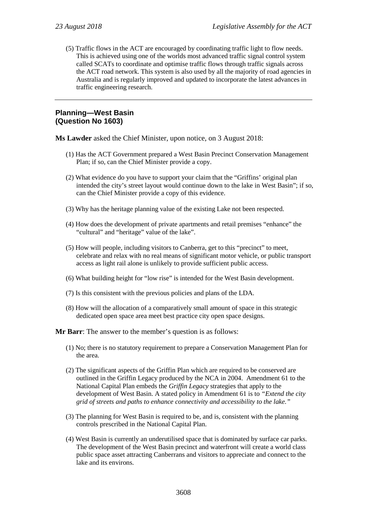(5) Traffic flows in the ACT are encouraged by coordinating traffic light to flow needs. This is achieved using one of the worlds most advanced traffic signal control system called SCATs to coordinate and optimise traffic flows through traffic signals across the ACT road network. This system is also used by all the majority of road agencies in Australia and is regularly improved and updated to incorporate the latest advances in traffic engineering research.

#### **Planning—West Basin (Question No 1603)**

**Ms Lawder** asked the Chief Minister, upon notice, on 3 August 2018:

- (1) Has the ACT Government prepared a West Basin Precinct Conservation Management Plan; if so, can the Chief Minister provide a copy.
- (2) What evidence do you have to support your claim that the "Griffins' original plan intended the city's street layout would continue down to the lake in West Basin"; if so, can the Chief Minister provide a copy of this evidence.
- (3) Why has the heritage planning value of the existing Lake not been respected.
- (4) How does the development of private apartments and retail premises "enhance" the "cultural" and "heritage" value of the lake".
- (5) How will people, including visitors to Canberra, get to this "precinct" to meet, celebrate and relax with no real means of significant motor vehicle, or public transport access as light rail alone is unlikely to provide sufficient public access.
- (6) What building height for "low rise" is intended for the West Basin development.
- (7) Is this consistent with the previous policies and plans of the LDA.
- (8) How will the allocation of a comparatively small amount of space in this strategic dedicated open space area meet best practice city open space designs.
- **Mr Barr**: The answer to the member's question is as follows:
	- (1) No; there is no statutory requirement to prepare a Conservation Management Plan for the area.
	- (2) The significant aspects of the Griffin Plan which are required to be conserved are outlined in the Griffin Legacy produced by the NCA in 2004. Amendment 61 to the National Capital Plan embeds the *Griffin Legacy* strategies that apply to the development of West Basin. A stated policy in Amendment 61 is to *"Extend the city grid of streets and paths to enhance connectivity and accessibility to the lake."*
	- (3) The planning for West Basin is required to be, and is, consistent with the planning controls prescribed in the National Capital Plan.
	- (4) West Basin is currently an underutilised space that is dominated by surface car parks. The development of the West Basin precinct and waterfront will create a world class public space asset attracting Canberrans and visitors to appreciate and connect to the lake and its environs.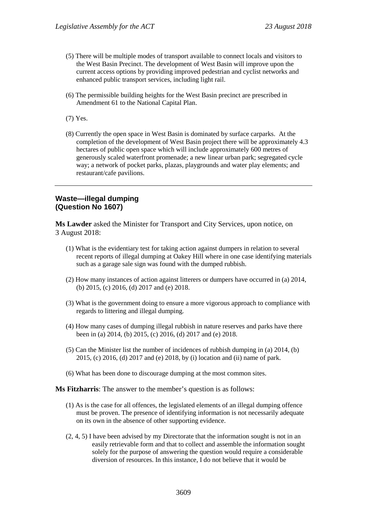- (5) There will be multiple modes of transport available to connect locals and visitors to the West Basin Precinct. The development of West Basin will improve upon the current access options by providing improved pedestrian and cyclist networks and enhanced public transport services, including light rail.
- (6) The permissible building heights for the West Basin precinct are prescribed in Amendment 61 to the National Capital Plan.

(7) Yes.

(8) Currently the open space in West Basin is dominated by surface carparks. At the completion of the development of West Basin project there will be approximately 4.3 hectares of public open space which will include approximately 600 metres of generously scaled waterfront promenade; a new linear urban park; segregated cycle way; a network of pocket parks, plazas, playgrounds and water play elements; and restaurant/cafe pavilions.

#### **Waste—illegal dumping (Question No 1607)**

**Ms Lawder** asked the Minister for Transport and City Services, upon notice, on 3 August 2018:

- (1) What is the evidentiary test for taking action against dumpers in relation to several recent reports of illegal dumping at Oakey Hill where in one case identifying materials such as a garage sale sign was found with the dumped rubbish.
- (2) How many instances of action against litterers or dumpers have occurred in (a) 2014, (b) 2015, (c) 2016, (d) 2017 and (e) 2018.
- (3) What is the government doing to ensure a more vigorous approach to compliance with regards to littering and illegal dumping.
- (4) How many cases of dumping illegal rubbish in nature reserves and parks have there been in (a) 2014, (b) 2015, (c) 2016, (d) 2017 and (e) 2018.
- (5) Can the Minister list the number of incidences of rubbish dumping in (a) 2014, (b) 2015, (c) 2016, (d) 2017 and (e) 2018, by (i) location and (ii) name of park.
- (6) What has been done to discourage dumping at the most common sites.

**Ms Fitzharris**: The answer to the member's question is as follows:

- (1) As is the case for all offences, the legislated elements of an illegal dumping offence must be proven. The presence of identifying information is not necessarily adequate on its own in the absence of other supporting evidence.
- (2, 4, 5) I have been advised by my Directorate that the information sought is not in an easily retrievable form and that to collect and assemble the information sought solely for the purpose of answering the question would require a considerable diversion of resources. In this instance, I do not believe that it would be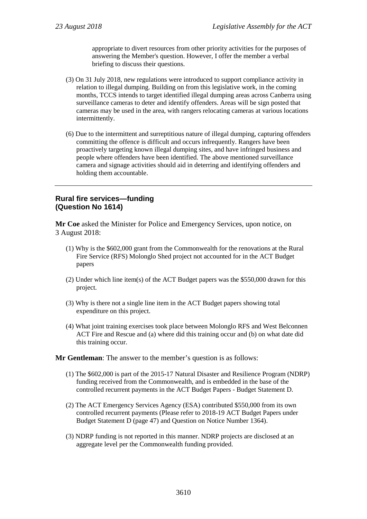appropriate to divert resources from other priority activities for the purposes of answering the Member's question. However, I offer the member a verbal briefing to discuss their questions.

- (3) On 31 July 2018, new regulations were introduced to support compliance activity in relation to illegal dumping. Building on from this legislative work, in the coming months, TCCS intends to target identified illegal dumping areas across Canberra using surveillance cameras to deter and identify offenders. Areas will be sign posted that cameras may be used in the area, with rangers relocating cameras at various locations intermittently.
- (6) Due to the intermittent and surreptitious nature of illegal dumping, capturing offenders committing the offence is difficult and occurs infrequently. Rangers have been proactively targeting known illegal dumping sites, and have infringed business and people where offenders have been identified. The above mentioned surveillance camera and signage activities should aid in deterring and identifying offenders and holding them accountable.

### **Rural fire services—funding (Question No 1614)**

**Mr Coe** asked the Minister for Police and Emergency Services, upon notice, on 3 August 2018:

- (1) Why is the \$602,000 grant from the Commonwealth for the renovations at the Rural Fire Service (RFS) Molonglo Shed project not accounted for in the ACT Budget papers
- (2) Under which line item(s) of the ACT Budget papers was the \$550,000 drawn for this project.
- (3) Why is there not a single line item in the ACT Budget papers showing total expenditure on this project.
- (4) What joint training exercises took place between Molonglo RFS and West Belconnen ACT Fire and Rescue and (a) where did this training occur and (b) on what date did this training occur.

**Mr Gentleman**: The answer to the member's question is as follows:

- (1) The \$602,000 is part of the 2015-17 Natural Disaster and Resilience Program (NDRP) funding received from the Commonwealth, and is embedded in the base of the controlled recurrent payments in the ACT Budget Papers - Budget Statement D.
- (2) The ACT Emergency Services Agency (ESA) contributed \$550,000 from its own controlled recurrent payments (Please refer to 2018-19 ACT Budget Papers under Budget Statement D (page 47) and Question on Notice Number 1364).
- (3) NDRP funding is not reported in this manner. NDRP projects are disclosed at an aggregate level per the Commonwealth funding provided.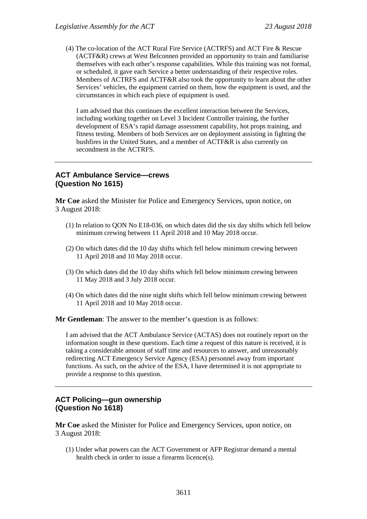(4) The co-location of the ACT Rural Fire Service (ACTRFS) and ACT Fire & Rescue (ACTF&R) crews at West Belconnen provided an opportunity to train and familiarise themselves with each other's response capabilities. While this training was not formal, or scheduled, it gave each Service a better understanding of their respective roles. Members of ACTRFS and ACTF&R also took the opportunity to learn about the other Services' vehicles, the equipment carried on them, how the equipment is used, and the circumstances in which each piece of equipment is used.

I am advised that this continues the excellent interaction between the Services, including working together on Level 3 Incident Controller training, the further development of ESA's rapid damage assessment capability, hot props training, and fitness testing. Members of both Services are on deployment assisting in fighting the bushfires in the United States, and a member of ACTF&R is also currently on secondment in the ACTRFS.

# **ACT Ambulance Service—crews (Question No 1615)**

**Mr Coe** asked the Minister for Police and Emergency Services, upon notice, on 3 August 2018:

- (1) In relation to QON No E18-036, on which dates did the six day shifts which fell below minimum crewing between 11 April 2018 and 10 May 2018 occur.
- (2) On which dates did the 10 day shifts which fell below minimum crewing between 11 April 2018 and 10 May 2018 occur.
- (3) On which dates did the 10 day shifts which fell below minimum crewing between 11 May 2018 and 3 July 2018 occur.
- (4) On which dates did the nine night shifts which fell below minimum crewing between 11 April 2018 and 10 May 2018 occur.

**Mr Gentleman**: The answer to the member's question is as follows:

I am advised that the ACT Ambulance Service (ACTAS) does not routinely report on the information sought in these questions. Each time a request of this nature is received, it is taking a considerable amount of staff time and resources to answer, and unreasonably redirecting ACT Emergency Service Agency (ESA) personnel away from important functions. As such, on the advice of the ESA, I have determined it is not appropriate to provide a response to this question.

### **ACT Policing—gun ownership (Question No 1618)**

**Mr Coe** asked the Minister for Police and Emergency Services, upon notice, on 3 August 2018:

(1) Under what powers can the ACT Government or AFP Registrar demand a mental health check in order to issue a firearms licence(s).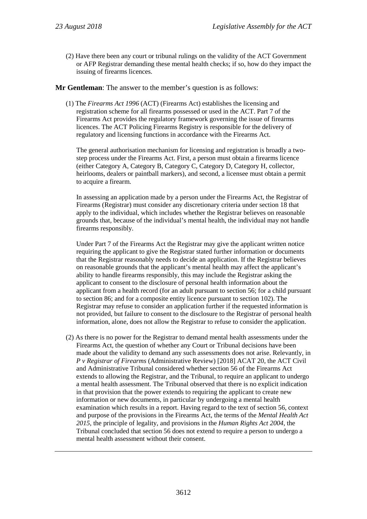(2) Have there been any court or tribunal rulings on the validity of the ACT Government or AFP Registrar demanding these mental health checks; if so, how do they impact the issuing of firearms licences.

**Mr Gentleman**: The answer to the member's question is as follows:

(1) The *Firearms Act 1996* (ACT) (Firearms Act) establishes the licensing and registration scheme for all firearms possessed or used in the ACT. Part 7 of the Firearms Act provides the regulatory framework governing the issue of firearms licences. The ACT Policing Firearms Registry is responsible for the delivery of regulatory and licensing functions in accordance with the Firearms Act.

The general authorisation mechanism for licensing and registration is broadly a twostep process under the Firearms Act. First, a person must obtain a firearms licence (either Category A, Category B, Category C, Category D, Category H, collector, heirlooms, dealers or paintball markers), and second, a licensee must obtain a permit to acquire a firearm.

In assessing an application made by a person under the Firearms Act, the Registrar of Firearms (Registrar) must consider any discretionary criteria under section 18 that apply to the individual, which includes whether the Registrar believes on reasonable grounds that, because of the individual's mental health, the individual may not handle firearms responsibly.

Under Part 7 of the Firearms Act the Registrar may give the applicant written notice requiring the applicant to give the Registrar stated further information or documents that the Registrar reasonably needs to decide an application. If the Registrar believes on reasonable grounds that the applicant's mental health may affect the applicant's ability to handle firearms responsibly, this may include the Registrar asking the applicant to consent to the disclosure of personal health information about the applicant from a health record (for an adult pursuant to section 56; for a child pursuant to section 86; and for a composite entity licence pursuant to section 102). The Registrar may refuse to consider an application further if the requested information is not provided, but failure to consent to the disclosure to the Registrar of personal health information, alone, does not allow the Registrar to refuse to consider the application.

(2) As there is no power for the Registrar to demand mental health assessments under the Firearms Act, the question of whether any Court or Tribunal decisions have been made about the validity to demand any such assessments does not arise. Relevantly, in *P v Registrar of Firearms* (Administrative Review) [2018] ACAT 20, the ACT Civil and Administrative Tribunal considered whether section 56 of the Firearms Act extends to allowing the Registrar, and the Tribunal, to require an applicant to undergo a mental health assessment. The Tribunal observed that there is no explicit indication in that provision that the power extends to requiring the applicant to create new information or new documents, in particular by undergoing a mental health examination which results in a report. Having regard to the text of section 56, context and purpose of the provisions in the Firearms Act, the terms of the *Mental Health Act 2015*, the principle of legality, and provisions in the *Human Rights Act 2004*, the Tribunal concluded that section 56 does not extend to require a person to undergo a mental health assessment without their consent.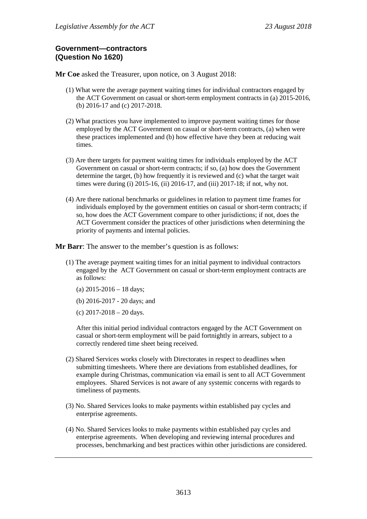### **Government—contractors (Question No 1620)**

**Mr Coe** asked the Treasurer, upon notice, on 3 August 2018:

- (1) What were the average payment waiting times for individual contractors engaged by the ACT Government on casual or short-term employment contracts in (a) 2015-2016, (b) 2016-17 and (c) 2017-2018.
- (2) What practices you have implemented to improve payment waiting times for those employed by the ACT Government on casual or short-term contracts, (a) when were these practices implemented and (b) how effective have they been at reducing wait times.
- (3) Are there targets for payment waiting times for individuals employed by the ACT Government on casual or short-term contracts; if so, (a) how does the Government determine the target, (b) how frequently it is reviewed and (c) what the target wait times were during (i) 2015-16, (ii) 2016-17, and (iii) 2017-18; if not, why not.
- (4) Are there national benchmarks or guidelines in relation to payment time frames for individuals employed by the government entities on casual or short-term contracts; if so, how does the ACT Government compare to other jurisdictions; if not, does the ACT Government consider the practices of other jurisdictions when determining the priority of payments and internal policies.

**Mr Barr**: The answer to the member's question is as follows:

- (1) The average payment waiting times for an initial payment to individual contractors engaged by the ACT Government on casual or short-term employment contracts are as follows:
	- (a)  $2015 2016 18$  days;
	- (b) 2016-2017 20 days; and
	- (c) 2017-2018 20 days.

After this initial period individual contractors engaged by the ACT Government on casual or short-term employment will be paid fortnightly in arrears, subject to a correctly rendered time sheet being received.

- (2) Shared Services works closely with Directorates in respect to deadlines when submitting timesheets. Where there are deviations from established deadlines, for example during Christmas, communication via email is sent to all ACT Government employees. Shared Services is not aware of any systemic concerns with regards to timeliness of payments.
- (3) No. Shared Services looks to make payments within established pay cycles and enterprise agreements.
- (4) No. Shared Services looks to make payments within established pay cycles and enterprise agreements. When developing and reviewing internal procedures and processes, benchmarking and best practices within other jurisdictions are considered.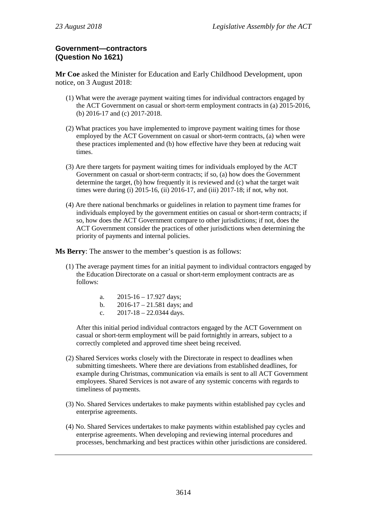# **Government—contractors (Question No 1621)**

**Mr Coe** asked the Minister for Education and Early Childhood Development, upon notice, on 3 August 2018:

- (1) What were the average payment waiting times for individual contractors engaged by the ACT Government on casual or short-term employment contracts in (a) 2015-2016, (b) 2016-17 and (c) 2017-2018.
- (2) What practices you have implemented to improve payment waiting times for those employed by the ACT Government on casual or short-term contracts, (a) when were these practices implemented and (b) how effective have they been at reducing wait times.
- (3) Are there targets for payment waiting times for individuals employed by the ACT Government on casual or short-term contracts; if so, (a) how does the Government determine the target, (b) how frequently it is reviewed and (c) what the target wait times were during (i) 2015-16, (ii) 2016-17, and (iii) 2017-18; if not, why not.
- (4) Are there national benchmarks or guidelines in relation to payment time frames for individuals employed by the government entities on casual or short-term contracts; if so, how does the ACT Government compare to other jurisdictions; if not, does the ACT Government consider the practices of other jurisdictions when determining the priority of payments and internal policies.

**Ms Berry**: The answer to the member's question is as follows:

- (1) The average payment times for an initial payment to individual contractors engaged by the Education Directorate on a casual or short-term employment contracts are as follows:
	- a.  $2015-16-17.927 \text{ days}$ ;
	- b.  $2016-17 21.581$  days; and
	- c.  $2017-18 22.0344$  days.

After this initial period individual contractors engaged by the ACT Government on casual or short-term employment will be paid fortnightly in arrears, subject to a correctly completed and approved time sheet being received.

- (2) Shared Services works closely with the Directorate in respect to deadlines when submitting timesheets. Where there are deviations from established deadlines, for example during Christmas, communication via emails is sent to all ACT Government employees. Shared Services is not aware of any systemic concerns with regards to timeliness of payments.
- (3) No. Shared Services undertakes to make payments within established pay cycles and enterprise agreements.
- (4) No. Shared Services undertakes to make payments within established pay cycles and enterprise agreements. When developing and reviewing internal procedures and processes, benchmarking and best practices within other jurisdictions are considered.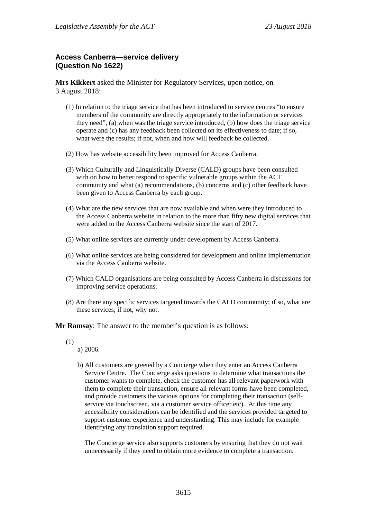# **Access Canberra—service delivery (Question No 1622)**

**Mrs Kikkert** asked the Minister for Regulatory Services, upon notice, on 3 August 2018:

- (1) In relation to the triage service that has been introduced to service centres "to ensure members of the community are directly appropriately to the information or services they need", (a) when was the triage service introduced, (b) how does the triage service operate and (c) has any feedback been collected on its effectiveness to date; if so, what were the results; if not, when and how will feedback be collected.
- (2) How has website accessibility been improved for Access Canberra.
- (3) Which Culturally and Linguistically Diverse (CALD) groups have been consulted with on how to better respond to specific vulnerable groups within the ACT community and what (a) recommendations, (b) concerns and (c) other feedback have been given to Access Canberra by each group.
- (4) What are the new services that are now available and when were they introduced to the Access Canberra website in relation to the more than fifty new digital services that were added to the Access Canberra website since the start of 2017.
- (5) What online services are currently under development by Access Canberra.
- (6) What online services are being considered for development and online implementation via the Access Canberra website.
- (7) Which CALD organisations are being consulted by Access Canberra in discussions for improving service operations.
- (8) Are there any specific services targeted towards the CALD community; if so, what are these services; if not, why not.

**Mr Ramsay**: The answer to the member's question is as follows:

- (1)
- a) 2006.
- b) All customers are greeted by a Concierge when they enter an Access Canberra Service Centre. The Concierge asks questions to determine what transactions the customer wants to complete, check the customer has all relevant paperwork with them to complete their transaction, ensure all relevant forms have been completed, and provide customers the various options for completing their transaction (selfservice via touchscreen, via a customer service officer etc). At this time any accessibility considerations can be identified and the services provided targeted to support customer experience and understanding. This may include for example identifying any translation support required.

The Concierge service also supports customers by ensuring that they do not wait unnecessarily if they need to obtain more evidence to complete a transaction.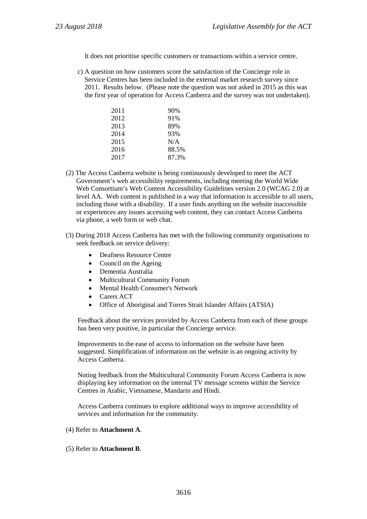It does not prioritise specific customers or transactions within a service centre.

c) A question on how customers score the satisfaction of the Concierge role in Service Centres has been included in the external market research survey since 2011. Results below. (Please note the question was not asked in 2015 as this was the first year of operation for Access Canberra and the survey was not undertaken).

| 2011 | 90%   |
|------|-------|
| 2012 | 91%   |
| 2013 | 89%   |
| 2014 | 93%   |
| 2015 | N/A   |
| 2016 | 88.5% |
| 2017 | 87.3% |
|      |       |

- (2) The Access Canberra website is being continuously developed to meet the ACT Government's web accessibility requirements, including meeting the World Wide Web Consortium's Web Content Accessibility Guidelines version 2.0 (WCAG 2.0) at level AA. Web content is published in a way that information is accessible to all users, including those with a disability. If a user finds anything on the website inaccessible or experiences any issues accessing web content, they can contact Access Canberra via phone, a web form or web chat.
- (3) During 2018 Access Canberra has met with the following community organisations to seek feedback on service delivery:
	- Deafness Resource Centre
	- Council on the Ageing
	- Dementia Australia
	- Multicultural Community Forum
	- Mental Health Consumer's Network
	- Carers ACT
	- Office of Aboriginal and Torres Strait Islander Affairs (ATSIA)

Feedback about the services provided by Access Canberra from each of these groups has been very positive, in particular the Concierge service.

Improvements to the ease of access to information on the website have been suggested. Simplification of information on the website is an ongoing activity by Access Canberra.

Noting feedback from the Multicultural Community Forum Access Canberra is now displaying key information on the internal TV message screens within the Service Centres in Arabic, Vietnamese, Mandarin and Hindi.

Access Canberra continues to explore additional ways to improve accessibility of services and information for the community.

#### (4) Refer to **Attachment A**.

(5) Refer to **Attachment B**.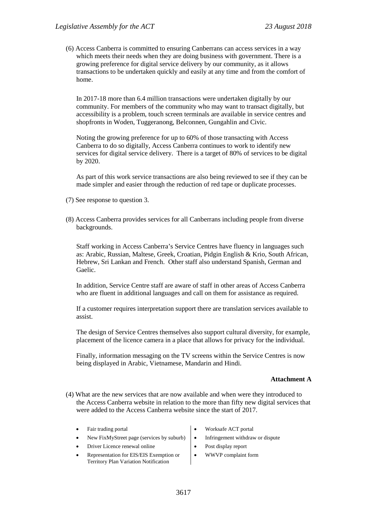(6) Access Canberra is committed to ensuring Canberrans can access services in a way which meets their needs when they are doing business with government. There is a growing preference for digital service delivery by our community, as it allows transactions to be undertaken quickly and easily at any time and from the comfort of home.

In 2017-18 more than 6.4 million transactions were undertaken digitally by our community. For members of the community who may want to transact digitally, but accessibility is a problem, touch screen terminals are available in service centres and shopfronts in Woden, Tuggeranong, Belconnen, Gungahlin and Civic.

Noting the growing preference for up to 60% of those transacting with Access Canberra to do so digitally, Access Canberra continues to work to identify new services for digital service delivery. There is a target of 80% of services to be digital by 2020.

As part of this work service transactions are also being reviewed to see if they can be made simpler and easier through the reduction of red tape or duplicate processes.

- (7) See response to question 3.
- (8) Access Canberra provides services for all Canberrans including people from diverse backgrounds.

Staff working in Access Canberra's Service Centres have fluency in languages such as: Arabic, Russian, Maltese, Greek, Croatian, Pidgin English & Krio, South African, Hebrew, Sri Lankan and French. Other staff also understand Spanish, German and Gaelic.

In addition, Service Centre staff are aware of staff in other areas of Access Canberra who are fluent in additional languages and call on them for assistance as required.

If a customer requires interpretation support there are translation services available to assist.

The design of Service Centres themselves also support cultural diversity, for example, placement of the licence camera in a place that allows for privacy for the individual.

Finally, information messaging on the TV screens within the Service Centres is now being displayed in Arabic, Vietnamese, Mandarin and Hindi.

#### **Attachment A**

- (4) What are the new services that are now available and when were they introduced to the Access Canberra website in relation to the more than fifty new digital services that were added to the Access Canberra website since the start of 2017.
	-
	- New FixMyStreet page (services by suburb)  $\bullet$  Infringement withdraw or dispute
	- Driver Licence renewal online  $\bullet$  Post display report
	- Representation for EIS/EIS Exemption or Territory Plan Variation Notification
- Fair trading portal  $\bullet$  Worksafe ACT portal
	-
	-
	- WWVP complaint form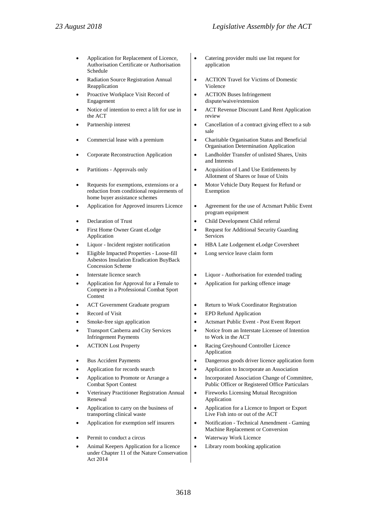- Application for Replacement of Licence, Authorisation Certificate or Authorisation Schedule
- Radiation Source Registration Annual Reapplication
- Proactive Workplace Visit Record of Engagement
- Notice of intention to erect a lift for use in the ACT
- 
- 
- 
- 
- Requests for exemptions, extensions or a reduction from conditional requirements of home buyer assistance schemes
- 
- 
- First Home Owner Grant eLodge Application
- 
- Eligible Impacted Properties Loose-fill Asbestos Insulation Eradication BuyBack Concession Scheme
- 
- Application for Approval for a Female to Compete in a Professional Combat Sport Contest
- 
- 
- 
- Transport Canberra and City Services Infringement Payments
- 
- 
- 
- Application to Promote or Arrange a Combat Sport Contest
- Veterinary Practitioner Registration Annual Renewal
- Application to carry on the business of transporting clinical waste
- 
- 
- Animal Keepers Application for a licence under Chapter 11 of the Nature Conservation Act 2014
- Catering provider multi use list request for application
- ACTION Travel for Victims of Domestic Violence
- ACTION Buses Infringement dispute/waive/extension
- ACT Revenue Discount Land Rent Application review
- Partnership interest **•** Cancellation of a contract giving effect to a sub sale
- Commercial lease with a premium  $\bullet$  Charitable Organisation Status and Beneficial Organisation Determination Application
- Corporate Reconstruction Application  $\bullet$  Landholder Transfer of unlisted Shares, Units and Interests
- Partitions Approvals only **•** Acquisition of Land Use Entitlements by Allotment of Shares or Issue of Units
	- Motor Vehicle Duty Request for Refund or Exemption
	- Application for Approved insurers Licence  $\cdot$  Agreement for the use of Actsmart Public Event program equipment
	- **Peclaration of Trust Child Development Child referral** 
		- Request for Additional Security Guarding Services
	- Liquor Incident register notification  $\parallel \bullet \quad \text{HBA Late Lodgement elodge Coversheet}$ 
		- Long service leave claim form
	- Interstate licence search **•** Liquor Authorisation for extended trading
		- Application for parking offence image
	- ACT Government Graduate program  $\bullet$  Return to Work Coordinator Registration
	- Record of Visit  **EPD Refund Application**
	- Smoke-free sign application **•** Actsmart Public Event Post Event Report
		- Notice from an Interstate Licensee of Intention to Work in the ACT
	- ACTION Lost Property Racing Greyhound Controller Licence Application
	- Bus Accident Payments Dangerous goods driver licence application form
	- Application for records search Application to Incorporate an Association
		- Incorporated Association Change of Committee, Public Officer or Registered Office Particulars
		- Fireworks Licensing Mutual Recognition Application
		- Application for a Licence to Import or Export Live Fish into or out of the ACT
	- Application for exemption self insurers  $\bullet$  Notification Technical Amendment Gaming Machine Replacement or Conversion
	- **Permit to conduct a circus** Waterway Work Licence
		- Library room booking application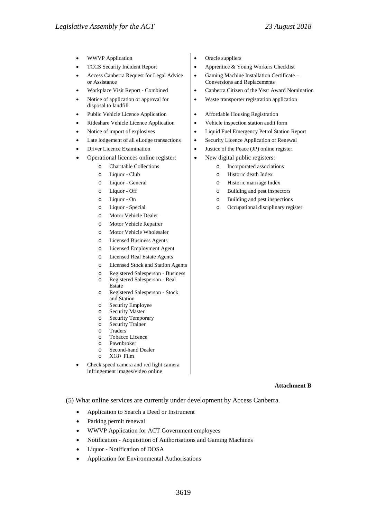- 
- 
- Access Canberra Request for Legal Advice or Assistance
- 
- Notice of application or approval for disposal to landfill
- 
- 
- 
- 
- 
- Operational licences online register:  $\vert \cdot \vert$  New digital public registers:
	-
	-
	-
	-
	-
	-
	- o Motor Vehicle Dealer
	- o Motor Vehicle Repairer
	- o Motor Vehicle Wholesaler
	- o Licensed Business Agents
	- o Licensed Employment Agent
	- o Licensed Real Estate Agents
	- o Licensed Stock and Station Agents
	- o Registered Salesperson Business
	- Registered Salesperson Real Estate
	- o Registered Salesperson Stock and Station
	- o Security Employee
	- o Security Master
	- Security Temporary
	- o Security Trainer
	- o Traders
	- o Tobacco Licence
	- Pawnbroker
	- $\circ$  Second-hand Dealer
	- $X18+$  Film
- Check speed camera and red light camera infringement images/video online
- WWVP Application  $\bullet$  Oracle suppliers
- **FICCS** Security Incident Report Apprentice & Young Workers Checklist
	- Gaming Machine Installation Certificate Conversions and Replacements
- Workplace Visit Report Combined Canberra Citizen of the Year Award Nomination
	- Waste transporter registration application
- Public Vehicle Licence Application Affordable Housing Registration
- Rideshare Vehicle Licence Application  $\cdot$  Vehicle inspection station audit form
- Notice of import of explosives Liquid Fuel Emergency Petrol Station Report
- Late lodgement of all eLodge transactions  $\bullet$  Security Licence Application or Renewal
- **Driver Licence Examination**  $\bullet$  Justice of the Peace (JP) online register.
	-
	- o Charitable Collections o Incorporated associations
	- o Liquor Club o Historic death Index
	- o Liquor General o Historic marriage Index
	- o Liquor Off o Building and pest inspectors
	- o Liquor On  $\qquad \qquad$  | o Building and pest inspections
	- o Liquor Special o Occupational disciplinary register

#### **Attachment B**

- (5) What online services are currently under development by Access Canberra.
	- Application to Search a Deed or Instrument
	- Parking permit renewal
	- WWVP Application for ACT Government employees
	- Notification Acquisition of Authorisations and Gaming Machines
	- Liquor Notification of DOSA
	- Application for Environmental Authorisations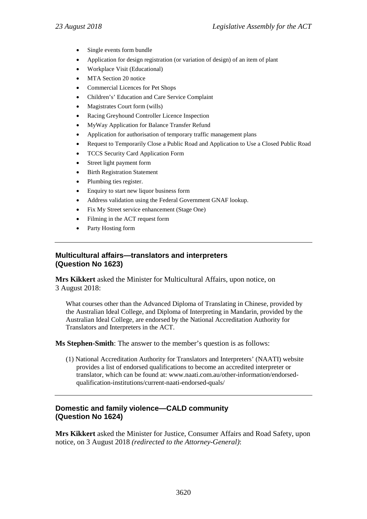- Single events form bundle
- Application for design registration (or variation of design) of an item of plant
- Workplace Visit (Educational)
- MTA Section 20 notice
- Commercial Licences for Pet Shops
- Children's' Education and Care Service Complaint
- Magistrates Court form (wills)
- Racing Greyhound Controller Licence Inspection
- MyWay Application for Balance Transfer Refund
- Application for authorisation of temporary traffic management plans
- Request to Temporarily Close a Public Road and Application to Use a Closed Public Road
- TCCS Security Card Application Form
- Street light payment form
- **Birth Registration Statement**
- Plumbing ties register.
- Enquiry to start new liquor business form
- Address validation using the Federal Government GNAF lookup.
- Fix My Street service enhancement (Stage One)
- Filming in the ACT request form
- Party Hosting form

# **Multicultural affairs—translators and interpreters (Question No 1623)**

**Mrs Kikkert** asked the Minister for Multicultural Affairs, upon notice, on 3 August 2018:

What courses other than the Advanced Diploma of Translating in Chinese, provided by the Australian Ideal College, and Diploma of Interpreting in Mandarin, provided by the Australian Ideal College, are endorsed by the National Accreditation Authority for Translators and Interpreters in the ACT.

**Ms Stephen-Smith**: The answer to the member's question is as follows:

(1) National Accreditation Authority for Translators and Interpreters' (NAATI) website provides a list of endorsed qualifications to become an accredited interpreter or translator, which can be found at: www.naati.com.au/other-information/endorsedqualification-institutions/current-naati-endorsed-quals/

# **Domestic and family violence—CALD community (Question No 1624)**

**Mrs Kikkert** asked the Minister for Justice, Consumer Affairs and Road Safety, upon notice, on 3 August 2018 *(redirected to the Attorney-General)*: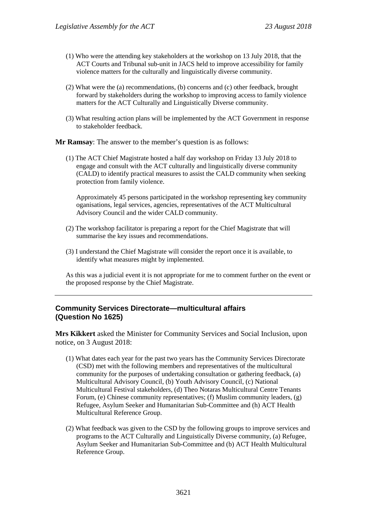- (1) Who were the attending key stakeholders at the workshop on 13 July 2018, that the ACT Courts and Tribunal sub-unit in JACS held to improve accessibility for family violence matters for the culturally and linguistically diverse community.
- (2) What were the (a) recommendations, (b) concerns and (c) other feedback, brought forward by stakeholders during the workshop to improving access to family violence matters for the ACT Culturally and Linguistically Diverse community.
- (3) What resulting action plans will be implemented by the ACT Government in response to stakeholder feedback.

**Mr Ramsay**: The answer to the member's question is as follows:

(1) The ACT Chief Magistrate hosted a half day workshop on Friday 13 July 2018 to engage and consult with the ACT culturally and linguistically diverse community (CALD) to identify practical measures to assist the CALD community when seeking protection from family violence.

Approximately 45 persons participated in the workshop representing key community oganisations, legal services, agencies, representatives of the ACT Multicultural Advisory Council and the wider CALD community.

- (2) The workshop facilitator is preparing a report for the Chief Magistrate that will summarise the key issues and recommendations.
- (3) I understand the Chief Magistrate will consider the report once it is available, to identify what measures might by implemented.

As this was a judicial event it is not appropriate for me to comment further on the event or the proposed response by the Chief Magistrate.

### **Community Services Directorate—multicultural affairs (Question No 1625)**

**Mrs Kikkert** asked the Minister for Community Services and Social Inclusion, upon notice, on 3 August 2018:

- (1) What dates each year for the past two years has the Community Services Directorate (CSD) met with the following members and representatives of the multicultural community for the purposes of undertaking consultation or gathering feedback, (a) Multicultural Advisory Council, (b) Youth Advisory Council, (c) National Multicultural Festival stakeholders, (d) Theo Notaras Multicultural Centre Tenants Forum, (e) Chinese community representatives; (f) Muslim community leaders, (g) Refugee, Asylum Seeker and Humanitarian Sub-Committee and (h) ACT Health Multicultural Reference Group.
- (2) What feedback was given to the CSD by the following groups to improve services and programs to the ACT Culturally and Linguistically Diverse community, (a) Refugee, Asylum Seeker and Humanitarian Sub-Committee and (b) ACT Health Multicultural Reference Group.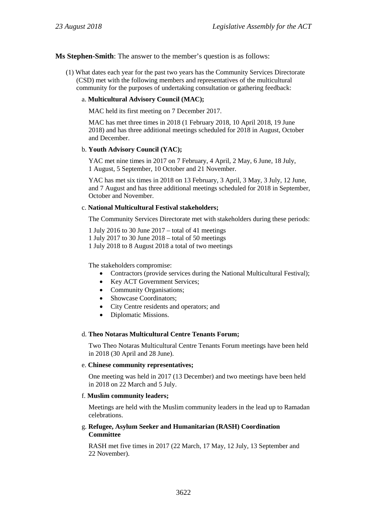#### **Ms Stephen-Smith**: The answer to the member's question is as follows:

(1) What dates each year for the past two years has the Community Services Directorate (CSD) met with the following members and representatives of the multicultural community for the purposes of undertaking consultation or gathering feedback:

#### a. **Multicultural Advisory Council (MAC);**

MAC held its first meeting on 7 December 2017.

MAC has met three times in 2018 (1 February 2018, 10 April 2018, 19 June 2018) and has three additional meetings scheduled for 2018 in August, October and December.

#### b. **Youth Advisory Council (YAC);**

YAC met nine times in 2017 on 7 February, 4 April, 2 May, 6 June, 18 July, 1 August, 5 September, 10 October and 21 November.

YAC has met six times in 2018 on 13 February, 3 April, 3 May, 3 July, 12 June, and 7 August and has three additional meetings scheduled for 2018 in September, October and November.

#### c. **National Multicultural Festival stakeholders;**

The Community Services Directorate met with stakeholders during these periods:

1 July 2016 to 30 June 2017 – total of 41 meetings

1 July 2017 to 30 June 2018 – total of 50 meetings

1 July 2018 to 8 August 2018 a total of two meetings

The stakeholders compromise:

- Contractors (provide services during the National Multicultural Festival);
- Key ACT Government Services;
- Community Organisations;
- Showcase Coordinators;
- City Centre residents and operators; and
- Diplomatic Missions.

#### d. **Theo Notaras Multicultural Centre Tenants Forum;**

Two Theo Notaras Multicultural Centre Tenants Forum meetings have been held in 2018 (30 April and 28 June).

#### e. **Chinese community representatives;**

One meeting was held in 2017 (13 December) and two meetings have been held in 2018 on 22 March and 5 July.

#### f. **Muslim community leaders;**

Meetings are held with the Muslim community leaders in the lead up to Ramadan celebrations.

#### g. **Refugee, Asylum Seeker and Humanitarian (RASH) Coordination Committee**

RASH met five times in 2017 (22 March, 17 May, 12 July, 13 September and 22 November).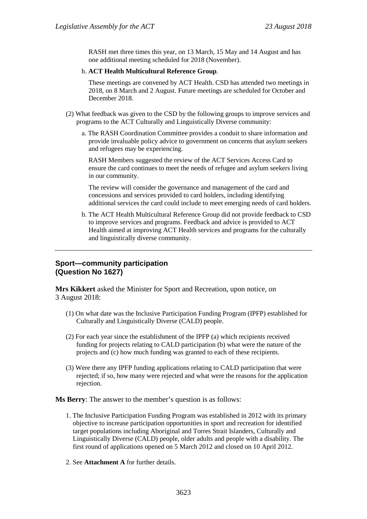RASH met three times this year, on 13 March, 15 May and 14 August and has one additional meeting scheduled for 2018 (November).

#### h. **ACT Health Multicultural Reference Group**.

These meetings are convened by ACT Health. CSD has attended two meetings in 2018, on 8 March and 2 August. Future meetings are scheduled for October and December 2018.

- (2) What feedback was given to the CSD by the following groups to improve services and programs to the ACT Culturally and Linguistically Diverse community:
	- a. The RASH Coordination Committee provides a conduit to share information and provide invaluable policy advice to government on concerns that asylum seekers and refugees may be experiencing.

RASH Members suggested the review of the ACT Services Access Card to ensure the card continues to meet the needs of refugee and asylum seekers living in our community.

The review will consider the governance and management of the card and concessions and services provided to card holders, including identifying additional services the card could include to meet emerging needs of card holders.

b. The ACT Health Multicultural Reference Group did not provide feedback to CSD to improve services and programs. Feedback and advice is provided to ACT Health aimed at improving ACT Health services and programs for the culturally and linguistically diverse community.

### **Sport—community participation (Question No 1627)**

**Mrs Kikkert** asked the Minister for Sport and Recreation, upon notice, on 3 August 2018:

- (1) On what date was the Inclusive Participation Funding Program (IPFP) established for Culturally and Linguistically Diverse (CALD) people.
- (2) For each year since the establishment of the IPFP (a) which recipients received funding for projects relating to CALD participation (b) what were the nature of the projects and (c) how much funding was granted to each of these recipients.
- (3) Were there any IPFP funding applications relating to CALD participation that were rejected; if so, how many were rejected and what were the reasons for the application rejection.

**Ms Berry**: The answer to the member's question is as follows:

- 1. The Inclusive Participation Funding Program was established in 2012 with its primary objective to increase participation opportunities in sport and recreation for identified target populations including Aboriginal and Torres Strait Islanders, Culturally and Linguistically Diverse (CALD) people, older adults and people with a disability. The first round of applications opened on 5 March 2012 and closed on 10 April 2012.
- 2. See **Attachment A** for further details.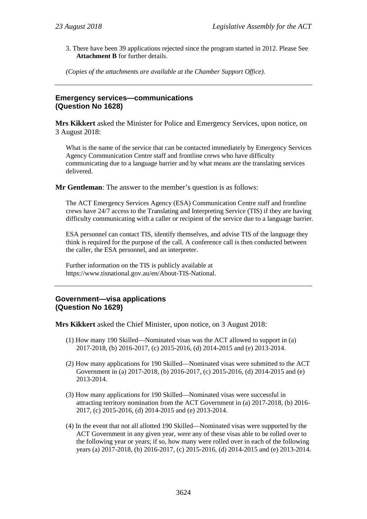3. There have been 39 applications rejected since the program started in 2012. Please See **Attachment B** for further details.

*(Copies of the attachments are available at the Chamber Support Office).*

# **Emergency services—communications (Question No 1628)**

**Mrs Kikkert** asked the Minister for Police and Emergency Services, upon notice, on 3 August 2018:

What is the name of the service that can be contacted immediately by Emergency Services Agency Communication Centre staff and frontline crews who have difficulty communicating due to a language barrier and by what means are the translating services delivered.

**Mr Gentleman**: The answer to the member's question is as follows:

The ACT Emergency Services Agency (ESA) Communication Centre staff and frontline crews have 24/7 access to the Translating and Interpreting Service (TIS) if they are having difficulty communicating with a caller or recipient of the service due to a language barrier.

ESA personnel can contact TIS, identify themselves, and advise TIS of the language they think is required for the purpose of the call. A conference call is then conducted between the caller, the ESA personnel, and an interpreter.

Further information on the TIS is publicly available at https://www.tisnational.gov.au/en/About-TIS-National.

# **Government—visa applications (Question No 1629)**

**Mrs Kikkert** asked the Chief Minister, upon notice, on 3 August 2018:

- (1) How many 190 Skilled—Nominated visas was the ACT allowed to support in (a) 2017-2018, (b) 2016-2017, (c) 2015-2016, (d) 2014-2015 and (e) 2013-2014.
- (2) How many applications for 190 Skilled—Nominated visas were submitted to the ACT Government in (a) 2017-2018, (b) 2016-2017, (c) 2015-2016, (d) 2014-2015 and (e) 2013-2014.
- (3) How many applications for 190 Skilled—Nominated visas were successful in attracting territory nomination from the ACT Government in (a) 2017-2018, (b) 2016- 2017, (c) 2015-2016, (d) 2014-2015 and (e) 2013-2014.
- (4) In the event that not all allotted 190 Skilled—Nominated visas were supported by the ACT Government in any given year, were any of these visas able to be rolled over to the following year or years; if so, how many were rolled over in each of the following years (a) 2017-2018, (b) 2016-2017, (c) 2015-2016, (d) 2014-2015 and (e) 2013-2014.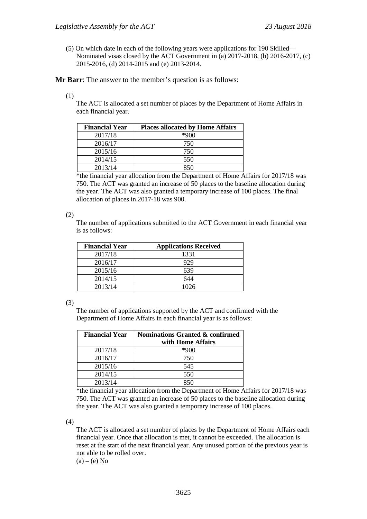(5) On which date in each of the following years were applications for 190 Skilled— Nominated visas closed by the ACT Government in (a) 2017-2018, (b) 2016-2017, (c) 2015-2016, (d) 2014-2015 and (e) 2013-2014.

**Mr Barr**: The answer to the member's question is as follows:

(1)

The ACT is allocated a set number of places by the Department of Home Affairs in each financial year.

| <b>Financial Year</b> | <b>Places allocated by Home Affairs</b> |
|-----------------------|-----------------------------------------|
| 2017/18               | $*900$                                  |
| 2016/17               | 750                                     |
| 2015/16               | 750                                     |
| 2014/15               | 550                                     |
| 2013/14               |                                         |

\*the financial year allocation from the Department of Home Affairs for 2017/18 was 750. The ACT was granted an increase of 50 places to the baseline allocation during the year. The ACT was also granted a temporary increase of 100 places. The final allocation of places in 2017-18 was 900.

#### (2)

The number of applications submitted to the ACT Government in each financial year is as follows:

| <b>Financial Year</b> | <b>Applications Received</b> |
|-----------------------|------------------------------|
| 2017/18               | 1331                         |
| 2016/17               | 929                          |
| 2015/16               | 639                          |
| 2014/15               | 644                          |
| 2013/14               | 1026                         |

(3)

The number of applications supported by the ACT and confirmed with the Department of Home Affairs in each financial year is as follows:

| <b>Financial Year</b> | Nominations Granted & confirmed<br>with Home Affairs |
|-----------------------|------------------------------------------------------|
| 2017/18               | ∗900                                                 |
| 2016/17               | 750                                                  |
| 2015/16               | 545                                                  |
| 2014/15               | 550                                                  |
| 2013/14               | 850                                                  |

\*the financial year allocation from the Department of Home Affairs for 2017/18 was 750. The ACT was granted an increase of 50 places to the baseline allocation during the year. The ACT was also granted a temporary increase of 100 places.

(4)

The ACT is allocated a set number of places by the Department of Home Affairs each financial year. Once that allocation is met, it cannot be exceeded. The allocation is reset at the start of the next financial year. Any unused portion of the previous year is not able to be rolled over.

 $(a) - (e)$  No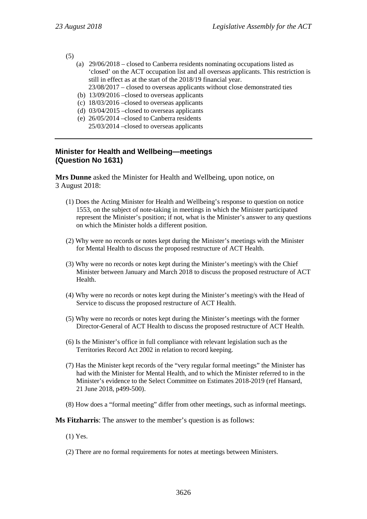(5)

- (a) 29/06/2018 closed to Canberra residents nominating occupations listed as 'closed' on the ACT occupation list and all overseas applicants. This restriction is still in effect as at the start of the 2018/19 financial year.
	- 23/08/2017 closed to overseas applicants without close demonstrated ties
- (b) 13/09/2016 –closed to overseas applicants
- (c) 18/03/2016 –closed to overseas applicants
- (d) 03/04/2015 –closed to overseas applicants
- (e) 26/05/2014 –closed to Canberra residents 25/03/2014 –closed to overseas applicants

# **Minister for Health and Wellbeing—meetings (Question No 1631)**

**Mrs Dunne** asked the Minister for Health and Wellbeing, upon notice, on 3 August 2018:

- (1) Does the Acting Minister for Health and Wellbeing's response to question on notice 1553, on the subject of note-taking in meetings in which the Minister participated represent the Minister's position; if not, what is the Minister's answer to any questions on which the Minister holds a different position.
- (2) Why were no records or notes kept during the Minister's meetings with the Minister for Mental Health to discuss the proposed restructure of ACT Health.
- (3) Why were no records or notes kept during the Minister's meeting/s with the Chief Minister between January and March 2018 to discuss the proposed restructure of ACT Health.
- (4) Why were no records or notes kept during the Minister's meeting/s with the Head of Service to discuss the proposed restructure of ACT Health.
- (5) Why were no records or notes kept during the Minister's meetings with the former Director-General of ACT Health to discuss the proposed restructure of ACT Health.
- (6) Is the Minister's office in full compliance with relevant legislation such as the Territories Record Act 2002 in relation to record keeping.
- (7) Has the Minister kept records of the "very regular formal meetings" the Minister has had with the Minister for Mental Health, and to which the Minister referred to in the Minister's evidence to the Select Committee on Estimates 2018-2019 (ref Hansard, 21 June 2018, p499-500).
- (8) How does a "formal meeting" differ from other meetings, such as informal meetings.

**Ms Fitzharris**: The answer to the member's question is as follows:

- (1) Yes.
- (2) There are no formal requirements for notes at meetings between Ministers.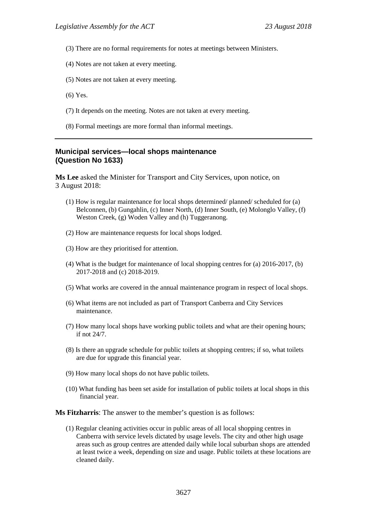- (3) There are no formal requirements for notes at meetings between Ministers.
- (4) Notes are not taken at every meeting.
- (5) Notes are not taken at every meeting.
- (6) Yes.
- (7) It depends on the meeting. Notes are not taken at every meeting.
- (8) Formal meetings are more formal than informal meetings.

#### **Municipal services—local shops maintenance (Question No 1633)**

**Ms Lee** asked the Minister for Transport and City Services, upon notice, on 3 August 2018:

- (1) How is regular maintenance for local shops determined/ planned/ scheduled for (a) Belconnen, (b) Gungahlin, (c) Inner North, (d) Inner South, (e) Molonglo Valley, (f) Weston Creek, (g) Woden Valley and (h) Tuggeranong.
- (2) How are maintenance requests for local shops lodged.
- (3) How are they prioritised for attention.
- (4) What is the budget for maintenance of local shopping centres for (a) 2016-2017, (b) 2017-2018 and (c) 2018-2019.
- (5) What works are covered in the annual maintenance program in respect of local shops.
- (6) What items are not included as part of Transport Canberra and City Services maintenance.
- (7) How many local shops have working public toilets and what are their opening hours; if not 24/7.
- (8) Is there an upgrade schedule for public toilets at shopping centres; if so, what toilets are due for upgrade this financial year.
- (9) How many local shops do not have public toilets.
- (10) What funding has been set aside for installation of public toilets at local shops in this financial year.

**Ms Fitzharris**: The answer to the member's question is as follows:

(1) Regular cleaning activities occur in public areas of all local shopping centres in Canberra with service levels dictated by usage levels. The city and other high usage areas such as group centres are attended daily while local suburban shops are attended at least twice a week, depending on size and usage. Public toilets at these locations are cleaned daily.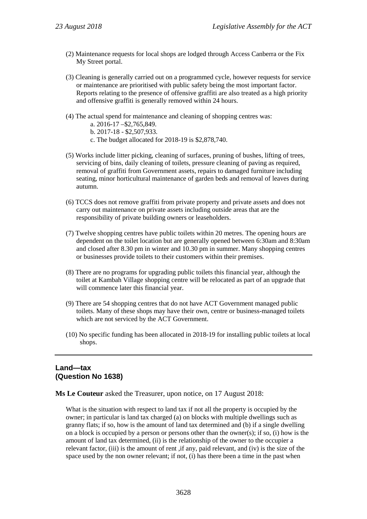- (2) Maintenance requests for local shops are lodged through Access Canberra or the Fix My Street portal.
- (3) Cleaning is generally carried out on a programmed cycle, however requests for service or maintenance are prioritised with public safety being the most important factor. Reports relating to the presence of offensive graffiti are also treated as a high priority and offensive graffiti is generally removed within 24 hours.
- (4) The actual spend for maintenance and cleaning of shopping centres was:
	- a. 2016-17 –\$2,765,849.
	- b. 2017-18 \$2,507,933.
	- c. The budget allocated for 2018-19 is \$2,878,740.
- (5) Works include litter picking, cleaning of surfaces, pruning of bushes, lifting of trees, servicing of bins, daily cleaning of toilets, pressure cleaning of paving as required, removal of graffiti from Government assets, repairs to damaged furniture including seating, minor horticultural maintenance of garden beds and removal of leaves during autumn.
- (6) TCCS does not remove graffiti from private property and private assets and does not carry out maintenance on private assets including outside areas that are the responsibility of private building owners or leaseholders.
- (7) Twelve shopping centres have public toilets within 20 metres. The opening hours are dependent on the toilet location but are generally opened between 6:30am and 8:30am and closed after 8.30 pm in winter and 10.30 pm in summer. Many shopping centres or businesses provide toilets to their customers within their premises.
- (8) There are no programs for upgrading public toilets this financial year, although the toilet at Kambah Village shopping centre will be relocated as part of an upgrade that will commence later this financial year.
- (9) There are 54 shopping centres that do not have ACT Government managed public toilets. Many of these shops may have their own, centre or business-managed toilets which are not serviced by the ACT Government.
- (10) No specific funding has been allocated in 2018-19 for installing public toilets at local shops.

# **Land—tax (Question No 1638)**

**Ms Le Couteur** asked the Treasurer, upon notice, on 17 August 2018:

What is the situation with respect to land tax if not all the property is occupied by the owner; in particular is land tax charged (a) on blocks with multiple dwellings such as granny flats; if so, how is the amount of land tax determined and (b) if a single dwelling on a block is occupied by a person or persons other than the owner(s); if so, (i) how is the amount of land tax determined, (ii) is the relationship of the owner to the occupier a relevant factor, (iii) is the amount of rent ,if any, paid relevant, and (iv) is the size of the space used by the non owner relevant; if not, (i) has there been a time in the past when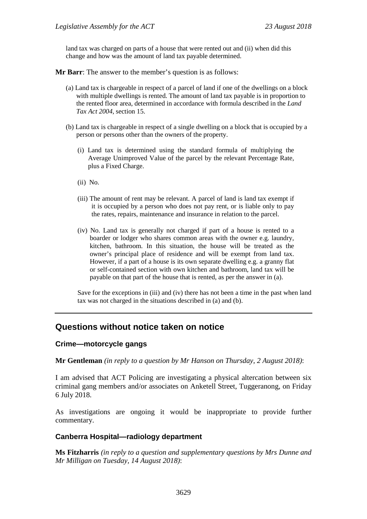land tax was charged on parts of a house that were rented out and (ii) when did this change and how was the amount of land tax payable determined.

**Mr Barr**: The answer to the member's question is as follows:

- (a) Land tax is chargeable in respect of a parcel of land if one of the dwellings on a block with multiple dwellings is rented. The amount of land tax payable is in proportion to the rented floor area, determined in accordance with formula described in the *Land Tax Act 2004*, section 15.
- (b) Land tax is chargeable in respect of a single dwelling on a block that is occupied by a person or persons other than the owners of the property.
	- (i) Land tax is determined using the standard formula of multiplying the Average Unimproved Value of the parcel by the relevant Percentage Rate, plus a Fixed Charge.
	- (ii) No.
	- (iii) The amount of rent may be relevant. A parcel of land is land tax exempt if it is occupied by a person who does not pay rent, or is liable only to pay the rates, repairs, maintenance and insurance in relation to the parcel.
	- (iv) No. Land tax is generally not charged if part of a house is rented to a boarder or lodger who shares common areas with the owner e.g. laundry, kitchen, bathroom. In this situation, the house will be treated as the owner's principal place of residence and will be exempt from land tax. However, if a part of a house is its own separate dwelling e.g. a granny flat or self-contained section with own kitchen and bathroom, land tax will be payable on that part of the house that is rented, as per the answer in (a).

Save for the exceptions in (iii) and (iv) there has not been a time in the past when land tax was not charged in the situations described in (a) and (b).

# **Questions without notice taken on notice**

#### **Crime—motorcycle gangs**

**Mr Gentleman** *(in reply to a question by Mr Hanson on Thursday, 2 August 2018)*:

I am advised that ACT Policing are investigating a physical altercation between six criminal gang members and/or associates on Anketell Street, Tuggeranong, on Friday 6 July 2018.

As investigations are ongoing it would be inappropriate to provide further commentary.

# **Canberra Hospital—radiology department**

**Ms Fitzharris** *(in reply to a question and supplementary questions by Mrs Dunne and Mr Milligan on Tuesday, 14 August 2018)*: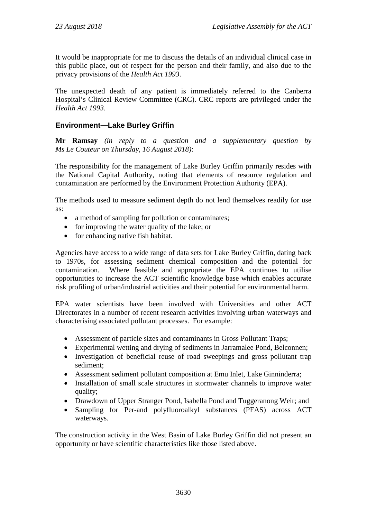It would be inappropriate for me to discuss the details of an individual clinical case in this public place, out of respect for the person and their family, and also due to the privacy provisions of the *Health Act 1993*.

The unexpected death of any patient is immediately referred to the Canberra Hospital's Clinical Review Committee (CRC). CRC reports are privileged under the *Health Act 1993*.

# **Environment—Lake Burley Griffin**

**Mr Ramsay** *(in reply to a question and a supplementary question by Ms Le Couteur on Thursday, 16 August 2018)*:

The responsibility for the management of Lake Burley Griffin primarily resides with the National Capital Authority, noting that elements of resource regulation and contamination are performed by the Environment Protection Authority (EPA).

The methods used to measure sediment depth do not lend themselves readily for use as:

- a method of sampling for pollution or contaminates;
- for improving the water quality of the lake; or
- for enhancing native fish habitat.

Agencies have access to a wide range of data sets for Lake Burley Griffin, dating back to 1970s, for assessing sediment chemical composition and the potential for contamination. Where feasible and appropriate the EPA continues to utilise opportunities to increase the ACT scientific knowledge base which enables accurate risk profiling of urban/industrial activities and their potential for environmental harm.

EPA water scientists have been involved with Universities and other ACT Directorates in a number of recent research activities involving urban waterways and characterising associated pollutant processes. For example:

- Assessment of particle sizes and contaminants in Gross Pollutant Traps;
- Experimental wetting and drying of sediments in Jarramalee Pond, Belconnen;
- Investigation of beneficial reuse of road sweepings and gross pollutant trap sediment;
- Assessment sediment pollutant composition at Emu Inlet, Lake Ginninderra;
- Installation of small scale structures in stormwater channels to improve water quality;
- Drawdown of Upper Stranger Pond, Isabella Pond and Tuggeranong Weir; and
- Sampling for Per-and polyfluoroalkyl substances (PFAS) across ACT waterways.

The construction activity in the West Basin of Lake Burley Griffin did not present an opportunity or have scientific characteristics like those listed above.